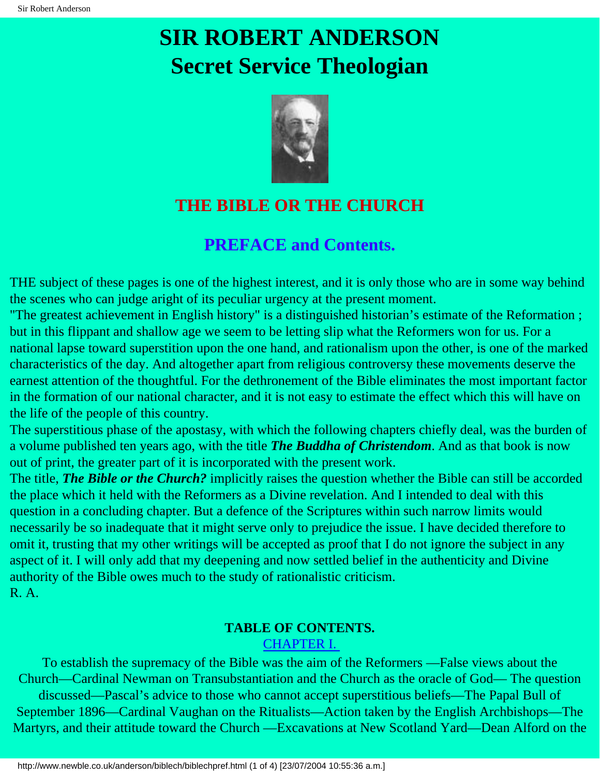

## **THE BIBLE OR THE CHURCH**

### **PREFACE and Contents.**

THE subject of these pages is one of the highest interest, and it is only those who are in some way behind the scenes who can judge aright of its peculiar urgency at the present moment.

"The greatest achievement in English history" is a distinguished historian's estimate of the Reformation ; but in this flippant and shallow age we seem to be letting slip what the Reformers won for us. For a national lapse toward superstition upon the one hand, and rationalism upon the other, is one of the marked characteristics of the day. And altogether apart from religious controversy these movements deserve the earnest attention of the thoughtful. For the dethronement of the Bible eliminates the most important factor in the formation of our national character, and it is not easy to estimate the effect which this will have on the life of the people of this country.

The superstitious phase of the apostasy, with which the following chapters chiefly deal, was the burden of a volume published ten years ago, with the title *The Buddha of Christendom*. And as that book is now out of print, the greater part of it is incorporated with the present work.

The title, *The Bible or the Church?* implicitly raises the question whether the Bible can still be accorded the place which it held with the Reformers as a Divine revelation. And I intended to deal with this question in a concluding chapter. But a defence of the Scriptures within such narrow limits would necessarily be so inadequate that it might serve only to prejudice the issue. I have decided therefore to omit it, trusting that my other writings will be accepted as proof that I do not ignore the subject in any aspect of it. I will only add that my deepening and now settled belief in the authenticity and Divine authority of the Bible owes much to the study of rationalistic criticism. R. A.

### **TABLE OF CONTENTS.**

#### [CHAPTER I.](#page-4-0)

To establish the supremacy of the Bible was the aim of the Reformers —False views about the Church—Cardinal Newman on Transubstantiation and the Church as the oracle of God— The question discussed—Pascal's advice to those who cannot accept superstitious beliefs—The Papal Bull of September 1896—Cardinal Vaughan on the Ritualists—Action taken by the English Archbishops—The Martyrs, and their attitude toward the Church —Excavations at New Scotland Yard—Dean Alford on the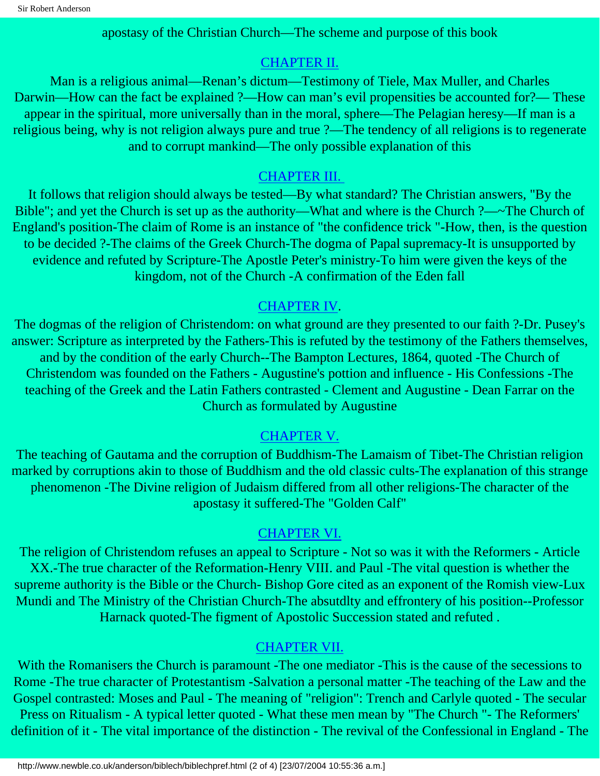apostasy of the Christian Church—The scheme and purpose of this book

#### [CHAPTER II.](#page-8-0)

Man is a religious animal—Renan's dictum—Testimony of Tiele, Max Muller, and Charles Darwin—How can the fact be explained ?—How can man's evil propensities be accounted for?— These appear in the spiritual, more universally than in the moral, sphere—The Pelagian heresy—If man is a religious being, why is not religion always pure and true ?—The tendency of all religions is to regenerate and to corrupt mankind—The only possible explanation of this

#### [CHAPTER III.](#page-12-0)

It follows that religion should always be tested—By what standard? The Christian answers, "By the Bible"; and yet the Church is set up as the authority—What and where is the Church ?—~The Church of England's position-The claim of Rome is an instance of "the confidence trick "-How, then, is the question to be decided ?-The claims of the Greek Church-The dogma of Papal supremacy-It is unsupported by evidence and refuted by Scripture-The Apostle Peter's ministry-To him were given the keys of the kingdom, not of the Church -A confirmation of the Eden fall

#### [CHAPTER IV](#page-17-0).

The dogmas of the religion of Christendom: on what ground are they presented to our faith ?-Dr. Pusey's answer: Scripture as interpreted by the Fathers-This is refuted by the testimony of the Fathers themselves, and by the condition of the early Church--The Bampton Lectures, 1864, quoted -The Church of Christendom was founded on the Fathers - Augustine's pottion and influence - His Confessions -The teaching of the Greek and the Latin Fathers contrasted - Clement and Augustine - Dean Farrar on the Church as formulated by Augustine

### [CHAPTER V.](#page-23-0)

The teaching of Gautama and the corruption of Buddhism-The Lamaism of Tibet-The Christian religion marked by corruptions akin to those of Buddhism and the old classic cults-The explanation of this strange phenomenon -The Divine religion of Judaism differed from all other religions-The character of the apostasy it suffered-The "Golden Calf"

### [CHAPTER VI.](#page-28-0)

The religion of Christendom refuses an appeal to Scripture - Not so was it with the Reformers - Article XX.-The true character of the Reformation-Henry VIII. and Paul -The vital question is whether the supreme authority is the Bible or the Church- Bishop Gore cited as an exponent of the Romish view-Lux Mundi and The Ministry of the Christian Church-The absutdlty and effrontery of his position--Professor Harnack quoted-The figment of Apostolic Succession stated and refuted .

#### [CHAPTER VII.](#page-35-0)

With the Romanisers the Church is paramount -The one mediator -This is the cause of the secessions to Rome -The true character of Protestantism -Salvation a personal matter -The teaching of the Law and the Gospel contrasted: Moses and Paul - The meaning of "religion": Trench and Carlyle quoted - The secular Press on Ritualism - A typical letter quoted - What these men mean by "The Church "- The Reformers' definition of it - The vital importance of the distinction - The revival of the Confessional in England - The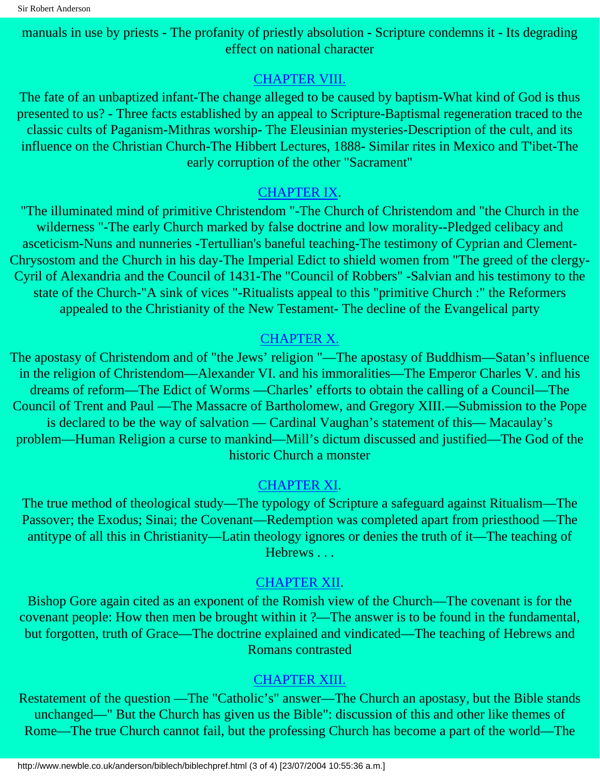manuals in use by priests - The profanity of priestly absolution - Scripture condemns it - Its degrading effect on national character

#### [CHAPTER VIII.](#page-42-0)

The fate of an unbaptized infant-The change alleged to be caused by baptism-What kind of God is thus presented to us? - Three facts established by an appeal to Scripture-Baptismal regeneration traced to the classic cults of Paganism-Mithras worship- The Eleusinian mysteries-Description of the cult, and its influence on the Christian Church-The Hibbert Lectures, 1888- Similar rites in Mexico and T'ibet-The early corruption of the other "Sacrament"

#### [CHAPTER IX](#page-49-0).

"The illuminated mind of primitive Christendom "-The Church of Christendom and "the Church in the wilderness "-The early Church marked by false doctrine and low morality--Pledged celibacy and asceticism-Nuns and nunneries -Tertullian's baneful teaching-The testimony of Cyprian and Clement-Chrysostom and the Church in his day-The Imperial Edict to shield women from "The greed of the clergy-Cyril of Alexandria and the Council of 1431-The "Council of Robbers" -Salvian and his testimony to the state of the Church-"A sink of vices "-Ritualists appeal to this "primitive Church :" the Reformers appealed to the Christianity of the New Testament- The decline of the Evangelical party

#### [CHAPTER X.](#page-57-0)

The apostasy of Christendom and of "the Jews' religion "—The apostasy of Buddhism—Satan's influence in the religion of Christendom—Alexander VI. and his immoralities—The Emperor Charles V. and his dreams of reform—The Edict of Worms —Charles' efforts to obtain the calling of a Council—The Council of Trent and Paul —The Massacre of Bartholomew, and Gregory XIII.—Submission to the Pope is declared to be the way of salvation — Cardinal Vaughan's statement of this— Macaulay's problem—Human Religion a curse to mankind—Mill's dictum discussed and justified—The God of the historic Church a monster

#### [CHAPTER XI](#page-64-0).

The true method of theological study—The typology of Scripture a safeguard against Ritualism—The Passover; the Exodus; Sinai; the Covenant—Redemption was completed apart from priesthood —The antitype of all this in Christianity—Latin theology ignores or denies the truth of it—The teaching of Hebrews . . .

#### [CHAPTER XII](#page-69-0).

Bishop Gore again cited as an exponent of the Romish view of the Church—The covenant is for the covenant people: How then men be brought within it ?—The answer is to be found in the fundamental, but forgotten, truth of Grace—The doctrine explained and vindicated—The teaching of Hebrews and Romans contrasted

#### [CHAPTER XIII.](#page-73-0)

Restatement of the question —The "Catholic's" answer—The Church an apostasy, but the Bible stands unchanged—" But the Church has given us the Bible": discussion of this and other like themes of Rome—The true Church cannot fail, but the professing Church has become a part of the world—The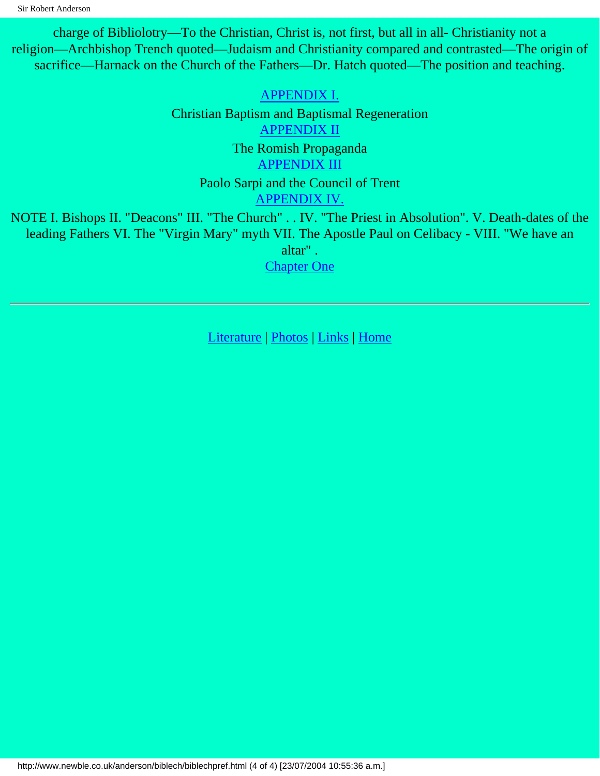charge of Bibliolotry—To the Christian, Christ is, not first, but all in all- Christianity not a religion—Archbishop Trench quoted—Judaism and Christianity compared and contrasted—The origin of sacrifice—Harnack on the Church of the Fathers—Dr. Hatch quoted—The position and teaching.

> [APPENDIX I.](#page-78-0) Christian Baptism and Baptismal Regeneration [APPENDIX II](#page-85-0) The Romish Propaganda [APPENDIX III](#page-88-0) Paolo Sarpi and the Council of Trent [APPENDIX IV.](#page-92-0)

NOTE I. Bishops II. "Deacons" III. "The Church" . . IV. "The Priest in Absolution". V. Death-dates of the leading Fathers VI. The "Virgin Mary" myth VII. The Apostle Paul on Celibacy - VIII. "We have an altar" .

[Chapter One](#page-4-0)

[Literature](http://www.newble.co.uk/anderson/literature.html) | [Photos](http://www.newble.co.uk/anderson/photos.html) | [Links](http://www.newble.co.uk/anderson/links.html) | [Home](http://www.newble.co.uk/anderson/index.html)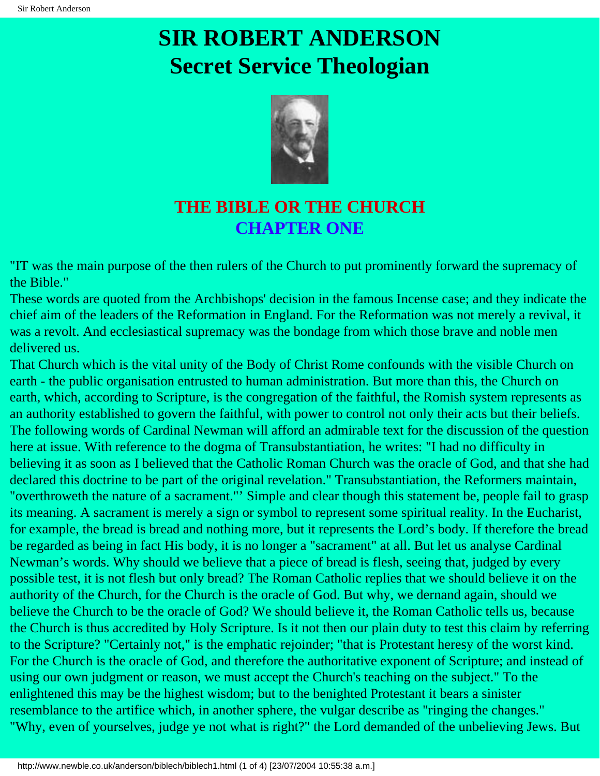

## **THE BIBLE OR THE CHURCH CHAPTER ONE**

<span id="page-4-0"></span>"IT was the main purpose of the then rulers of the Church to put prominently forward the supremacy of the Bible."

These words are quoted from the Archbishops' decision in the famous Incense case; and they indicate the chief aim of the leaders of the Reformation in England. For the Reformation was not merely a revival, it was a revolt. And ecclesiastical supremacy was the bondage from which those brave and noble men delivered us.

That Church which is the vital unity of the Body of Christ Rome confounds with the visible Church on earth - the public organisation entrusted to human administration. But more than this, the Church on earth, which, according to Scripture, is the congregation of the faithful, the Romish system represents as an authority established to govern the faithful, with power to control not only their acts but their beliefs. The following words of Cardinal Newman will afford an admirable text for the discussion of the question here at issue. With reference to the dogma of Transubstantiation, he writes: "I had no difficulty in believing it as soon as I believed that the Catholic Roman Church was the oracle of God, and that she had declared this doctrine to be part of the original revelation." Transubstantiation, the Reformers maintain, "overthroweth the nature of a sacrament."' Simple and clear though this statement be, people fail to grasp its meaning. A sacrament is merely a sign or symbol to represent some spiritual reality. In the Eucharist, for example, the bread is bread and nothing more, but it represents the Lord's body. If therefore the bread be regarded as being in fact His body, it is no longer a "sacrament" at all. But let us analyse Cardinal Newman's words. Why should we believe that a piece of bread is flesh, seeing that, judged by every possible test, it is not flesh but only bread? The Roman Catholic replies that we should believe it on the authority of the Church, for the Church is the oracle of God. But why, we dernand again, should we believe the Church to be the oracle of God? We should believe it, the Roman Catholic tells us, because the Church is thus accredited by Holy Scripture. Is it not then our plain duty to test this claim by referring to the Scripture? "Certainly not," is the emphatic rejoinder; "that is Protestant heresy of the worst kind. For the Church is the oracle of God, and therefore the authoritative exponent of Scripture; and instead of using our own judgment or reason, we must accept the Church's teaching on the subject." To the enlightened this may be the highest wisdom; but to the benighted Protestant it bears a sinister resemblance to the artifice which, in another sphere, the vulgar describe as "ringing the changes." "Why, even of yourselves, judge ye not what is right?" the Lord demanded of the unbelieving Jews. But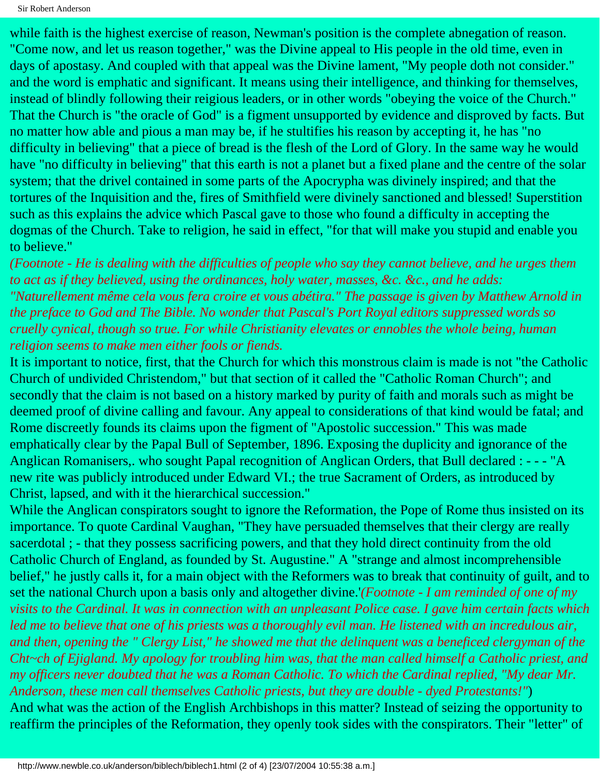Sir Robert Anderson

while faith is the highest exercise of reason, Newman's position is the complete abnegation of reason. "Come now, and let us reason together," was the Divine appeal to His people in the old time, even in days of apostasy. And coupled with that appeal was the Divine lament, "My people doth not consider." and the word is emphatic and significant. It means using their intelligence, and thinking for themselves, instead of blindly following their reigious leaders, or in other words "obeying the voice of the Church." That the Church is "the oracle of God" is a figment unsupported by evidence and disproved by facts. But no matter how able and pious a man may be, if he stultifies his reason by accepting it, he has "no difficulty in believing" that a piece of bread is the flesh of the Lord of Glory. In the same way he would have "no difficulty in believing" that this earth is not a planet but a fixed plane and the centre of the solar system; that the drivel contained in some parts of the Apocrypha was divinely inspired; and that the tortures of the Inquisition and the, fires of Smithfield were divinely sanctioned and blessed! Superstition such as this explains the advice which Pascal gave to those who found a difficulty in accepting the dogmas of the Church. Take to religion, he said in effect, "for that will make you stupid and enable you to believe."

*(Footnote - He is dealing with the difficulties of people who say they cannot believe, and he urges them to act as if they believed, using the ordinances, holy water, masses, &c. &c., and he adds: "Naturellement même cela vous fera croire et vous abétira." The passage is given by Matthew Arnold in the preface to God and The Bible. No wonder that Pascal's Port Royal editors suppressed words so cruelly cynical, though so true. For while Christianity elevates or ennobles the whole being, human religion seems to make men either fools or fiends.*

It is important to notice, first, that the Church for which this monstrous claim is made is not "the Catholic Church of undivided Christendom," but that section of it called the "Catholic Roman Church"; and secondly that the claim is not based on a history marked by purity of faith and morals such as might be deemed proof of divine calling and favour. Any appeal to considerations of that kind would be fatal; and Rome discreetly founds its claims upon the figment of "Apostolic succession." This was made emphatically clear by the Papal Bull of September, 1896. Exposing the duplicity and ignorance of the Anglican Romanisers,. who sought Papal recognition of Anglican Orders, that Bull declared : - - - "A new rite was publicly introduced under Edward VI.; the true Sacrament of Orders, as introduced by Christ, lapsed, and with it the hierarchical succession."

While the Anglican conspirators sought to ignore the Reformation, the Pope of Rome thus insisted on its importance. To quote Cardinal Vaughan, "They have persuaded themselves that their clergy are really sacerdotal ; - that they possess sacrificing powers, and that they hold direct continuity from the old Catholic Church of England, as founded by St. Augustine." A "strange and almost incomprehensible belief," he justly calls it, for a main object with the Reformers was to break that continuity of guilt, and to set the national Church upon a basis only and altogether divine.'*(Footnote - I am reminded of one of my visits to the Cardinal. It was in connection with an unpleasant Police case. I gave him certain facts which*  led me to believe that one of his priests was a thoroughly evil man. He listened with an incredulous air, *and then, opening the " Clergy List," he showed me that the delinquent was a beneficed clergyman of the Cht~ch of Ejigland. My apology for troubling him was, that the man called himself a Catholic priest, and my officers never doubted that he was a Roman Catholic. To which the Cardinal replied, "My dear Mr. Anderson, these men call themselves Catholic priests, but they are double - dyed Protestants!"*) And what was the action of the English Archbishops in this matter? Instead of seizing the opportunity to

reaffirm the principles of the Reformation, they openly took sides with the conspirators. Their "letter" of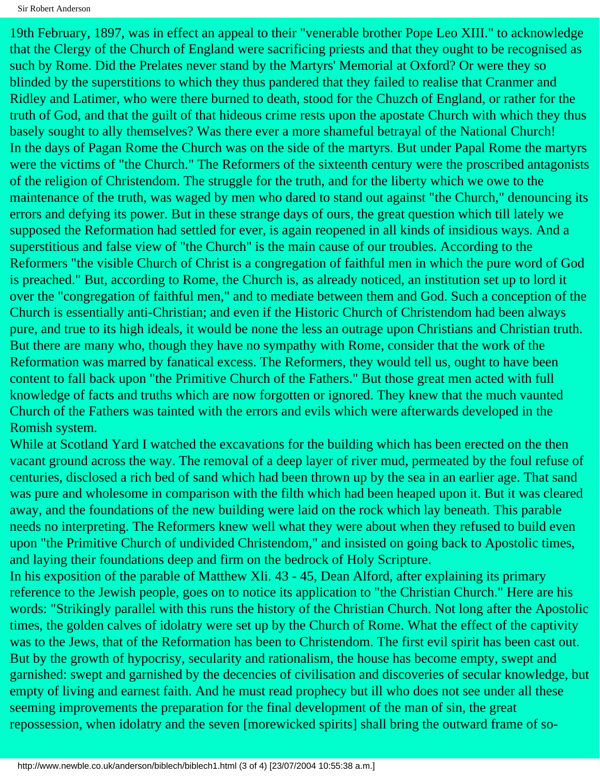19th February, 1897, was in effect an appeal to their "venerable brother Pope Leo XIII." to acknowledge that the Clergy of the Church of England were sacrificing priests and that they ought to be recognised as such by Rome. Did the Prelates never stand by the Martyrs' Memorial at Oxford? Or were they so blinded by the superstitions to which they thus pandered that they failed to realise that Cranmer and Ridley and Latimer, who were there burned to death, stood for the Chuzch of England, or rather for the truth of God, and that the guilt of that hideous crime rests upon the apostate Church with which they thus basely sought to ally themselves? Was there ever a more shameful betrayal of the National Church! In the days of Pagan Rome the Church was on the side of the martyrs. But under Papal Rome the martyrs were the victims of "the Church." The Reformers of the sixteenth century were the proscribed antagonists of the religion of Christendom. The struggle for the truth, and for the liberty which we owe to the maintenance of the truth, was waged by men who dared to stand out against "the Church," denouncing its errors and defying its power. But in these strange days of ours, the great question which till lately we supposed the Reformation had settled for ever, is again reopened in all kinds of insidious ways. And a superstitious and false view of "the Church" is the main cause of our troubles. According to the Reformers "the visible Church of Christ is a congregation of faithful men in which the pure word of God is preached." But, according to Rome, the Church is, as already noticed, an institution set up to lord it over the "congregation of faithful men," and to mediate between them and God. Such a conception of the Church is essentially anti-Christian; and even if the Historic Church of Christendom had been always pure, and true to its high ideals, it would be none the less an outrage upon Christians and Christian truth. But there are many who, though they have no sympathy with Rome, consider that the work of the Reformation was marred by fanatical excess. The Reformers, they would tell us, ought to have been content to fall back upon "the Primitive Church of the Fathers." But those great men acted with full knowledge of facts and truths which are now forgotten or ignored. They knew that the much vaunted Church of the Fathers was tainted with the errors and evils which were afterwards developed in the Romish system.

While at Scotland Yard I watched the excavations for the building which has been erected on the then vacant ground across the way. The removal of a deep layer of river mud, permeated by the foul refuse of centuries, disclosed a rich bed of sand which had been thrown up by the sea in an earlier age. That sand was pure and wholesome in comparison with the filth which had been heaped upon it. But it was cleared away, and the foundations of the new building were laid on the rock which lay beneath. This parable needs no interpreting. The Reformers knew well what they were about when they refused to build even upon "the Primitive Church of undivided Christendom," and insisted on going back to Apostolic times, and laying their foundations deep and firm on the bedrock of Holy Scripture.

In his exposition of the parable of Matthew Xli. 43 - 45, Dean Alford, after explaining its primary reference to the Jewish people, goes on to notice its application to "the Christian Church." Here are his words: "Strikingly parallel with this runs the history of the Christian Church. Not long after the Apostolic times, the golden calves of idolatry were set up by the Church of Rome. What the effect of the captivity was to the Jews, that of the Reformation has been to Christendom. The first evil spirit has been cast out. But by the growth of hypocrisy, secularity and rationalism, the house has become empty, swept and garnished: swept and garnished by the decencies of civilisation and discoveries of secular knowledge, but empty of living and earnest faith. And he must read prophecy but ill who does not see under all these seeming improvements the preparation for the final development of the man of sin, the great repossession, when idolatry and the seven [morewicked spirits] shall bring the outward frame of so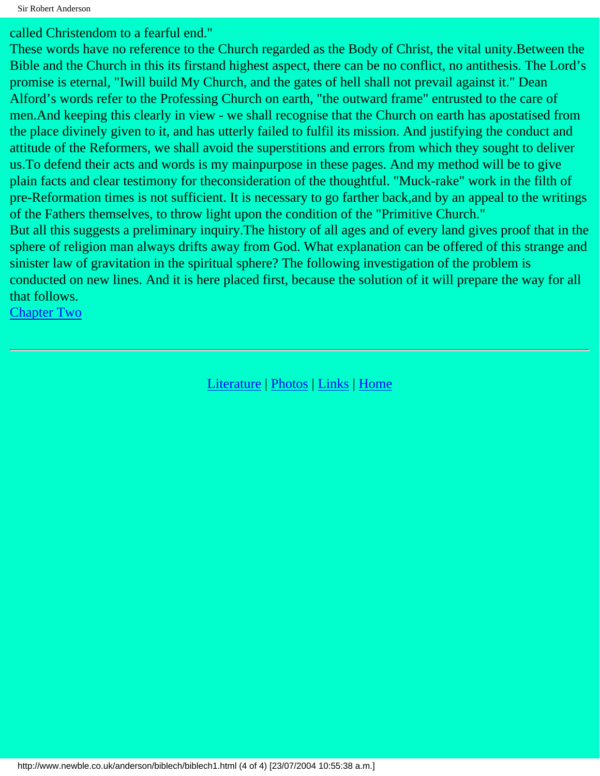called Christendom to a fearful end."

These words have no reference to the Church regarded as the Body of Christ, the vital unity.Between the Bible and the Church in this its firstand highest aspect, there can be no conflict, no antithesis. The Lord's promise is eternal, "Iwill build My Church, and the gates of hell shall not prevail against it." Dean Alford's words refer to the Professing Church on earth, "the outward frame" entrusted to the care of men.And keeping this clearly in view - we shall recognise that the Church on earth has apostatised from the place divinely given to it, and has utterly failed to fulfil its mission. And justifying the conduct and attitude of the Reformers, we shall avoid the superstitions and errors from which they sought to deliver us.To defend their acts and words is my mainpurpose in these pages. And my method will be to give plain facts and clear testimony for theconsideration of the thoughtful. "Muck-rake" work in the filth of pre-Reformation times is not sufficient. It is necessary to go farther back,and by an appeal to the writings of the Fathers themselves, to throw light upon the condition of the "Primitive Church." But all this suggests a preliminary inquiry.The history of all ages and of every land gives proof that in the sphere of religion man always drifts away from God. What explanation can be offered of this strange and sinister law of gravitation in the spiritual sphere? The following investigation of the problem is conducted on new lines. And it is here placed first, because the solution of it will prepare the way for all that follows.

[Chapter Two](#page-8-0)

[Literature](http://www.newble.co.uk/anderson/literature.html) | [Photos](http://www.newble.co.uk/anderson/photos.html) | [Links](http://www.newble.co.uk/anderson/links.html) | [Home](http://www.newble.co.uk/anderson/index.html)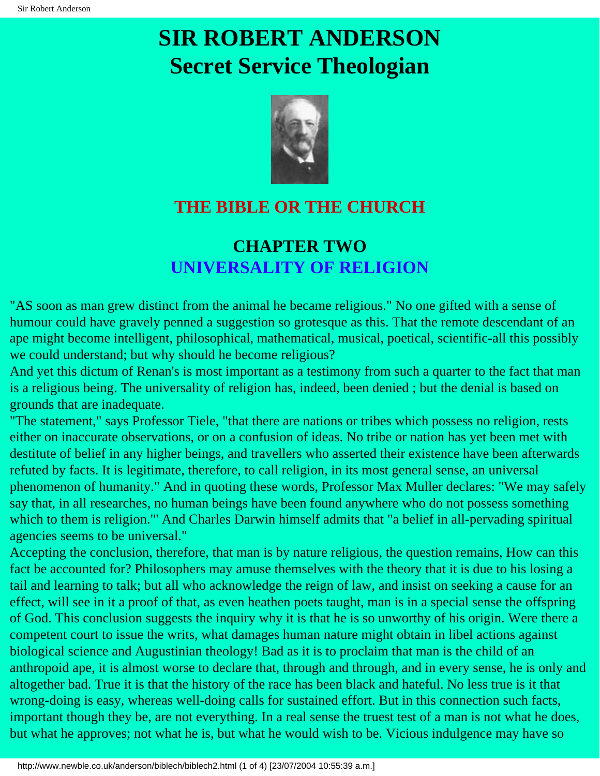

## <span id="page-8-0"></span>**THE BIBLE OR THE CHURCH**

## **CHAPTER TWO UNIVERSALITY OF RELIGION**

"AS soon as man grew distinct from the animal he became religious." No one gifted with a sense of humour could have gravely penned a suggestion so grotesque as this. That the remote descendant of an ape might become intelligent, philosophical, mathematical, musical, poetical, scientific-all this possibly we could understand; but why should he become religious?

And yet this dictum of Renan's is most important as a testimony from such a quarter to the fact that man is a religious being. The universality of religion has, indeed, been denied ; but the denial is based on grounds that are inadequate.

"The statement," says Professor Tiele, "that there are nations or tribes which possess no religion, rests either on inaccurate observations, or on a confusion of ideas. No tribe or nation has yet been met with destitute of belief in any higher beings, and travellers who asserted their existence have been afterwards refuted by facts. It is legitimate, therefore, to call religion, in its most general sense, an universal phenomenon of humanity." And in quoting these words, Professor Max Muller declares: "We may safely say that, in all researches, no human beings have been found anywhere who do not possess something which to them is religion."' And Charles Darwin himself admits that "a belief in all-pervading spiritual agencies seems to be universal."

Accepting the conclusion, therefore, that man is by nature religious, the question remains, How can this fact be accounted for? Philosophers may amuse themselves with the theory that it is due to his losing a tail and learning to talk; but all who acknowledge the reign of law, and insist on seeking a cause for an effect, will see in it a proof of that, as even heathen poets taught, man is in a special sense the offspring of God. This conclusion suggests the inquiry why it is that he is so unworthy of his origin. Were there a competent court to issue the writs, what damages human nature might obtain in libel actions against biological science and Augustinian theology! Bad as it is to proclaim that man is the child of an anthropoid ape, it is almost worse to declare that, through and through, and in every sense, he is only and altogether bad. True it is that the history of the race has been black and hateful. No less true is it that wrong-doing is easy, whereas well-doing calls for sustained effort. But in this connection such facts, important though they be, are not everything. In a real sense the truest test of a man is not what he does, but what he approves; not what he is, but what he would wish to be. Vicious indulgence may have so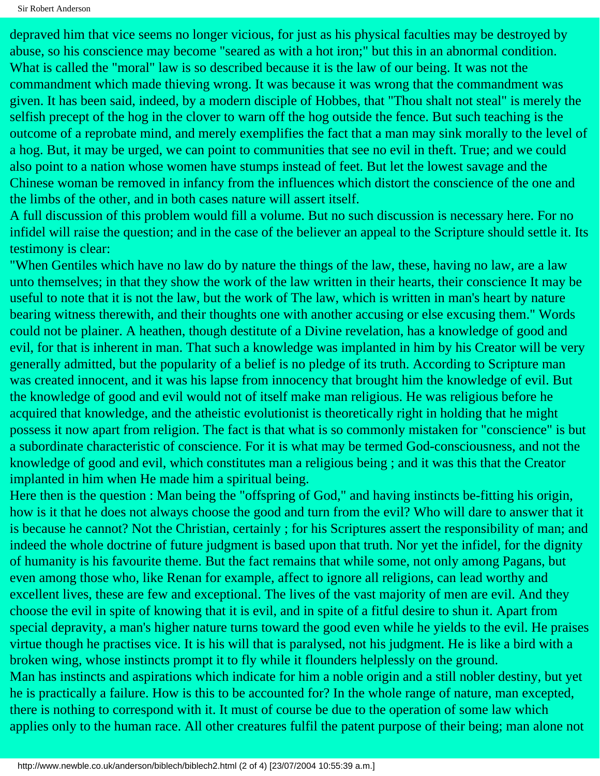depraved him that vice seems no longer vicious, for just as his physical faculties may be destroyed by abuse, so his conscience may become "seared as with a hot iron;" but this in an abnormal condition. What is called the "moral" law is so described because it is the law of our being. It was not the commandment which made thieving wrong. It was because it was wrong that the commandment was given. It has been said, indeed, by a modern disciple of Hobbes, that "Thou shalt not steal" is merely the selfish precept of the hog in the clover to warn off the hog outside the fence. But such teaching is the outcome of a reprobate mind, and merely exemplifies the fact that a man may sink morally to the level of a hog. But, it may be urged, we can point to communities that see no evil in theft. True; and we could also point to a nation whose women have stumps instead of feet. But let the lowest savage and the Chinese woman be removed in infancy from the influences which distort the conscience of the one and the limbs of the other, and in both cases nature will assert itself.

A full discussion of this problem would fill a volume. But no such discussion is necessary here. For no infidel will raise the question; and in the case of the believer an appeal to the Scripture should settle it. Its testimony is clear:

"When Gentiles which have no law do by nature the things of the law, these, having no law, are a law unto themselves; in that they show the work of the law written in their hearts, their conscience It may be useful to note that it is not the law, but the work of The law, which is written in man's heart by nature bearing witness therewith, and their thoughts one with another accusing or else excusing them." Words could not be plainer. A heathen, though destitute of a Divine revelation, has a knowledge of good and evil, for that is inherent in man. That such a knowledge was implanted in him by his Creator will be very generally admitted, but the popularity of a belief is no pledge of its truth. According to Scripture man was created innocent, and it was his lapse from innocency that brought him the knowledge of evil. But the knowledge of good and evil would not of itself make man religious. He was religious before he acquired that knowledge, and the atheistic evolutionist is theoretically right in holding that he might possess it now apart from religion. The fact is that what is so commonly mistaken for "conscience" is but a subordinate characteristic of conscience. For it is what may be termed God-consciousness, and not the knowledge of good and evil, which constitutes man a religious being ; and it was this that the Creator implanted in him when He made him a spiritual being.

Here then is the question : Man being the "offspring of God," and having instincts be-fitting his origin, how is it that he does not always choose the good and turn from the evil? Who will dare to answer that it is because he cannot? Not the Christian, certainly ; for his Scriptures assert the responsibility of man; and indeed the whole doctrine of future judgment is based upon that truth. Nor yet the infidel, for the dignity of humanity is his favourite theme. But the fact remains that while some, not only among Pagans, but even among those who, like Renan for example, affect to ignore all religions, can lead worthy and excellent lives, these are few and exceptional. The lives of the vast majority of men are evil. And they choose the evil in spite of knowing that it is evil, and in spite of a fitful desire to shun it. Apart from special depravity, a man's higher nature turns toward the good even while he yields to the evil. He praises virtue though he practises vice. It is his will that is paralysed, not his judgment. He is like a bird with a broken wing, whose instincts prompt it to fly while it flounders helplessly on the ground. Man has instincts and aspirations which indicate for him a noble origin and a still nobler destiny, but yet he is practically a failure. How is this to be accounted for? In the whole range of nature, man excepted, there is nothing to correspond with it. It must of course be due to the operation of some law which applies only to the human race. All other creatures fulfil the patent purpose of their being; man alone not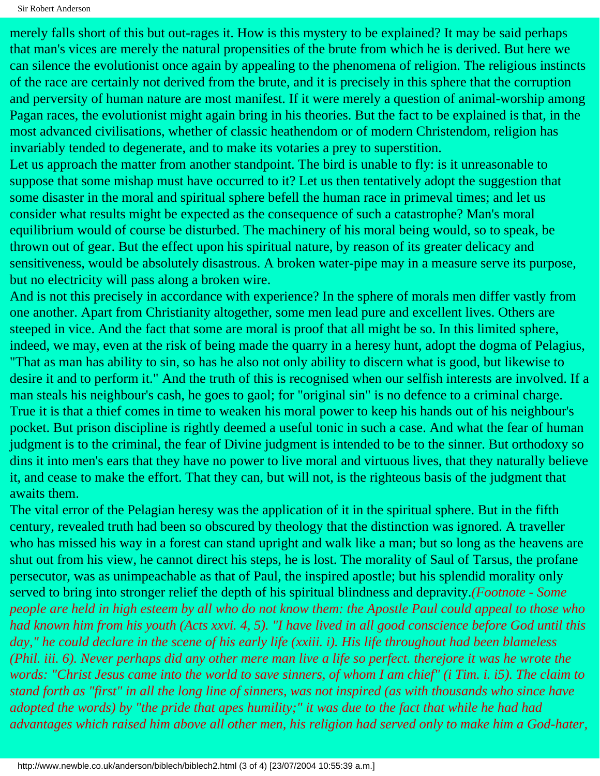merely falls short of this but out-rages it. How is this mystery to be explained? It may be said perhaps that man's vices are merely the natural propensities of the brute from which he is derived. But here we can silence the evolutionist once again by appealing to the phenomena of religion. The religious instincts of the race are certainly not derived from the brute, and it is precisely in this sphere that the corruption and perversity of human nature are most manifest. If it were merely a question of animal-worship among Pagan races, the evolutionist might again bring in his theories. But the fact to be explained is that, in the most advanced civilisations, whether of classic heathendom or of modern Christendom, religion has invariably tended to degenerate, and to make its votaries a prey to superstition.

Let us approach the matter from another standpoint. The bird is unable to fly: is it unreasonable to suppose that some mishap must have occurred to it? Let us then tentatively adopt the suggestion that some disaster in the moral and spiritual sphere befell the human race in primeval times; and let us consider what results might be expected as the consequence of such a catastrophe? Man's moral equilibrium would of course be disturbed. The machinery of his moral being would, so to speak, be thrown out of gear. But the effect upon his spiritual nature, by reason of its greater delicacy and sensitiveness, would be absolutely disastrous. A broken water-pipe may in a measure serve its purpose, but no electricity will pass along a broken wire.

And is not this precisely in accordance with experience? In the sphere of morals men differ vastly from one another. Apart from Christianity altogether, some men lead pure and excellent lives. Others are steeped in vice. And the fact that some are moral is proof that all might be so. In this limited sphere, indeed, we may, even at the risk of being made the quarry in a heresy hunt, adopt the dogma of Pelagius, "That as man has ability to sin, so has he also not only ability to discern what is good, but likewise to desire it and to perform it." And the truth of this is recognised when our selfish interests are involved. If a man steals his neighbour's cash, he goes to gaol; for "original sin" is no defence to a criminal charge. True it is that a thief comes in time to weaken his moral power to keep his hands out of his neighbour's pocket. But prison discipline is rightly deemed a useful tonic in such a case. And what the fear of human judgment is to the criminal, the fear of Divine judgment is intended to be to the sinner. But orthodoxy so dins it into men's ears that they have no power to live moral and virtuous lives, that they naturally believe it, and cease to make the effort. That they can, but will not, is the righteous basis of the judgment that awaits them.

The vital error of the Pelagian heresy was the application of it in the spiritual sphere. But in the fifth century, revealed truth had been so obscured by theology that the distinction was ignored. A traveller who has missed his way in a forest can stand upright and walk like a man; but so long as the heavens are shut out from his view, he cannot direct his steps, he is lost. The morality of Saul of Tarsus, the profane persecutor, was as unimpeachable as that of Paul, the inspired apostle; but his splendid morality only served to bring into stronger relief the depth of his spiritual blindness and depravity.*(Footnote - Some people are held in high esteem by all who do not know them: the Apostle Paul could appeal to those who had known him from his youth (Acts xxvi. 4, 5). "I have lived in all good conscience before God until this day," he could declare in the scene of his early life (xxiii. i). His life throughout had been blameless (Phil. iii. 6). Never perhaps did any other mere man live a life so perfect. therejore it was he wrote the words: "Christ Jesus came into the world to save sinners, of whom I am chief" (i Tim. i. i5). The claim to stand forth as "first" in all the long line of sinners, was not inspired (as with thousands who since have adopted the words) by "the pride that apes humility;" it was due to the fact that while he had had advantages which raised him above all other men, his religion had served only to make him a God-hater,*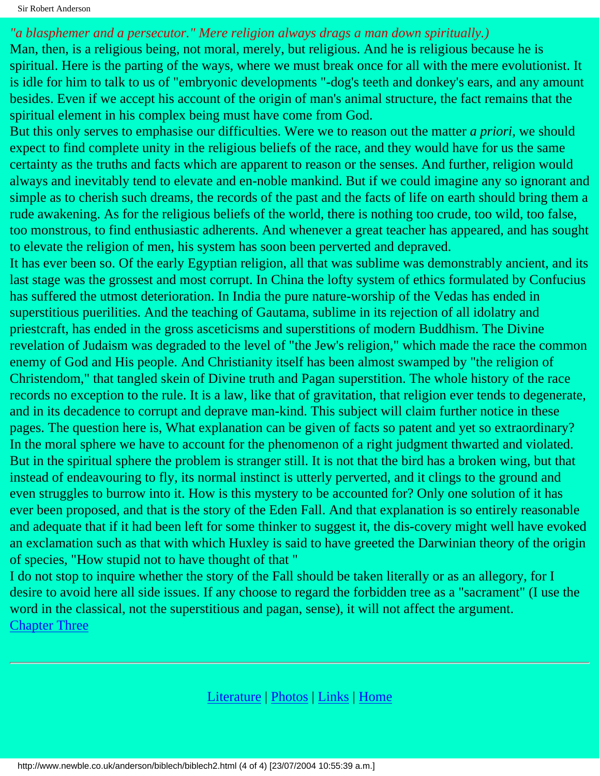#### *"a blasphemer and a persecutor." Mere religion always drags a man down spiritually.)*

Man, then, is a religious being, not moral, merely, but religious. And he is religious because he is spiritual. Here is the parting of the ways, where we must break once for all with the mere evolutionist. It is idle for him to talk to us of "embryonic developments "-dog's teeth and donkey's ears, and any amount besides. Even if we accept his account of the origin of man's animal structure, the fact remains that the spiritual element in his complex being must have come from God.

But this only serves to emphasise our difficulties. Were we to reason out the matter *a priori,* we should expect to find complete unity in the religious beliefs of the race, and they would have for us the same certainty as the truths and facts which are apparent to reason or the senses. And further, religion would always and inevitably tend to elevate and en-noble mankind. But if we could imagine any so ignorant and simple as to cherish such dreams, the records of the past and the facts of life on earth should bring them a rude awakening. As for the religious beliefs of the world, there is nothing too crude, too wild, too false, too monstrous, to find enthusiastic adherents. And whenever a great teacher has appeared, and has sought to elevate the religion of men, his system has soon been perverted and depraved.

It has ever been so. Of the early Egyptian religion, all that was sublime was demonstrably ancient, and its last stage was the grossest and most corrupt. In China the lofty system of ethics formulated by Confucius has suffered the utmost deterioration. In India the pure nature-worship of the Vedas has ended in superstitious puerilities. And the teaching of Gautama, sublime in its rejection of all idolatry and priestcraft, has ended in the gross asceticisms and superstitions of modern Buddhism. The Divine revelation of Judaism was degraded to the level of "the Jew's religion," which made the race the common enemy of God and His people. And Christianity itself has been almost swamped by "the religion of Christendom," that tangled skein of Divine truth and Pagan superstition. The whole history of the race records no exception to the rule. It is a law, like that of gravitation, that religion ever tends to degenerate, and in its decadence to corrupt and deprave man-kind. This subject will claim further notice in these pages. The question here is, What explanation can be given of facts so patent and yet so extraordinary? In the moral sphere we have to account for the phenomenon of a right judgment thwarted and violated. But in the spiritual sphere the problem is stranger still. It is not that the bird has a broken wing, but that instead of endeavouring to fly, its normal instinct is utterly perverted, and it clings to the ground and even struggles to burrow into it. How is this mystery to be accounted for? Only one solution of it has ever been proposed, and that is the story of the Eden Fall. And that explanation is so entirely reasonable and adequate that if it had been left for some thinker to suggest it, the dis-covery might well have evoked an exclamation such as that with which Huxley is said to have greeted the Darwinian theory of the origin of species, "How stupid not to have thought of that "

I do not stop to inquire whether the story of the Fall should be taken literally or as an allegory, for I desire to avoid here all side issues. If any choose to regard the forbidden tree as a "sacrament" (I use the word in the classical, not the superstitious and pagan, sense), it will not affect the argument. [Chapter Three](#page-12-0)

[Literature](http://www.newble.co.uk/anderson/literature.html) | [Photos](http://www.newble.co.uk/anderson/photos.html) | [Links](http://www.newble.co.uk/anderson/links.html) | [Home](http://www.newble.co.uk/anderson/index.html)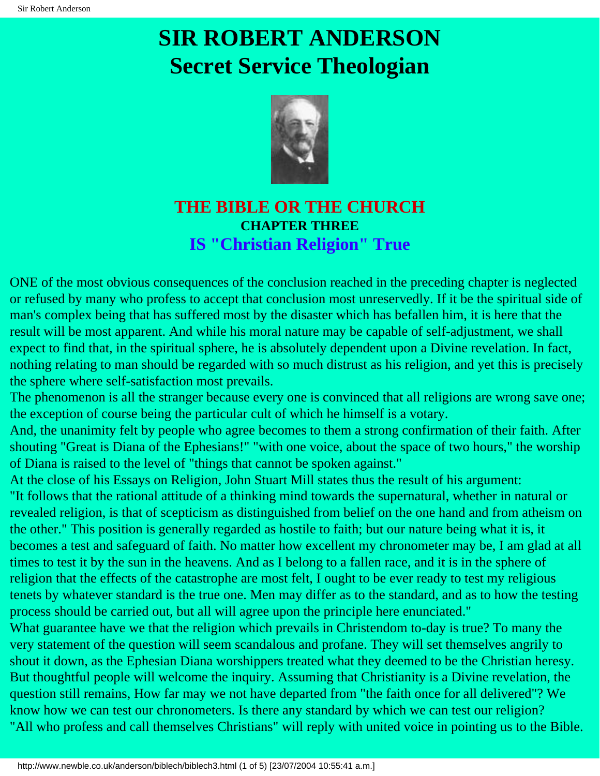

### <span id="page-12-0"></span>**THE BIBLE OR THE CHURCH CHAPTER THREE IS "Christian Religion" True**

ONE of the most obvious consequences of the conclusion reached in the preceding chapter is neglected or refused by many who profess to accept that conclusion most unreservedly. If it be the spiritual side of man's complex being that has suffered most by the disaster which has befallen him, it is here that the result will be most apparent. And while his moral nature may be capable of self-adjustment, we shall expect to find that, in the spiritual sphere, he is absolutely dependent upon a Divine revelation. In fact, nothing relating to man should be regarded with so much distrust as his religion, and yet this is precisely the sphere where self-satisfaction most prevails.

The phenomenon is all the stranger because every one is convinced that all religions are wrong save one; the exception of course being the particular cult of which he himself is a votary.

And, the unanimity felt by people who agree becomes to them a strong confirmation of their faith. After shouting "Great is Diana of the Ephesians!" "with one voice, about the space of two hours," the worship of Diana is raised to the level of "things that cannot be spoken against."

At the close of his Essays on Religion, John Stuart Mill states thus the result of his argument: "It follows that the rational attitude of a thinking mind towards the supernatural, whether in natural or revealed religion, is that of scepticism as distinguished from belief on the one hand and from atheism on

the other." This position is generally regarded as hostile to faith; but our nature being what it is, it becomes a test and safeguard of faith. No matter how excellent my chronometer may be, I am glad at all times to test it by the sun in the heavens. And as I belong to a fallen race, and it is in the sphere of religion that the effects of the catastrophe are most felt, I ought to be ever ready to test my religious tenets by whatever standard is the true one. Men may differ as to the standard, and as to how the testing process should be carried out, but all will agree upon the principle here enunciated."

What guarantee have we that the religion which prevails in Christendom to-day is true? To many the very statement of the question will seem scandalous and profane. They will set themselves angrily to shout it down, as the Ephesian Diana worshippers treated what they deemed to be the Christian heresy. But thoughtful people will welcome the inquiry. Assuming that Christianity is a Divine revelation, the question still remains, How far may we not have departed from "the faith once for all delivered"? We know how we can test our chronometers. Is there any standard by which we can test our religion? "All who profess and call themselves Christians" will reply with united voice in pointing us to the Bible.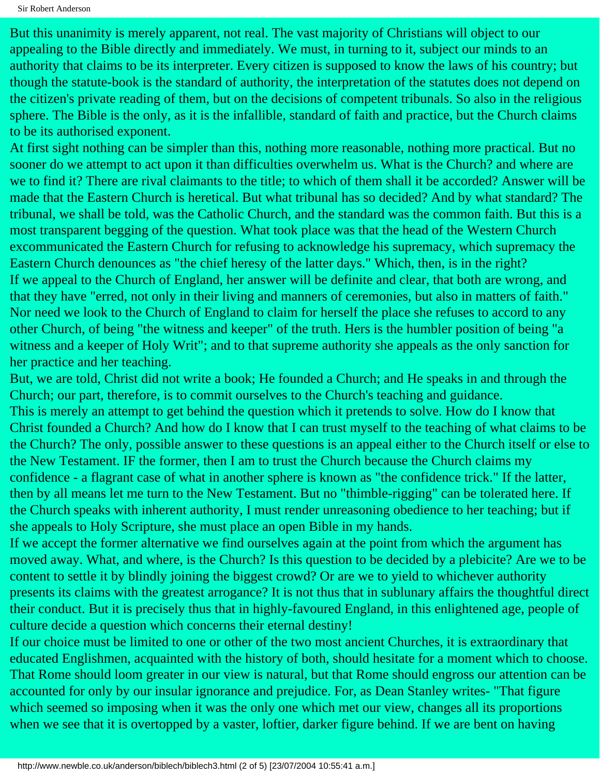But this unanimity is merely apparent, not real. The vast majority of Christians will object to our appealing to the Bible directly and immediately. We must, in turning to it, subject our minds to an authority that claims to be its interpreter. Every citizen is supposed to know the laws of his country; but though the statute-book is the standard of authority, the interpretation of the statutes does not depend on the citizen's private reading of them, but on the decisions of competent tribunals. So also in the religious sphere. The Bible is the only, as it is the infallible, standard of faith and practice, but the Church claims to be its authorised exponent.

At first sight nothing can be simpler than this, nothing more reasonable, nothing more practical. But no sooner do we attempt to act upon it than difficulties overwhelm us. What is the Church? and where are we to find it? There are rival claimants to the title; to which of them shall it be accorded? Answer will be made that the Eastern Church is heretical. But what tribunal has so decided? And by what standard? The tribunal, we shall be told, was the Catholic Church, and the standard was the common faith. But this is a most transparent begging of the question. What took place was that the head of the Western Church excommunicated the Eastern Church for refusing to acknowledge his supremacy, which supremacy the Eastern Church denounces as "the chief heresy of the latter days." Which, then, is in the right? If we appeal to the Church of England, her answer will be definite and clear, that both are wrong, and that they have "erred, not only in their living and manners of ceremonies, but also in matters of faith." Nor need we look to the Church of England to claim for herself the place she refuses to accord to any other Church, of being "the witness and keeper" of the truth. Hers is the humbler position of being "a witness and a keeper of Holy Writ"; and to that supreme authority she appeals as the only sanction for her practice and her teaching.

But, we are told, Christ did not write a book; He founded a Church; and He speaks in and through the Church; our part, therefore, is to commit ourselves to the Church's teaching and guidance. This is merely an attempt to get behind the question which it pretends to solve. How do I know that Christ founded a Church? And how do I know that I can trust myself to the teaching of what claims to be the Church? The only, possible answer to these questions is an appeal either to the Church itself or else to the New Testament. IF the former, then I am to trust the Church because the Church claims my confidence - a flagrant case of what in another sphere is known as "the confidence trick." If the latter, then by all means let me turn to the New Testament. But no "thimble-rigging" can be tolerated here. If the Church speaks with inherent authority, I must render unreasoning obedience to her teaching; but if she appeals to Holy Scripture, she must place an open Bible in my hands.

If we accept the former alternative we find ourselves again at the point from which the argument has moved away. What, and where, is the Church? Is this question to be decided by a plebicite? Are we to be content to settle it by blindly joining the biggest crowd? Or are we to yield to whichever authority presents its claims with the greatest arrogance? It is not thus that in sublunary affairs the thoughtful direct their conduct. But it is precisely thus that in highly-favoured England, in this enlightened age, people of culture decide a question which concerns their eternal destiny!

If our choice must be limited to one or other of the two most ancient Churches, it is extraordinary that educated Englishmen, acquainted with the history of both, should hesitate for a moment which to choose. That Rome should loom greater in our view is natural, but that Rome should engross our attention can be accounted for only by our insular ignorance and prejudice. For, as Dean Stanley writes- "That figure which seemed so imposing when it was the only one which met our view, changes all its proportions when we see that it is overtopped by a vaster, loftier, darker figure behind. If we are bent on having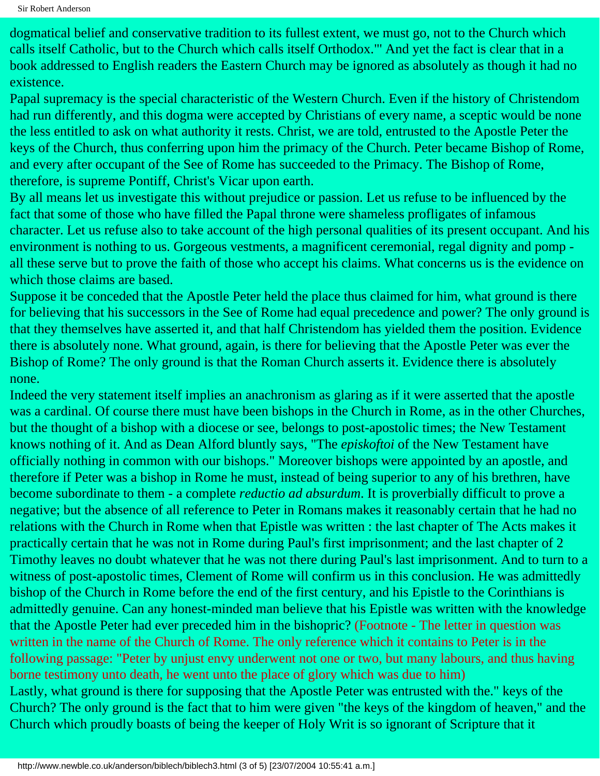dogmatical belief and conservative tradition to its fullest extent, we must go, not to the Church which calls itself Catholic, but to the Church which calls itself Orthodox."' And yet the fact is clear that in a book addressed to English readers the Eastern Church may be ignored as absolutely as though it had no existence.

Papal supremacy is the special characteristic of the Western Church. Even if the history of Christendom had run differently, and this dogma were accepted by Christians of every name, a sceptic would be none the less entitled to ask on what authority it rests. Christ, we are told, entrusted to the Apostle Peter the keys of the Church, thus conferring upon him the primacy of the Church. Peter became Bishop of Rome, and every after occupant of the See of Rome has succeeded to the Primacy. The Bishop of Rome, therefore, is supreme Pontiff, Christ's Vicar upon earth.

By all means let us investigate this without prejudice or passion. Let us refuse to be influenced by the fact that some of those who have filled the Papal throne were shameless profligates of infamous character. Let us refuse also to take account of the high personal qualities of its present occupant. And his environment is nothing to us. Gorgeous vestments, a magnificent ceremonial, regal dignity and pomp all these serve but to prove the faith of those who accept his claims. What concerns us is the evidence on which those claims are based.

Suppose it be conceded that the Apostle Peter held the place thus claimed for him, what ground is there for believing that his successors in the See of Rome had equal precedence and power? The only ground is that they themselves have asserted it, and that half Christendom has yielded them the position. Evidence there is absolutely none. What ground, again, is there for believing that the Apostle Peter was ever the Bishop of Rome? The only ground is that the Roman Church asserts it. Evidence there is absolutely none.

Indeed the very statement itself implies an anachronism as glaring as if it were asserted that the apostle was a cardinal. Of course there must have been bishops in the Church in Rome, as in the other Churches, but the thought of a bishop with a diocese or see, belongs to post-apostolic times; the New Testament knows nothing of it. And as Dean Alford bluntly says, "The *episkoftoi* of the New Testament have officially nothing in common with our bishops." Moreover bishops were appointed by an apostle, and therefore if Peter was a bishop in Rome he must, instead of being superior to any of his brethren, have become subordinate to them - a complete *reductio ad absurdum*. It is proverbially difficult to prove a negative; but the absence of all reference to Peter in Romans makes it reasonably certain that he had no relations with the Church in Rome when that Epistle was written : the last chapter of The Acts makes it practically certain that he was not in Rome during Paul's first imprisonment; and the last chapter of 2 Timothy leaves no doubt whatever that he was not there during Paul's last imprisonment. And to turn to a witness of post-apostolic times, Clement of Rome will confirm us in this conclusion. He was admittedly bishop of the Church in Rome before the end of the first century, and his Epistle to the Corinthians is admittedly genuine. Can any honest-minded man believe that his Epistle was written with the knowledge that the Apostle Peter had ever preceded him in the bishopric? (Footnote - The letter in question was written in the name of the Church of Rome. The only reference which it contains to Peter is in the following passage: "Peter by unjust envy underwent not one or two, but many labours, and thus having borne testimony unto death, he went unto the place of glory which was due to him) Lastly, what ground is there for supposing that the Apostle Peter was entrusted with the." keys of the Church? The only ground is the fact that to him were given "the keys of the kingdom of heaven," and the Church which proudly boasts of being the keeper of Holy Writ is so ignorant of Scripture that it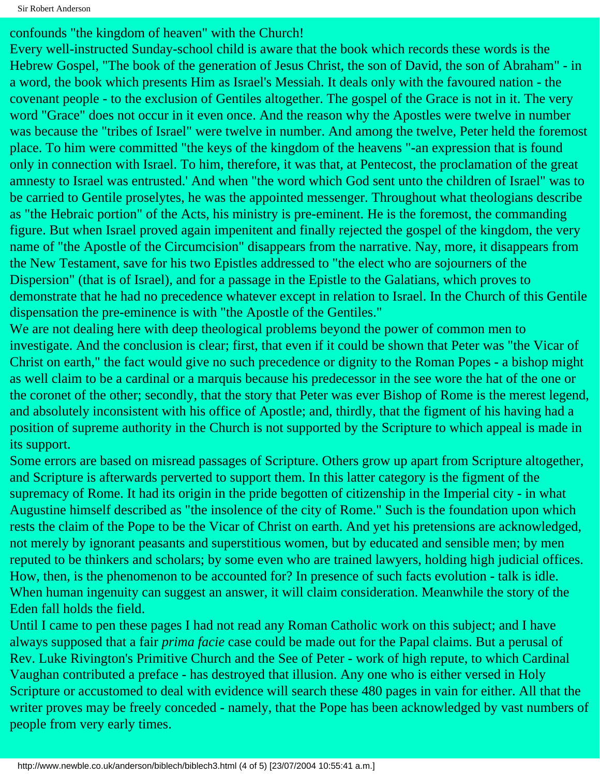confounds "the kingdom of heaven" with the Church!

Every well-instructed Sunday-school child is aware that the book which records these words is the Hebrew Gospel, "The book of the generation of Jesus Christ, the son of David, the son of Abraham" - in a word, the book which presents Him as Israel's Messiah. It deals only with the favoured nation - the covenant people - to the exclusion of Gentiles altogether. The gospel of the Grace is not in it. The very word "Grace" does not occur in it even once. And the reason why the Apostles were twelve in number was because the "tribes of Israel" were twelve in number. And among the twelve, Peter held the foremost place. To him were committed "the keys of the kingdom of the heavens "-an expression that is found only in connection with Israel. To him, therefore, it was that, at Pentecost, the proclamation of the great amnesty to Israel was entrusted.' And when "the word which God sent unto the children of Israel" was to be carried to Gentile proselytes, he was the appointed messenger. Throughout what theologians describe as "the Hebraic portion" of the Acts, his ministry is pre-eminent. He is the foremost, the commanding figure. But when Israel proved again impenitent and finally rejected the gospel of the kingdom, the very name of "the Apostle of the Circumcision" disappears from the narrative. Nay, more, it disappears from the New Testament, save for his two Epistles addressed to "the elect who are sojourners of the Dispersion" (that is of Israel), and for a passage in the Epistle to the Galatians, which proves to demonstrate that he had no precedence whatever except in relation to Israel. In the Church of this Gentile dispensation the pre-eminence is with "the Apostle of the Gentiles."

We are not dealing here with deep theological problems beyond the power of common men to investigate. And the conclusion is clear; first, that even if it could be shown that Peter was "the Vicar of Christ on earth," the fact would give no such precedence or dignity to the Roman Popes - a bishop might as well claim to be a cardinal or a marquis because his predecessor in the see wore the hat of the one or the coronet of the other; secondly, that the story that Peter was ever Bishop of Rome is the merest legend, and absolutely inconsistent with his office of Apostle; and, thirdly, that the figment of his having had a position of supreme authority in the Church is not supported by the Scripture to which appeal is made in its support.

Some errors are based on misread passages of Scripture. Others grow up apart from Scripture altogether, and Scripture is afterwards perverted to support them. In this latter category is the figment of the supremacy of Rome. It had its origin in the pride begotten of citizenship in the Imperial city - in what Augustine himself described as "the insolence of the city of Rome." Such is the foundation upon which rests the claim of the Pope to be the Vicar of Christ on earth. And yet his pretensions are acknowledged, not merely by ignorant peasants and superstitious women, but by educated and sensible men; by men reputed to be thinkers and scholars; by some even who are trained lawyers, holding high judicial offices. How, then, is the phenomenon to be accounted for? In presence of such facts evolution - talk is idle. When human ingenuity can suggest an answer, it will claim consideration. Meanwhile the story of the Eden fall holds the field.

Until I came to pen these pages I had not read any Roman Catholic work on this subject; and I have always supposed that a fair *prima facie* case could be made out for the Papal claims. But a perusal of Rev. Luke Rivington's Primitive Church and the See of Peter - work of high repute, to which Cardinal Vaughan contributed a preface - has destroyed that illusion. Any one who is either versed in Holy Scripture or accustomed to deal with evidence will search these 480 pages in vain for either. All that the writer proves may be freely conceded - namely, that the Pope has been acknowledged by vast numbers of people from very early times.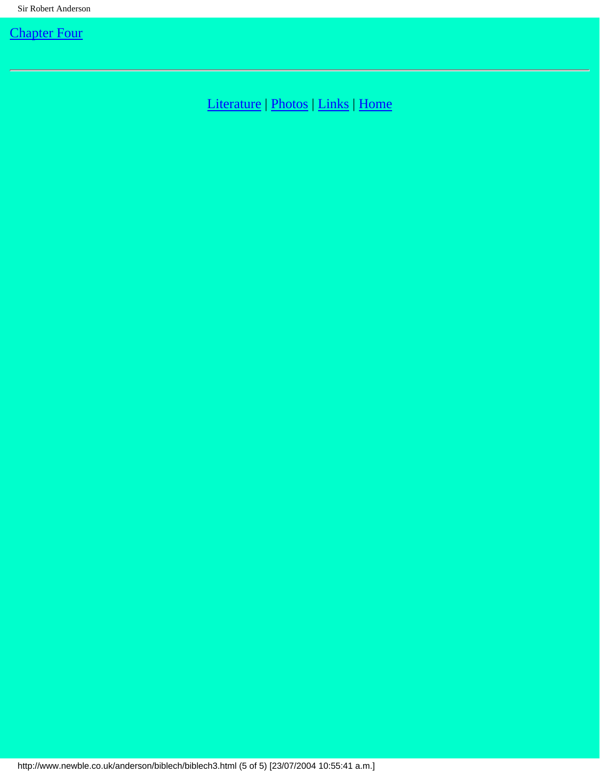[Literature](http://www.newble.co.uk/anderson/literature.html) | [Photos](http://www.newble.co.uk/anderson/photos.html) | [Links](http://www.newble.co.uk/anderson/links.html) | [Home](http://www.newble.co.uk/anderson/index.html)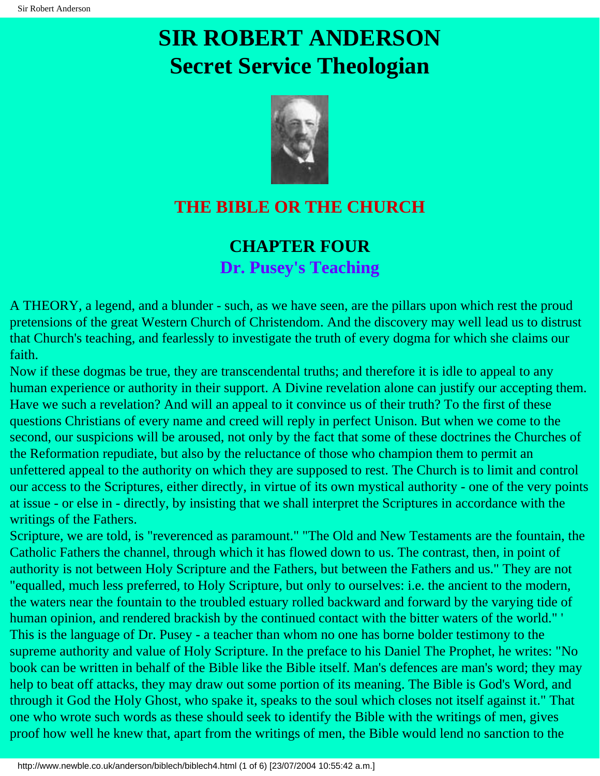

## <span id="page-17-0"></span>**THE BIBLE OR THE CHURCH**

### **CHAPTER FOUR Dr. Pusey's Teaching**

A THEORY, a legend, and a blunder - such, as we have seen, are the pillars upon which rest the proud pretensions of the great Western Church of Christendom. And the discovery may well lead us to distrust that Church's teaching, and fearlessly to investigate the truth of every dogma for which she claims our faith.

Now if these dogmas be true, they are transcendental truths; and therefore it is idle to appeal to any human experience or authority in their support. A Divine revelation alone can justify our accepting them. Have we such a revelation? And will an appeal to it convince us of their truth? To the first of these questions Christians of every name and creed will reply in perfect Unison. But when we come to the second, our suspicions will be aroused, not only by the fact that some of these doctrines the Churches of the Reformation repudiate, but also by the reluctance of those who champion them to permit an unfettered appeal to the authority on which they are supposed to rest. The Church is to limit and control our access to the Scriptures, either directly, in virtue of its own mystical authority - one of the very points at issue - or else in - directly, by insisting that we shall interpret the Scriptures in accordance with the writings of the Fathers.

Scripture, we are told, is "reverenced as paramount." "The Old and New Testaments are the fountain, the Catholic Fathers the channel, through which it has flowed down to us. The contrast, then, in point of authority is not between Holy Scripture and the Fathers, but between the Fathers and us." They are not "equalled, much less preferred, to Holy Scripture, but only to ourselves: i.e. the ancient to the modern, the waters near the fountain to the troubled estuary rolled backward and forward by the varying tide of human opinion, and rendered brackish by the continued contact with the bitter waters of the world." ' This is the language of Dr. Pusey - a teacher than whom no one has borne bolder testimony to the supreme authority and value of Holy Scripture. In the preface to his Daniel The Prophet, he writes: "No book can be written in behalf of the Bible like the Bible itself. Man's defences are man's word; they may help to beat off attacks, they may draw out some portion of its meaning. The Bible is God's Word, and through it God the Holy Ghost, who spake it, speaks to the soul which closes not itself against it." That one who wrote such words as these should seek to identify the Bible with the writings of men, gives proof how well he knew that, apart from the writings of men, the Bible would lend no sanction to the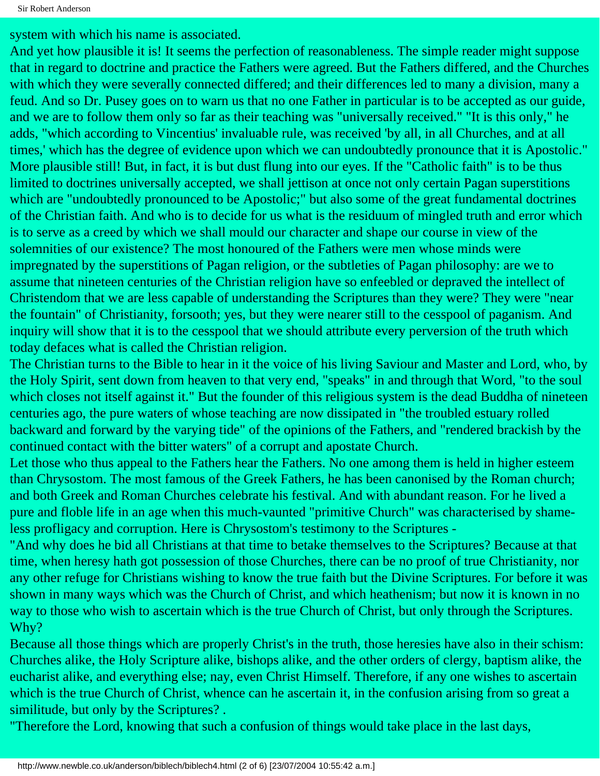system with which his name is associated.

And yet how plausible it is! It seems the perfection of reasonableness. The simple reader might suppose that in regard to doctrine and practice the Fathers were agreed. But the Fathers differed, and the Churches with which they were severally connected differed; and their differences led to many a division, many a feud. And so Dr. Pusey goes on to warn us that no one Father in particular is to be accepted as our guide, and we are to follow them only so far as their teaching was "universally received." "It is this only," he adds, "which according to Vincentius' invaluable rule, was received 'by all, in all Churches, and at all times,' which has the degree of evidence upon which we can undoubtedly pronounce that it is Apostolic." More plausible still! But, in fact, it is but dust flung into our eyes. If the "Catholic faith" is to be thus limited to doctrines universally accepted, we shall jettison at once not only certain Pagan superstitions which are "undoubtedly pronounced to be Apostolic;" but also some of the great fundamental doctrines of the Christian faith. And who is to decide for us what is the residuum of mingled truth and error which is to serve as a creed by which we shall mould our character and shape our course in view of the solemnities of our existence? The most honoured of the Fathers were men whose minds were impregnated by the superstitions of Pagan religion, or the subtleties of Pagan philosophy: are we to assume that nineteen centuries of the Christian religion have so enfeebled or depraved the intellect of Christendom that we are less capable of understanding the Scriptures than they were? They were "near the fountain" of Christianity, forsooth; yes, but they were nearer still to the cesspool of paganism. And inquiry will show that it is to the cesspool that we should attribute every perversion of the truth which today defaces what is called the Christian religion.

The Christian turns to the Bible to hear in it the voice of his living Saviour and Master and Lord, who, by the Holy Spirit, sent down from heaven to that very end, "speaks" in and through that Word, "to the soul which closes not itself against it." But the founder of this religious system is the dead Buddha of nineteen centuries ago, the pure waters of whose teaching are now dissipated in "the troubled estuary rolled backward and forward by the varying tide" of the opinions of the Fathers, and "rendered brackish by the continued contact with the bitter waters" of a corrupt and apostate Church.

Let those who thus appeal to the Fathers hear the Fathers. No one among them is held in higher esteem than Chrysostom. The most famous of the Greek Fathers, he has been canonised by the Roman church; and both Greek and Roman Churches celebrate his festival. And with abundant reason. For he lived a pure and floble life in an age when this much-vaunted "primitive Church" was characterised by shameless profligacy and corruption. Here is Chrysostom's testimony to the Scriptures -

"And why does he bid all Christians at that time to betake themselves to the Scriptures? Because at that time, when heresy hath got possession of those Churches, there can be no proof of true Christianity, nor any other refuge for Christians wishing to know the true faith but the Divine Scriptures. For before it was shown in many ways which was the Church of Christ, and which heathenism; but now it is known in no way to those who wish to ascertain which is the true Church of Christ, but only through the Scriptures. Why?

Because all those things which are properly Christ's in the truth, those heresies have also in their schism: Churches alike, the Holy Scripture alike, bishops alike, and the other orders of clergy, baptism alike, the eucharist alike, and everything else; nay, even Christ Himself. Therefore, if any one wishes to ascertain which is the true Church of Christ, whence can he ascertain it, in the confusion arising from so great a similitude, but only by the Scriptures? .

"Therefore the Lord, knowing that such a confusion of things would take place in the last days,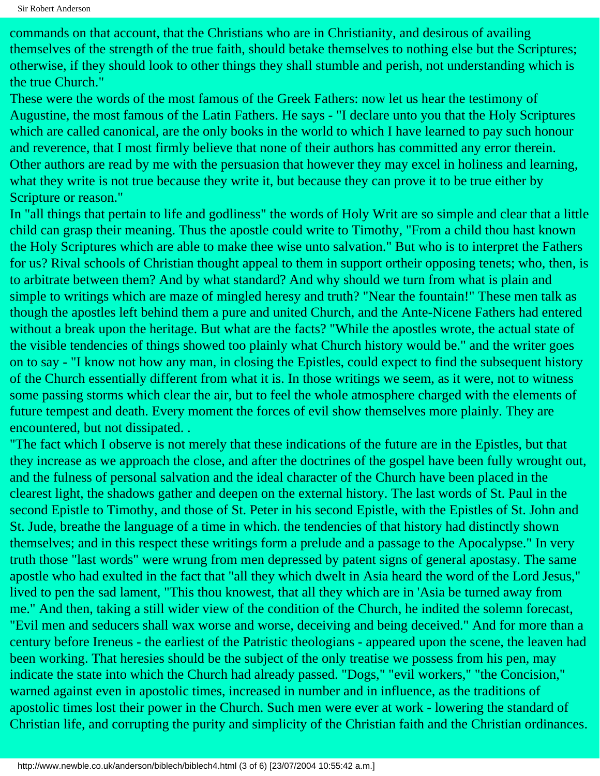commands on that account, that the Christians who are in Christianity, and desirous of availing themselves of the strength of the true faith, should betake themselves to nothing else but the Scriptures; otherwise, if they should look to other things they shall stumble and perish, not understanding which is the true Church."

These were the words of the most famous of the Greek Fathers: now let us hear the testimony of Augustine, the most famous of the Latin Fathers. He says - "I declare unto you that the Holy Scriptures which are called canonical, are the only books in the world to which I have learned to pay such honour and reverence, that I most firmly believe that none of their authors has committed any error therein. Other authors are read by me with the persuasion that however they may excel in holiness and learning, what they write is not true because they write it, but because they can prove it to be true either by Scripture or reason."

In "all things that pertain to life and godliness" the words of Holy Writ are so simple and clear that a little child can grasp their meaning. Thus the apostle could write to Timothy, "From a child thou hast known the Holy Scriptures which are able to make thee wise unto salvation." But who is to interpret the Fathers for us? Rival schools of Christian thought appeal to them in support ortheir opposing tenets; who, then, is to arbitrate between them? And by what standard? And why should we turn from what is plain and simple to writings which are maze of mingled heresy and truth? "Near the fountain!" These men talk as though the apostles left behind them a pure and united Church, and the Ante-Nicene Fathers had entered without a break upon the heritage. But what are the facts? "While the apostles wrote, the actual state of the visible tendencies of things showed too plainly what Church history would be." and the writer goes on to say - "I know not how any man, in closing the Epistles, could expect to find the subsequent history of the Church essentially different from what it is. In those writings we seem, as it were, not to witness some passing storms which clear the air, but to feel the whole atmosphere charged with the elements of future tempest and death. Every moment the forces of evil show themselves more plainly. They are encountered, but not dissipated. .

"The fact which I observe is not merely that these indications of the future are in the Epistles, but that they increase as we approach the close, and after the doctrines of the gospel have been fully wrought out, and the fulness of personal salvation and the ideal character of the Church have been placed in the clearest light, the shadows gather and deepen on the external history. The last words of St. Paul in the second Epistle to Timothy, and those of St. Peter in his second Epistle, with the Epistles of St. John and St. Jude, breathe the language of a time in which. the tendencies of that history had distinctly shown themselves; and in this respect these writings form a prelude and a passage to the Apocalypse." In very truth those "last words" were wrung from men depressed by patent signs of general apostasy. The same apostle who had exulted in the fact that "all they which dwelt in Asia heard the word of the Lord Jesus," lived to pen the sad lament, "This thou knowest, that all they which are in 'Asia be turned away from me." And then, taking a still wider view of the condition of the Church, he indited the solemn forecast, "Evil men and seducers shall wax worse and worse, deceiving and being deceived." And for more than a century before Ireneus - the earliest of the Patristic theologians - appeared upon the scene, the leaven had been working. That heresies should be the subject of the only treatise we possess from his pen, may indicate the state into which the Church had already passed. "Dogs," "evil workers," "the Concision," warned against even in apostolic times, increased in number and in influence, as the traditions of apostolic times lost their power in the Church. Such men were ever at work - lowering the standard of Christian life, and corrupting the purity and simplicity of the Christian faith and the Christian ordinances.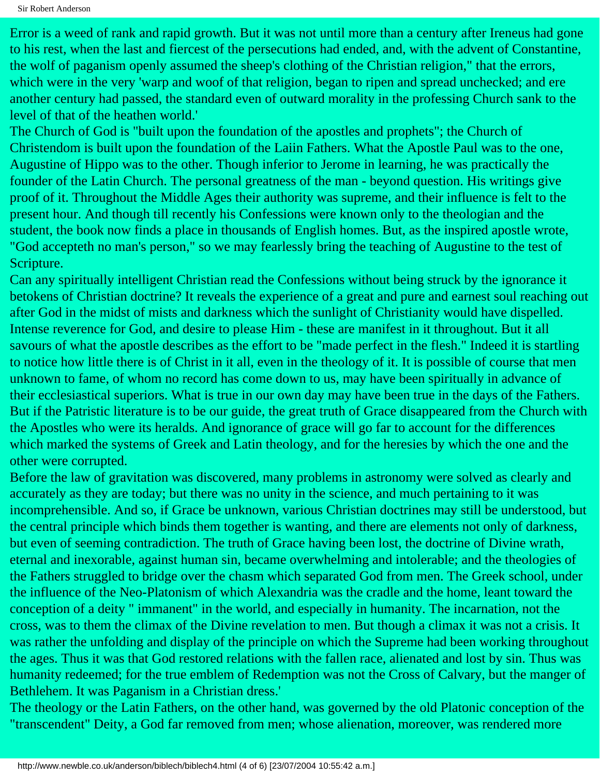Error is a weed of rank and rapid growth. But it was not until more than a century after Ireneus had gone to his rest, when the last and fiercest of the persecutions had ended, and, with the advent of Constantine, the wolf of paganism openly assumed the sheep's clothing of the Christian religion," that the errors, which were in the very 'warp and woof of that religion, began to ripen and spread unchecked; and ere another century had passed, the standard even of outward morality in the professing Church sank to the level of that of the heathen world.'

The Church of God is "built upon the foundation of the apostles and prophets"; the Church of Christendom is built upon the foundation of the Laiin Fathers. What the Apostle Paul was to the one, Augustine of Hippo was to the other. Though inferior to Jerome in learning, he was practically the founder of the Latin Church. The personal greatness of the man - beyond question. His writings give proof of it. Throughout the Middle Ages their authority was supreme, and their influence is felt to the present hour. And though till recently his Confessions were known only to the theologian and the student, the book now finds a place in thousands of English homes. But, as the inspired apostle wrote, "God accepteth no man's person," so we may fearlessly bring the teaching of Augustine to the test of Scripture.

Can any spiritually intelligent Christian read the Confessions without being struck by the ignorance it betokens of Christian doctrine? It reveals the experience of a great and pure and earnest soul reaching out after God in the midst of mists and darkness which the sunlight of Christianity would have dispelled. Intense reverence for God, and desire to please Him - these are manifest in it throughout. But it all savours of what the apostle describes as the effort to be "made perfect in the flesh." Indeed it is startling to notice how little there is of Christ in it all, even in the theology of it. It is possible of course that men unknown to fame, of whom no record has come down to us, may have been spiritually in advance of their ecclesiastical superiors. What is true in our own day may have been true in the days of the Fathers. But if the Patristic literature is to be our guide, the great truth of Grace disappeared from the Church with the Apostles who were its heralds. And ignorance of grace will go far to account for the differences which marked the systems of Greek and Latin theology, and for the heresies by which the one and the other were corrupted.

Before the law of gravitation was discovered, many problems in astronomy were solved as clearly and accurately as they are today; but there was no unity in the science, and much pertaining to it was incomprehensible. And so, if Grace be unknown, various Christian doctrines may still be understood, but the central principle which binds them together is wanting, and there are elements not only of darkness, but even of seeming contradiction. The truth of Grace having been lost, the doctrine of Divine wrath, eternal and inexorable, against human sin, became overwhelming and intolerable; and the theologies of the Fathers struggled to bridge over the chasm which separated God from men. The Greek school, under the influence of the Neo-Platonism of which Alexandria was the cradle and the home, leant toward the conception of a deity " immanent" in the world, and especially in humanity. The incarnation, not the cross, was to them the climax of the Divine revelation to men. But though a climax it was not a crisis. It was rather the unfolding and display of the principle on which the Supreme had been working throughout the ages. Thus it was that God restored relations with the fallen race, alienated and lost by sin. Thus was humanity redeemed; for the true emblem of Redemption was not the Cross of Calvary, but the manger of Bethlehem. It was Paganism in a Christian dress.'

The theology or the Latin Fathers, on the other hand, was governed by the old Platonic conception of the "transcendent" Deity, a God far removed from men; whose alienation, moreover, was rendered more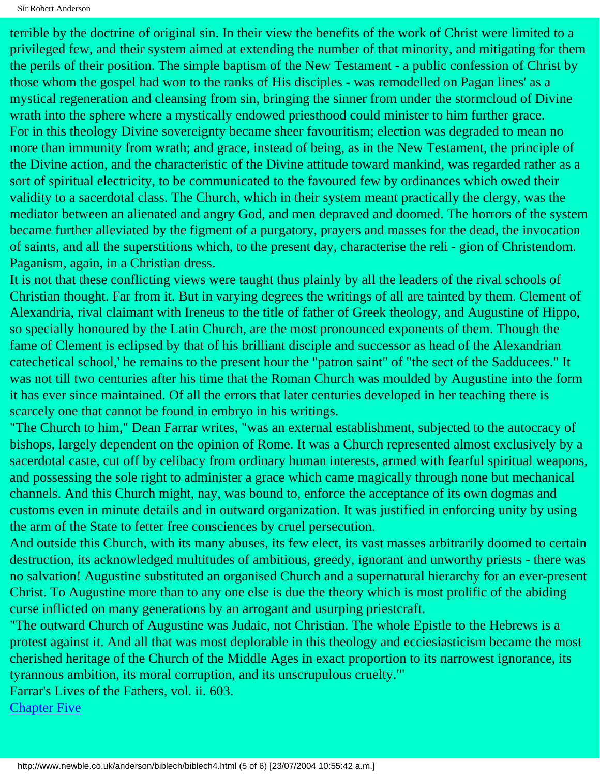Sir Robert Anderson

terrible by the doctrine of original sin. In their view the benefits of the work of Christ were limited to a privileged few, and their system aimed at extending the number of that minority, and mitigating for them the perils of their position. The simple baptism of the New Testament - a public confession of Christ by those whom the gospel had won to the ranks of His disciples - was remodelled on Pagan lines' as a mystical regeneration and cleansing from sin, bringing the sinner from under the stormcloud of Divine wrath into the sphere where a mystically endowed priesthood could minister to him further grace. For in this theology Divine sovereignty became sheer favouritism; election was degraded to mean no more than immunity from wrath; and grace, instead of being, as in the New Testament, the principle of the Divine action, and the characteristic of the Divine attitude toward mankind, was regarded rather as a sort of spiritual electricity, to be communicated to the favoured few by ordinances which owed their validity to a sacerdotal class. The Church, which in their system meant practically the clergy, was the mediator between an alienated and angry God, and men depraved and doomed. The horrors of the system became further alleviated by the figment of a purgatory, prayers and masses for the dead, the invocation of saints, and all the superstitions which, to the present day, characterise the reli - gion of Christendom. Paganism, again, in a Christian dress.

It is not that these conflicting views were taught thus plainly by all the leaders of the rival schools of Christian thought. Far from it. But in varying degrees the writings of all are tainted by them. Clement of Alexandria, rival claimant with Ireneus to the title of father of Greek theology, and Augustine of Hippo, so specially honoured by the Latin Church, are the most pronounced exponents of them. Though the fame of Clement is eclipsed by that of his brilliant disciple and successor as head of the Alexandrian catechetical school,' he remains to the present hour the "patron saint" of "the sect of the Sadducees." It was not till two centuries after his time that the Roman Church was moulded by Augustine into the form it has ever since maintained. Of all the errors that later centuries developed in her teaching there is scarcely one that cannot be found in embryo in his writings.

"The Church to him," Dean Farrar writes, "was an external establishment, subjected to the autocracy of bishops, largely dependent on the opinion of Rome. It was a Church represented almost exclusively by a sacerdotal caste, cut off by celibacy from ordinary human interests, armed with fearful spiritual weapons, and possessing the sole right to administer a grace which came magically through none but mechanical channels. And this Church might, nay, was bound to, enforce the acceptance of its own dogmas and customs even in minute details and in outward organization. It was justified in enforcing unity by using the arm of the State to fetter free consciences by cruel persecution.

And outside this Church, with its many abuses, its few elect, its vast masses arbitrarily doomed to certain destruction, its acknowledged multitudes of ambitious, greedy, ignorant and unworthy priests - there was no salvation! Augustine substituted an organised Church and a supernatural hierarchy for an ever-present Christ. To Augustine more than to any one else is due the theory which is most prolific of the abiding curse inflicted on many generations by an arrogant and usurping priestcraft.

"The outward Church of Augustine was Judaic, not Christian. The whole Epistle to the Hebrews is a protest against it. And all that was most deplorable in this theology and ecciesiasticism became the most cherished heritage of the Church of the Middle Ages in exact proportion to its narrowest ignorance, its tyrannous ambition, its moral corruption, and its unscrupulous cruelty."'

Farrar's Lives of the Fathers, vol. ii. 603.

[Chapter Five](#page-23-0)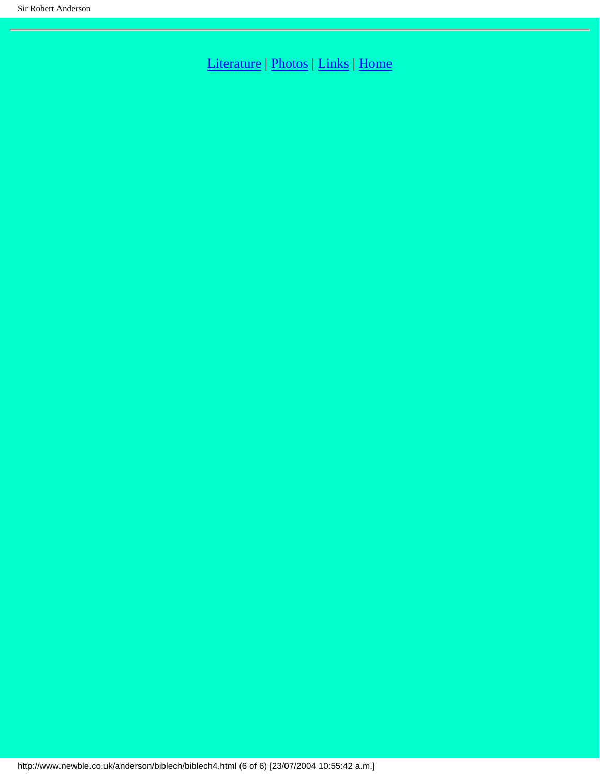[Literature](http://www.newble.co.uk/anderson/literature.html) | [Photos](http://www.newble.co.uk/anderson/photos.html) | [Links](http://www.newble.co.uk/anderson/links.html) | [Home](http://www.newble.co.uk/anderson/index.html)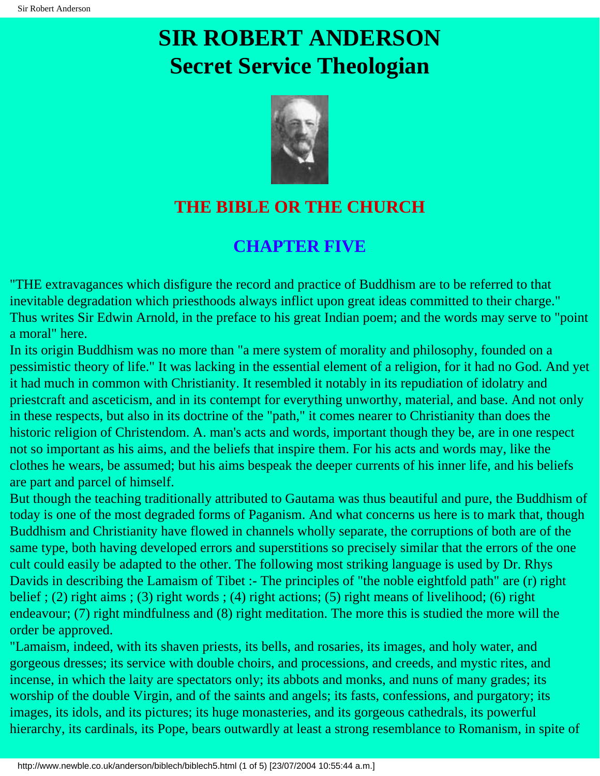

## <span id="page-23-0"></span>**THE BIBLE OR THE CHURCH**

### **CHAPTER FIVE**

"THE extravagances which disfigure the record and practice of Buddhism are to be referred to that inevitable degradation which priesthoods always inflict upon great ideas committed to their charge." Thus writes Sir Edwin Arnold, in the preface to his great Indian poem; and the words may serve to "point a moral" here.

In its origin Buddhism was no more than "a mere system of morality and philosophy, founded on a pessimistic theory of life." It was lacking in the essential element of a religion, for it had no God. And yet it had much in common with Christianity. It resembled it notably in its repudiation of idolatry and priestcraft and asceticism, and in its contempt for everything unworthy, material, and base. And not only in these respects, but also in its doctrine of the "path," it comes nearer to Christianity than does the historic religion of Christendom. A. man's acts and words, important though they be, are in one respect not so important as his aims, and the beliefs that inspire them. For his acts and words may, like the clothes he wears, be assumed; but his aims bespeak the deeper currents of his inner life, and his beliefs are part and parcel of himself.

But though the teaching traditionally attributed to Gautama was thus beautiful and pure, the Buddhism of today is one of the most degraded forms of Paganism. And what concerns us here is to mark that, though Buddhism and Christianity have flowed in channels wholly separate, the corruptions of both are of the same type, both having developed errors and superstitions so precisely similar that the errors of the one cult could easily be adapted to the other. The following most striking language is used by Dr. Rhys Davids in describing the Lamaism of Tibet :- The principles of "the noble eightfold path" are (r) right belief ; (2) right aims ; (3) right words ; (4) right actions; (5) right means of livelihood; (6) right endeavour; (7) right mindfulness and (8) right meditation. The more this is studied the more will the order be approved.

"Lamaism, indeed, with its shaven priests, its bells, and rosaries, its images, and holy water, and gorgeous dresses; its service with double choirs, and processions, and creeds, and mystic rites, and incense, in which the laity are spectators only; its abbots and monks, and nuns of many grades; its worship of the double Virgin, and of the saints and angels; its fasts, confessions, and purgatory; its images, its idols, and its pictures; its huge monasteries, and its gorgeous cathedrals, its powerful hierarchy, its cardinals, its Pope, bears outwardly at least a strong resemblance to Romanism, in spite of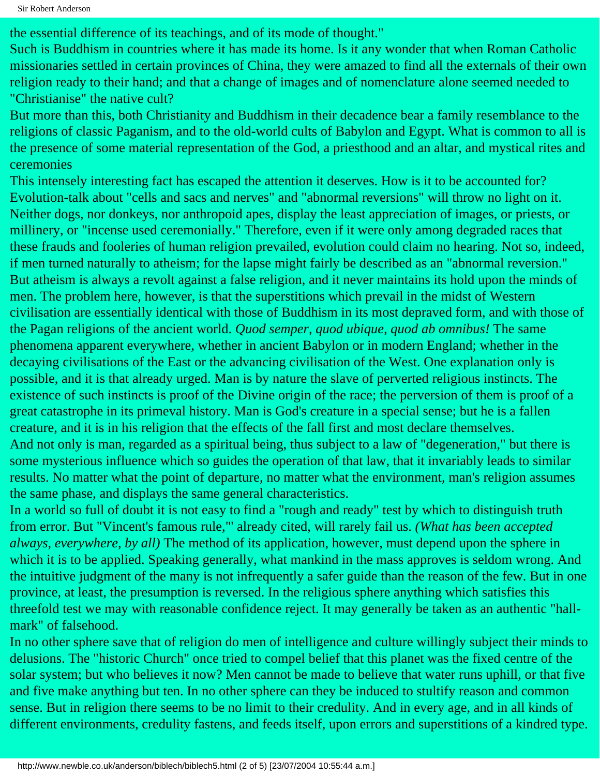the essential difference of its teachings, and of its mode of thought."

Such is Buddhism in countries where it has made its home. Is it any wonder that when Roman Catholic missionaries settled in certain provinces of China, they were amazed to find all the externals of their own religion ready to their hand; and that a change of images and of nomenclature alone seemed needed to "Christianise" the native cult?

But more than this, both Christianity and Buddhism in their decadence bear a family resemblance to the religions of classic Paganism, and to the old-world cults of Babylon and Egypt. What is common to all is the presence of some material representation of the God, a priesthood and an altar, and mystical rites and ceremonies

This intensely interesting fact has escaped the attention it deserves. How is it to be accounted for? Evolution-talk about "cells and sacs and nerves" and "abnormal reversions" will throw no light on it. Neither dogs, nor donkeys, nor anthropoid apes, display the least appreciation of images, or priests, or millinery, or "incense used ceremonially." Therefore, even if it were only among degraded races that these frauds and fooleries of human religion prevailed, evolution could claim no hearing. Not so, indeed, if men turned naturally to atheism; for the lapse might fairly be described as an "abnormal reversion." But atheism is always a revolt against a false religion, and it never maintains its hold upon the minds of men. The problem here, however, is that the superstitions which prevail in the midst of Western civilisation are essentially identical with those of Buddhism in its most depraved form, and with those of the Pagan religions of the ancient world. *Quod semper, quod ubique, quod ab omnibus!* The same phenomena apparent everywhere, whether in ancient Babylon or in modern England; whether in the decaying civilisations of the East or the advancing civilisation of the West. One explanation only is possible, and it is that already urged. Man is by nature the slave of perverted religious instincts. The existence of such instincts is proof of the Divine origin of the race; the perversion of them is proof of a great catastrophe in its primeval history. Man is God's creature in a special sense; but he is a fallen creature, and it is in his religion that the effects of the fall first and most declare themselves. And not only is man, regarded as a spiritual being, thus subject to a law of "degeneration," but there is some mysterious influence which so guides the operation of that law, that it invariably leads to similar results. No matter what the point of departure, no matter what the environment, man's religion assumes the same phase, and displays the same general characteristics.

In a world so full of doubt it is not easy to find a "rough and ready" test by which to distinguish truth from error. But "Vincent's famous rule,"' already cited, will rarely fail us. *(What has been accepted always, everywhere, by all)* The method of its application, however, must depend upon the sphere in which it is to be applied. Speaking generally, what mankind in the mass approves is seldom wrong. And the intuitive judgment of the many is not infrequently a safer guide than the reason of the few. But in one province, at least, the presumption is reversed. In the religious sphere anything which satisfies this threefold test we may with reasonable confidence reject. It may generally be taken as an authentic "hallmark" of falsehood.

In no other sphere save that of religion do men of intelligence and culture willingly subject their minds to delusions. The "historic Church" once tried to compel belief that this planet was the fixed centre of the solar system; but who believes it now? Men cannot be made to believe that water runs uphill, or that five and five make anything but ten. In no other sphere can they be induced to stultify reason and common sense. But in religion there seems to be no limit to their credulity. And in every age, and in all kinds of different environments, credulity fastens, and feeds itself, upon errors and superstitions of a kindred type.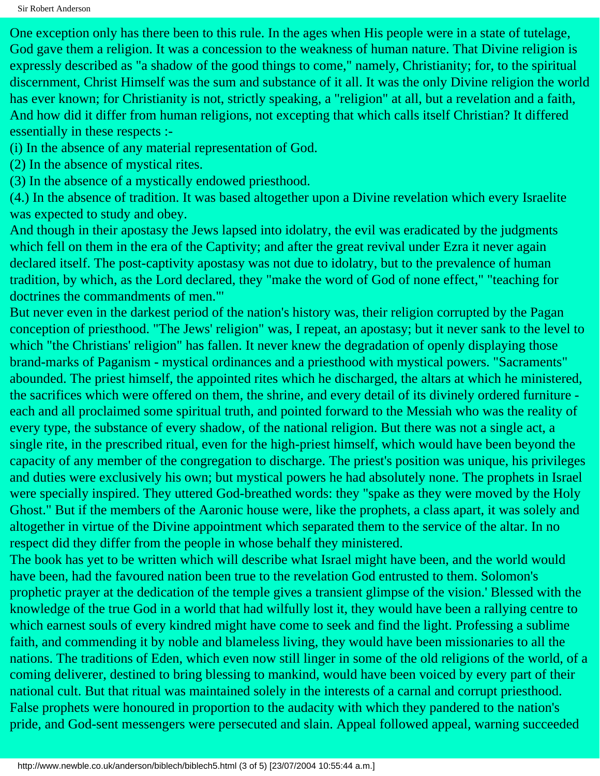One exception only has there been to this rule. In the ages when His people were in a state of tutelage, God gave them a religion. It was a concession to the weakness of human nature. That Divine religion is expressly described as "a shadow of the good things to come," namely, Christianity; for, to the spiritual discernment, Christ Himself was the sum and substance of it all. It was the only Divine religion the world has ever known; for Christianity is not, strictly speaking, a "religion" at all, but a revelation and a faith, And how did it differ from human religions, not excepting that which calls itself Christian? It differed essentially in these respects :-

(i) In the absence of any material representation of God.

(2) In the absence of mystical rites.

(3) In the absence of a mystically endowed priesthood.

(4.) In the absence of tradition. It was based altogether upon a Divine revelation which every Israelite was expected to study and obey.

And though in their apostasy the Jews lapsed into idolatry, the evil was eradicated by the judgments which fell on them in the era of the Captivity; and after the great revival under Ezra it never again declared itself. The post-captivity apostasy was not due to idolatry, but to the prevalence of human tradition, by which, as the Lord declared, they "make the word of God of none effect," "teaching for doctrines the commandments of men."'

But never even in the darkest period of the nation's history was, their religion corrupted by the Pagan conception of priesthood. "The Jews' religion" was, I repeat, an apostasy; but it never sank to the level to which "the Christians' religion" has fallen. It never knew the degradation of openly displaying those brand-marks of Paganism - mystical ordinances and a priesthood with mystical powers. "Sacraments" abounded. The priest himself, the appointed rites which he discharged, the altars at which he ministered, the sacrifices which were offered on them, the shrine, and every detail of its divinely ordered furniture each and all proclaimed some spiritual truth, and pointed forward to the Messiah who was the reality of every type, the substance of every shadow, of the national religion. But there was not a single act, a single rite, in the prescribed ritual, even for the high-priest himself, which would have been beyond the capacity of any member of the congregation to discharge. The priest's position was unique, his privileges and duties were exclusively his own; but mystical powers he had absolutely none. The prophets in Israel were specially inspired. They uttered God-breathed words: they "spake as they were moved by the Holy Ghost." But if the members of the Aaronic house were, like the prophets, a class apart, it was solely and altogether in virtue of the Divine appointment which separated them to the service of the altar. In no respect did they differ from the people in whose behalf they ministered.

The book has yet to be written which will describe what Israel might have been, and the world would have been, had the favoured nation been true to the revelation God entrusted to them. Solomon's prophetic prayer at the dedication of the temple gives a transient glimpse of the vision.' Blessed with the knowledge of the true God in a world that had wilfully lost it, they would have been a rallying centre to which earnest souls of every kindred might have come to seek and find the light. Professing a sublime faith, and commending it by noble and blameless living, they would have been missionaries to all the nations. The traditions of Eden, which even now still linger in some of the old religions of the world, of a coming deliverer, destined to bring blessing to mankind, would have been voiced by every part of their national cult. But that ritual was maintained solely in the interests of a carnal and corrupt priesthood. False prophets were honoured in proportion to the audacity with which they pandered to the nation's pride, and God-sent messengers were persecuted and slain. Appeal followed appeal, warning succeeded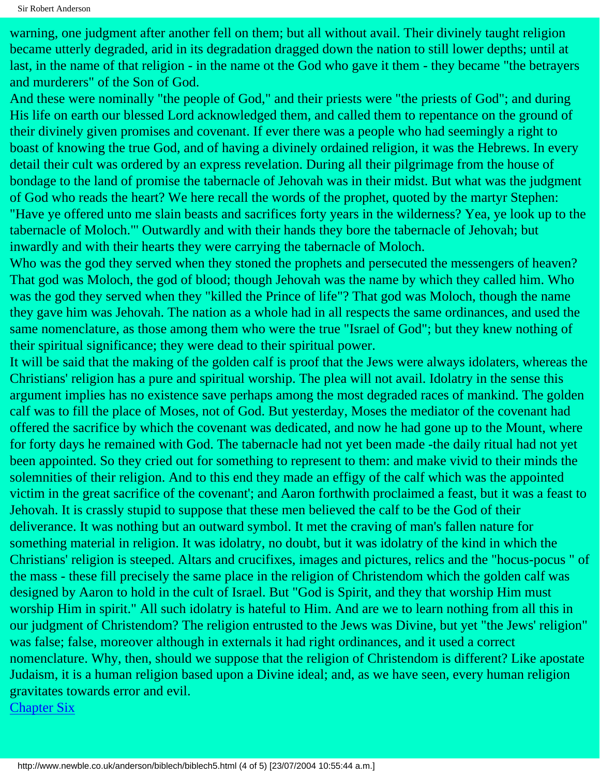warning, one judgment after another fell on them; but all without avail. Their divinely taught religion became utterly degraded, arid in its degradation dragged down the nation to still lower depths; until at last, in the name of that religion - in the name ot the God who gave it them - they became "the betrayers and murderers" of the Son of God.

And these were nominally "the people of God," and their priests were "the priests of God"; and during His life on earth our blessed Lord acknowledged them, and called them to repentance on the ground of their divinely given promises and covenant. If ever there was a people who had seemingly a right to boast of knowing the true God, and of having a divinely ordained religion, it was the Hebrews. In every detail their cult was ordered by an express revelation. During all their pilgrimage from the house of bondage to the land of promise the tabernacle of Jehovah was in their midst. But what was the judgment of God who reads the heart? We here recall the words of the prophet, quoted by the martyr Stephen: "Have ye offered unto me slain beasts and sacrifices forty years in the wilderness? Yea, ye look up to the tabernacle of Moloch."' Outwardly and with their hands they bore the tabernacle of Jehovah; but inwardly and with their hearts they were carrying the tabernacle of Moloch.

Who was the god they served when they stoned the prophets and persecuted the messengers of heaven? That god was Moloch, the god of blood; though Jehovah was the name by which they called him. Who was the god they served when they "killed the Prince of life"? That god was Moloch, though the name they gave him was Jehovah. The nation as a whole had in all respects the same ordinances, and used the same nomenclature, as those among them who were the true "Israel of God"; but they knew nothing of their spiritual significance; they were dead to their spiritual power.

It will be said that the making of the golden calf is proof that the Jews were always idolaters, whereas the Christians' religion has a pure and spiritual worship. The plea will not avail. Idolatry in the sense this argument implies has no existence save perhaps among the most degraded races of mankind. The golden calf was to fill the place of Moses, not of God. But yesterday, Moses the mediator of the covenant had offered the sacrifice by which the covenant was dedicated, and now he had gone up to the Mount, where for forty days he remained with God. The tabernacle had not yet been made -the daily ritual had not yet been appointed. So they cried out for something to represent to them: and make vivid to their minds the solemnities of their religion. And to this end they made an effigy of the calf which was the appointed victim in the great sacrifice of the covenant'; and Aaron forthwith proclaimed a feast, but it was a feast to Jehovah. It is crassly stupid to suppose that these men believed the calf to be the God of their deliverance. It was nothing but an outward symbol. It met the craving of man's fallen nature for something material in religion. It was idolatry, no doubt, but it was idolatry of the kind in which the Christians' religion is steeped. Altars and crucifixes, images and pictures, relics and the "hocus-pocus " of the mass - these fill precisely the same place in the religion of Christendom which the golden calf was designed by Aaron to hold in the cult of Israel. But "God is Spirit, and they that worship Him must worship Him in spirit." All such idolatry is hateful to Him. And are we to learn nothing from all this in our judgment of Christendom? The religion entrusted to the Jews was Divine, but yet "the Jews' religion" was false; false, moreover although in externals it had right ordinances, and it used a correct nomenclature. Why, then, should we suppose that the religion of Christendom is different? Like apostate Judaism, it is a human religion based upon a Divine ideal; and, as we have seen, every human religion gravitates towards error and evil.

[Chapter Six](#page-28-0)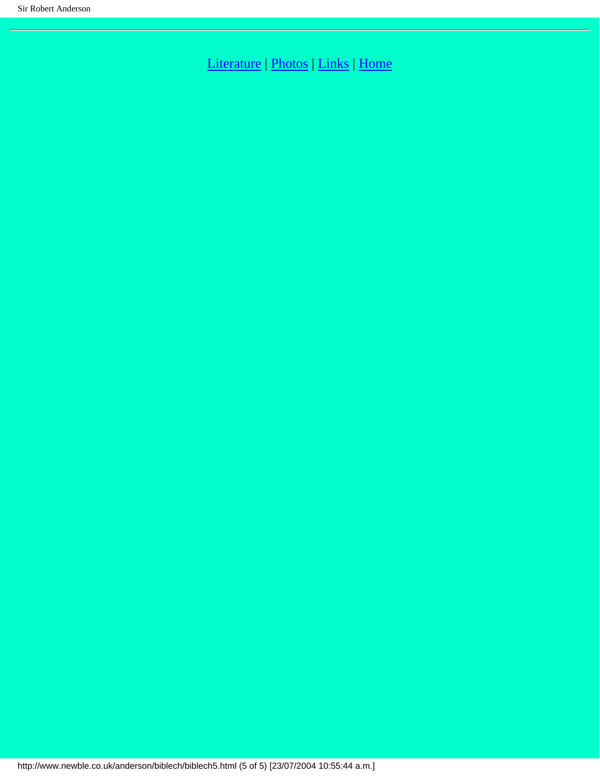[Literature](http://www.newble.co.uk/anderson/literature.html) | [Photos](http://www.newble.co.uk/anderson/photos.html) | [Links](http://www.newble.co.uk/anderson/links.html) | [Home](http://www.newble.co.uk/anderson/index.html)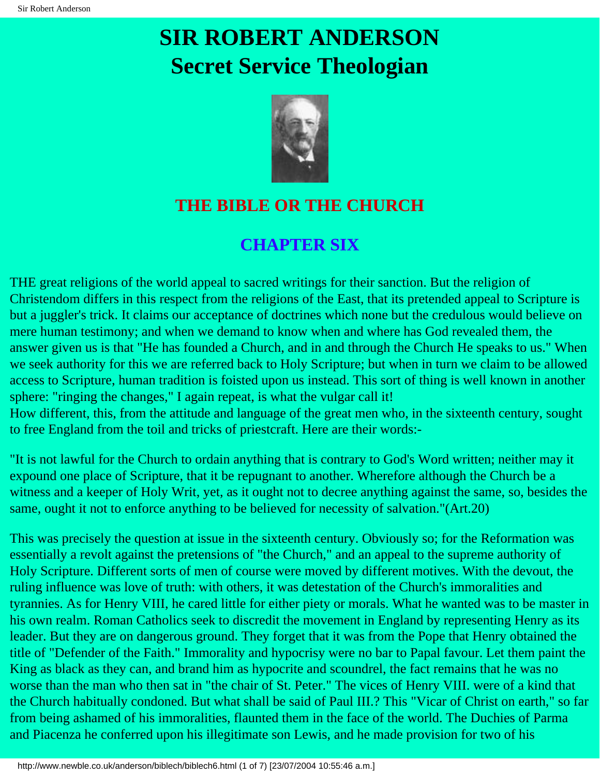

## <span id="page-28-0"></span>**THE BIBLE OR THE CHURCH**

## **CHAPTER SIX**

THE great religions of the world appeal to sacred writings for their sanction. But the religion of Christendom differs in this respect from the religions of the East, that its pretended appeal to Scripture is but a juggler's trick. It claims our acceptance of doctrines which none but the credulous would believe on mere human testimony; and when we demand to know when and where has God revealed them, the answer given us is that "He has founded a Church, and in and through the Church He speaks to us." When we seek authority for this we are referred back to Holy Scripture; but when in turn we claim to be allowed access to Scripture, human tradition is foisted upon us instead. This sort of thing is well known in another sphere: "ringing the changes," I again repeat, is what the vulgar call it! How different, this, from the attitude and language of the great men who, in the sixteenth century, sought to free England from the toil and tricks of priestcraft. Here are their words:-

"It is not lawful for the Church to ordain anything that is contrary to God's Word written; neither may it expound one place of Scripture, that it be repugnant to another. Wherefore although the Church be a witness and a keeper of Holy Writ, yet, as it ought not to decree anything against the same, so, besides the same, ought it not to enforce anything to be believed for necessity of salvation."(Art.20)

This was precisely the question at issue in the sixteenth century. Obviously so; for the Reformation was essentially a revolt against the pretensions of "the Church," and an appeal to the supreme authority of Holy Scripture. Different sorts of men of course were moved by different motives. With the devout, the ruling influence was love of truth: with others, it was detestation of the Church's immoralities and tyrannies. As for Henry VIII, he cared little for either piety or morals. What he wanted was to be master in his own realm. Roman Catholics seek to discredit the movement in England by representing Henry as its leader. But they are on dangerous ground. They forget that it was from the Pope that Henry obtained the title of "Defender of the Faith." Immorality and hypocrisy were no bar to Papal favour. Let them paint the King as black as they can, and brand him as hypocrite and scoundrel, the fact remains that he was no worse than the man who then sat in "the chair of St. Peter." The vices of Henry VIII. were of a kind that the Church habitually condoned. But what shall be said of Paul III.? This "Vicar of Christ on earth," so far from being ashamed of his immoralities, flaunted them in the face of the world. The Duchies of Parma and Piacenza he conferred upon his illegitimate son Lewis, and he made provision for two of his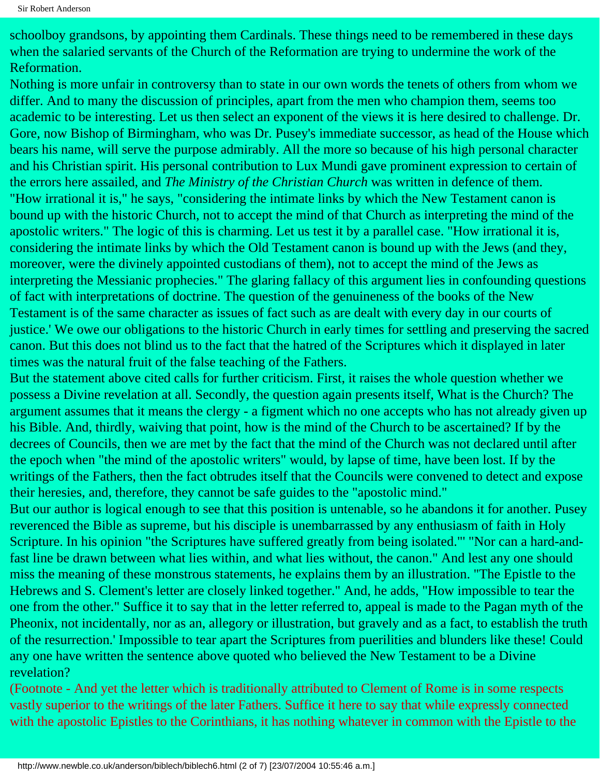schoolboy grandsons, by appointing them Cardinals. These things need to be remembered in these days when the salaried servants of the Church of the Reformation are trying to undermine the work of the Reformation.

Nothing is more unfair in controversy than to state in our own words the tenets of others from whom we differ. And to many the discussion of principles, apart from the men who champion them, seems too academic to be interesting. Let us then select an exponent of the views it is here desired to challenge. Dr. Gore, now Bishop of Birmingham, who was Dr. Pusey's immediate successor, as head of the House which bears his name, will serve the purpose admirably. All the more so because of his high personal character and his Christian spirit. His personal contribution to Lux Mundi gave prominent expression to certain of the errors here assailed, and *The Ministry of the Christian Church* was written in defence of them. "How irrational it is," he says, "considering the intimate links by which the New Testament canon is bound up with the historic Church, not to accept the mind of that Church as interpreting the mind of the apostolic writers." The logic of this is charming. Let us test it by a parallel case. "How irrational it is, considering the intimate links by which the Old Testament canon is bound up with the Jews (and they, moreover, were the divinely appointed custodians of them), not to accept the mind of the Jews as interpreting the Messianic prophecies." The glaring fallacy of this argument lies in confounding questions of fact with interpretations of doctrine. The question of the genuineness of the books of the New Testament is of the same character as issues of fact such as are dealt with every day in our courts of justice.' We owe our obligations to the historic Church in early times for settling and preserving the sacred canon. But this does not blind us to the fact that the hatred of the Scriptures which it displayed in later times was the natural fruit of the false teaching of the Fathers.

But the statement above cited calls for further criticism. First, it raises the whole question whether we possess a Divine revelation at all. Secondly, the question again presents itself, What is the Church? The argument assumes that it means the clergy - a figment which no one accepts who has not already given up his Bible. And, thirdly, waiving that point, how is the mind of the Church to be ascertained? If by the decrees of Councils, then we are met by the fact that the mind of the Church was not declared until after the epoch when "the mind of the apostolic writers" would, by lapse of time, have been lost. If by the writings of the Fathers, then the fact obtrudes itself that the Councils were convened to detect and expose their heresies, and, therefore, they cannot be safe guides to the "apostolic mind."

But our author is logical enough to see that this position is untenable, so he abandons it for another. Pusey reverenced the Bible as supreme, but his disciple is unembarrassed by any enthusiasm of faith in Holy Scripture. In his opinion "the Scriptures have suffered greatly from being isolated."' "Nor can a hard-andfast line be drawn between what lies within, and what lies without, the canon." And lest any one should miss the meaning of these monstrous statements, he explains them by an illustration. "The Epistle to the Hebrews and S. Clement's letter are closely linked together." And, he adds, "How impossible to tear the one from the other." Suffice it to say that in the letter referred to, appeal is made to the Pagan myth of the Pheonix, not incidentally, nor as an, allegory or illustration, but gravely and as a fact, to establish the truth of the resurrection.' Impossible to tear apart the Scriptures from puerilities and blunders like these! Could any one have written the sentence above quoted who believed the New Testament to be a Divine revelation?

(Footnote - And yet the letter which is traditionally attributed to Clement of Rome is in some respects vastly superior to the writings of the later Fathers. Suffice it here to say that while expressly connected with the apostolic Epistles to the Corinthians, it has nothing whatever in common with the Epistle to the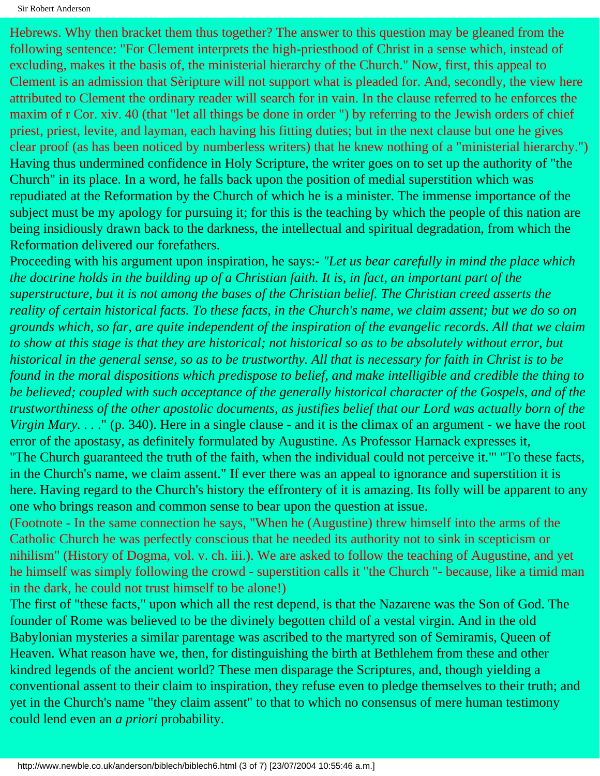Sir Robert Anderson

Hebrews. Why then bracket them thus together? The answer to this question may be gleaned from the following sentence: "For Clement interprets the high-priesthood of Christ in a sense which, instead of excluding, makes it the basis of, the ministerial hierarchy of the Church." Now, first, this appeal to Clement is an admission that Sèripture will not support what is pleaded for. And, secondly, the view here attributed to Clement the ordinary reader will search for in vain. In the clause referred to he enforces the maxim of r Cor. xiv. 40 (that "let all things be done in order ") by referring to the Jewish orders of chief priest, priest, levite, and layman, each having his fitting duties; but in the next clause but one he gives clear proof (as has been noticed by numberless writers) that he knew nothing of a "ministerial hierarchy.") Having thus undermined confidence in Holy Scripture, the writer goes on to set up the authority of "the Church" in its place. In a word, he falls back upon the position of medial superstition which was repudiated at the Reformation by the Church of which he is a minister. The immense importance of the subject must be my apology for pursuing it; for this is the teaching by which the people of this nation are being insidiously drawn back to the darkness, the intellectual and spiritual degradation, from which the Reformation delivered our forefathers.

Proceeding with his argument upon inspiration, he says:- *"Let us bear carefully in mind the place which the doctrine holds in the building up of a Christian faith. It is, in fact, an important part of the superstructure, but it is not among the bases of the Christian belief. The Christian creed asserts the reality of certain historical facts. To these facts, in the Church's name, we claim assent; but we do so on grounds which, so far, are quite independent of the inspiration of the evangelic records. All that we claim to show at this stage is that they are historical; not historical so as to be absolutely without error, but historical in the general sense, so as to be trustworthy. All that is necessary for faith in Christ is to be found in the moral dispositions which predispose to belief, and make intelligible and credible the thing to be believed; coupled with such acceptance of the generally historical character of the Gospels, and of the trustworthiness of the other apostolic documents, as justifies belief that our Lord was actually born of the Virgin Mary....*" (p. 340). Here in a single clause - and it is the climax of an argument - we have the root error of the apostasy, as definitely formulated by Augustine. As Professor Harnack expresses it,

"The Church guaranteed the truth of the faith, when the individual could not perceive it."' "To these facts, in the Church's name, we claim assent." If ever there was an appeal to ignorance and superstition it is here. Having regard to the Church's history the effrontery of it is amazing. Its folly will be apparent to any one who brings reason and common sense to bear upon the question at issue.

(Footnote - In the same connection he says, "When he (Augustine) threw himself into the arms of the Catholic Church he was perfectly conscious that he needed its authority not to sink in scepticism or nihilism" (History of Dogma, vol. v. ch. iii.). We are asked to follow the teaching of Augustine, and yet he himself was simply following the crowd - superstition calls it "the Church "- because, like a timid man in the dark, he could not trust himself to be alone!)

The first of "these facts," upon which all the rest depend, is that the Nazarene was the Son of God. The founder of Rome was believed to be the divinely begotten child of a vestal virgin. And in the old Babylonian mysteries a similar parentage was ascribed to the martyred son of Semiramis, Queen of Heaven. What reason have we, then, for distinguishing the birth at Bethlehem from these and other kindred legends of the ancient world? These men disparage the Scriptures, and, though yielding a conventional assent to their claim to inspiration, they refuse even to pledge themselves to their truth; and yet in the Church's name "they claim assent" to that to which no consensus of mere human testimony could lend even an *a priori* probability.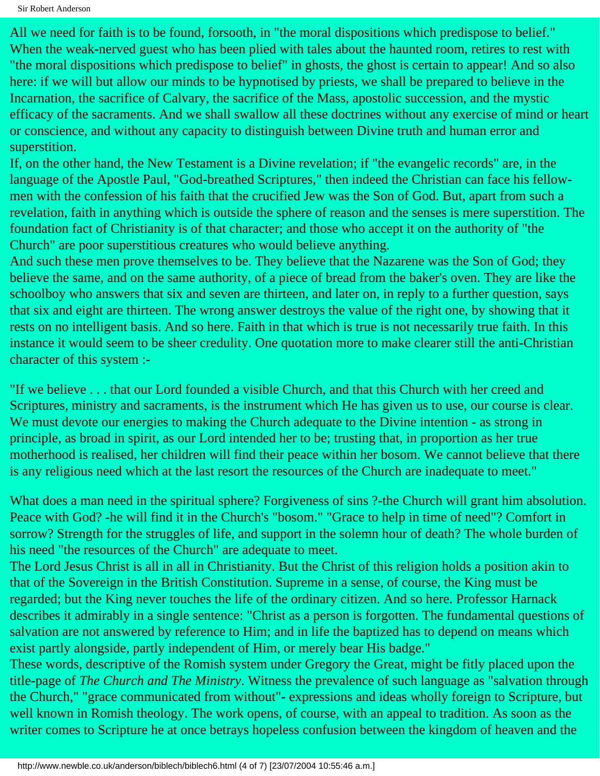Sir Robert Anderson

All we need for faith is to be found, forsooth, in "the moral dispositions which predispose to belief." When the weak-nerved guest who has been plied with tales about the haunted room, retires to rest with "the moral dispositions which predispose to belief" in ghosts, the ghost is certain to appear! And so also here: if we will but allow our minds to be hypnotised by priests, we shall be prepared to believe in the Incarnation, the sacrifice of Calvary, the sacrifice of the Mass, apostolic succession, and the mystic efficacy of the sacraments. And we shall swallow all these doctrines without any exercise of mind or heart or conscience, and without any capacity to distinguish between Divine truth and human error and superstition.

If, on the other hand, the New Testament is a Divine revelation; if "the evangelic records" are, in the language of the Apostle Paul, "God-breathed Scriptures," then indeed the Christian can face his fellowmen with the confession of his faith that the crucified Jew was the Son of God. But, apart from such a revelation, faith in anything which is outside the sphere of reason and the senses is mere superstition. The foundation fact of Christianity is of that character; and those who accept it on the authority of "the Church" are poor superstitious creatures who would believe anything.

And such these men prove themselves to be. They believe that the Nazarene was the Son of God; they believe the same, and on the same authority, of a piece of bread from the baker's oven. They are like the schoolboy who answers that six and seven are thirteen, and later on, in reply to a further question, says that six and eight are thirteen. The wrong answer destroys the value of the right one, by showing that it rests on no intelligent basis. And so here. Faith in that which is true is not necessarily true faith. In this instance it would seem to be sheer credulity. One quotation more to make clearer still the anti-Christian character of this system :-

"If we believe . . . that our Lord founded a visible Church, and that this Church with her creed and Scriptures, ministry and sacraments, is the instrument which He has given us to use, our course is clear. We must devote our energies to making the Church adequate to the Divine intention - as strong in principle, as broad in spirit, as our Lord intended her to be; trusting that, in proportion as her true motherhood is realised, her children will find their peace within her bosom. We cannot believe that there is any religious need which at the last resort the resources of the Church are inadequate to meet."

What does a man need in the spiritual sphere? Forgiveness of sins ?-the Church will grant him absolution. Peace with God? -he will find it in the Church's "bosom." "Grace to help in time of need"? Comfort in sorrow? Strength for the struggles of life, and support in the solemn hour of death? The whole burden of his need "the resources of the Church" are adequate to meet.

The Lord Jesus Christ is all in all in Christianity. But the Christ of this religion holds a position akin to that of the Sovereign in the British Constitution. Supreme in a sense, of course, the King must be regarded; but the King never touches the life of the ordinary citizen. And so here. Professor Harnack describes it admirably in a single sentence: "Christ as a person is forgotten. The fundamental questions of salvation are not answered by reference to Him; and in life the baptized has to depend on means which exist partly alongside, partly independent of Him, or merely bear His badge."

These words, descriptive of the Romish system under Gregory the Great, might be fitly placed upon the title-page of *The Church and The Ministry*. Witness the prevalence of such language as "salvation through the Church," "grace communicated from without"- expressions and ideas wholly foreign to Scripture, but well known in Romish theology. The work opens, of course, with an appeal to tradition. As soon as the writer comes to Scripture he at once betrays hopeless confusion between the kingdom of heaven and the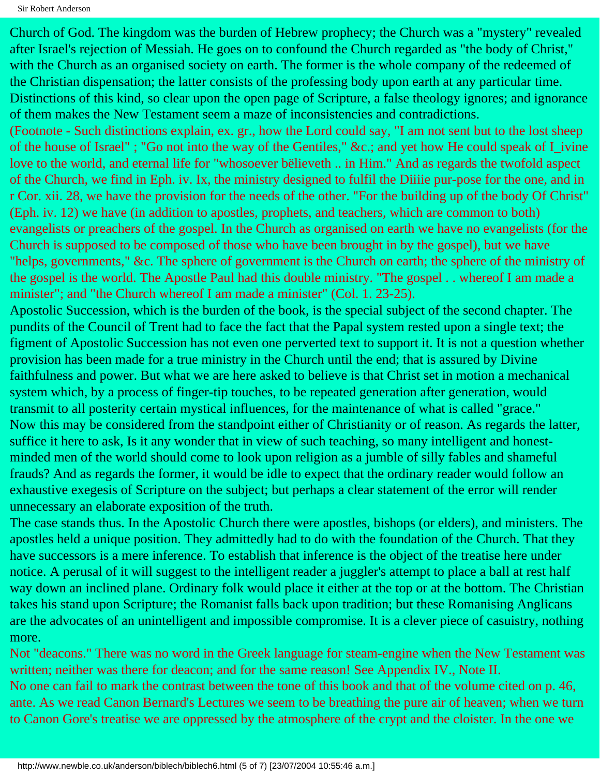```
Sir Robert Anderson
```
Church of God. The kingdom was the burden of Hebrew prophecy; the Church was a "mystery" revealed after Israel's rejection of Messiah. He goes on to confound the Church regarded as "the body of Christ," with the Church as an organised society on earth. The former is the whole company of the redeemed of the Christian dispensation; the latter consists of the professing body upon earth at any particular time. Distinctions of this kind, so clear upon the open page of Scripture, a false theology ignores; and ignorance of them makes the New Testament seem a maze of inconsistencies and contradictions.

(Footnote - Such distinctions explain, ex. gr., how the Lord could say, "I am not sent but to the lost sheep of the house of Israel" ; "Go not into the way of the Gentiles," &c.; and yet how He could speak of I\_ivine love to the world, and eternal life for "whosoever bëlieveth .. in Him." And as regards the twofold aspect of the Church, we find in Eph. iv. Ix, the ministry designed to fulfil the Diiiie pur-pose for the one, and in r Cor. xii. 28, we have the provision for the needs of the other. "For the building up of the body Of Christ" (Eph. iv. 12) we have (in addition to apostles, prophets, and teachers, which are common to both) evangelists or preachers of the gospel. In the Church as organised on earth we have no evangelists (for the Church is supposed to be composed of those who have been brought in by the gospel), but we have "helps, governments," &c. The sphere of government is the Church on earth; the sphere of the ministry of the gospel is the world. The Apostle Paul had this double ministry. "The gospel . . whereof I am made a minister"; and "the Church whereof I am made a minister" (Col. 1. 23-25).

Apostolic Succession, which is the burden of the book, is the special subject of the second chapter. The pundits of the Council of Trent had to face the fact that the Papal system rested upon a single text; the figment of Apostolic Succession has not even one perverted text to support it. It is not a question whether provision has been made for a true ministry in the Church until the end; that is assured by Divine faithfulness and power. But what we are here asked to believe is that Christ set in motion a mechanical system which, by a process of finger-tip touches, to be repeated generation after generation, would transmit to all posterity certain mystical influences, for the maintenance of what is called "grace." Now this may be considered from the standpoint either of Christianity or of reason. As regards the latter, suffice it here to ask, Is it any wonder that in view of such teaching, so many intelligent and honestminded men of the world should come to look upon religion as a jumble of silly fables and shameful frauds? And as regards the former, it would be idle to expect that the ordinary reader would follow an exhaustive exegesis of Scripture on the subject; but perhaps a clear statement of the error will render unnecessary an elaborate exposition of the truth.

The case stands thus. In the Apostolic Church there were apostles, bishops (or elders), and ministers. The apostles held a unique position. They admittedly had to do with the foundation of the Church. That they have successors is a mere inference. To establish that inference is the object of the treatise here under notice. A perusal of it will suggest to the intelligent reader a juggler's attempt to place a ball at rest half way down an inclined plane. Ordinary folk would place it either at the top or at the bottom. The Christian takes his stand upon Scripture; the Romanist falls back upon tradition; but these Romanising Anglicans are the advocates of an unintelligent and impossible compromise. It is a clever piece of casuistry, nothing more.

Not "deacons." There was no word in the Greek language for steam-engine when the New Testament was written; neither was there for deacon; and for the same reason! See Appendix IV., Note II. No one can fail to mark the contrast between the tone of this book and that of the volume cited on p. 46, ante. As we read Canon Bernard's Lectures we seem to be breathing the pure air of heaven; when we turn to Canon Gore's treatise we are oppressed by the atmosphere of the crypt and the cloister. In the one we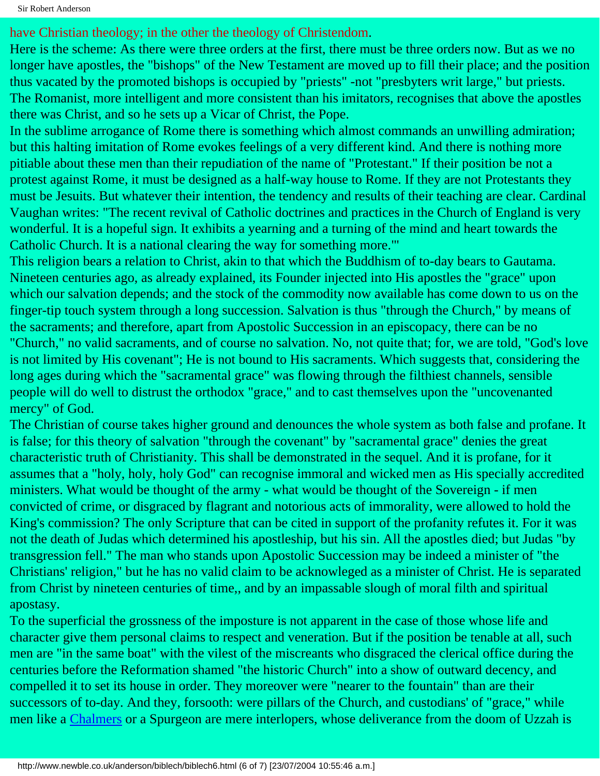Sir Robert Anderson

have Christian theology; in the other the theology of Christendom.

Here is the scheme: As there were three orders at the first, there must be three orders now. But as we no longer have apostles, the "bishops" of the New Testament are moved up to fill their place; and the position thus vacated by the promoted bishops is occupied by "priests" -not "presbyters writ large," but priests. The Romanist, more intelligent and more consistent than his imitators, recognises that above the apostles there was Christ, and so he sets up a Vicar of Christ, the Pope.

In the sublime arrogance of Rome there is something which almost commands an unwilling admiration; but this halting imitation of Rome evokes feelings of a very different kind. And there is nothing more pitiable about these men than their repudiation of the name of "Protestant." If their position be not a protest against Rome, it must be designed as a half-way house to Rome. If they are not Protestants they must be Jesuits. But whatever their intention, the tendency and results of their teaching are clear. Cardinal Vaughan writes: "The recent revival of Catholic doctrines and practices in the Church of England is very wonderful. It is a hopeful sign. It exhibits a yearning and a turning of the mind and heart towards the Catholic Church. It is a national clearing the way for something more."'

This religion bears a relation to Christ, akin to that which the Buddhism of to-day bears to Gautama. Nineteen centuries ago, as already explained, its Founder injected into His apostles the "grace" upon which our salvation depends; and the stock of the commodity now available has come down to us on the finger-tip touch system through a long succession. Salvation is thus "through the Church," by means of the sacraments; and therefore, apart from Apostolic Succession in an episcopacy, there can be no "Church," no valid sacraments, and of course no salvation. No, not quite that; for, we are told, "God's love is not limited by His covenant"; He is not bound to His sacraments. Which suggests that, considering the long ages during which the "sacramental grace" was flowing through the filthiest channels, sensible people will do well to distrust the orthodox "grace," and to cast themselves upon the "uncovenanted mercy" of God.

The Christian of course takes higher ground and denounces the whole system as both false and profane. It is false; for this theory of salvation "through the covenant" by "sacramental grace" denies the great characteristic truth of Christianity. This shall be demonstrated in the sequel. And it is profane, for it assumes that a "holy, holy, holy God" can recognise immoral and wicked men as His specially accredited ministers. What would be thought of the army - what would be thought of the Sovereign - if men convicted of crime, or disgraced by flagrant and notorious acts of immorality, were allowed to hold the King's commission? The only Scripture that can be cited in support of the profanity refutes it. For it was not the death of Judas which determined his apostleship, but his sin. All the apostles died; but Judas "by transgression fell." The man who stands upon Apostolic Succession may be indeed a minister of "the Christians' religion," but he has no valid claim to be acknowleged as a minister of Christ. He is separated from Christ by nineteen centuries of time,, and by an impassable slough of moral filth and spiritual apostasy.

To the superficial the grossness of the imposture is not apparent in the case of those whose life and character give them personal claims to respect and veneration. But if the position be tenable at all, such men are "in the same boat" with the vilest of the miscreants who disgraced the clerical office during the centuries before the Reformation shamed "the historic Church" into a show of outward decency, and compelled it to set its house in order. They moreover were "nearer to the fountain" than are their successors of to-day. And they, forsooth: were pillars of the Church, and custodians' of "grace," while men like a [Chalmers](http://www.newble.co.uk/chalmers/) or a Spurgeon are mere interlopers, whose deliverance from the doom of Uzzah is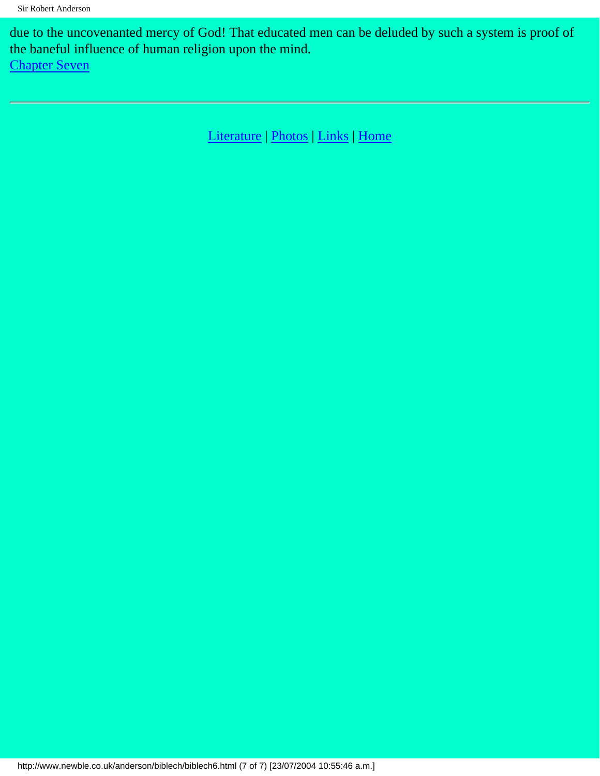due to the uncovenanted mercy of God! That educated men can be deluded by such a system is proof of the baneful influence of human religion upon the mind.

[Chapter Seven](#page-35-0)

[Literature](http://www.newble.co.uk/anderson/literature.html) | [Photos](http://www.newble.co.uk/anderson/photos.html) | [Links](http://www.newble.co.uk/anderson/links.html) | [Home](http://www.newble.co.uk/anderson/index.html)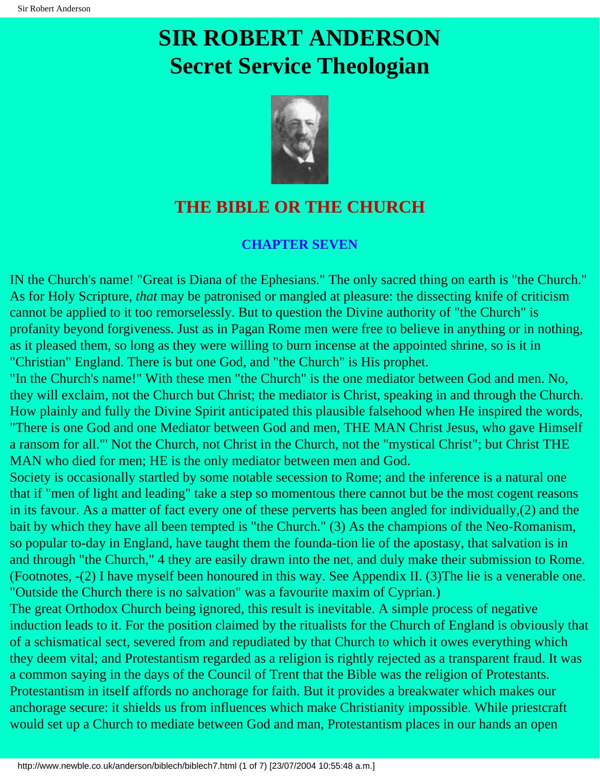

### <span id="page-35-0"></span>**THE BIBLE OR THE CHURCH**

### **CHAPTER SEVEN**

IN the Church's name! "Great is Diana of the Ephesians." The only sacred thing on earth is "the Church." As for Holy Scripture, *that* may be patronised or mangled at pleasure: the dissecting knife of criticism cannot be applied to it too remorselessly. But to question the Divine authority of "the Church" is profanity beyond forgiveness. Just as in Pagan Rome men were free to believe in anything or in nothing, as it pleased them, so long as they were willing to burn incense at the appointed shrine, so is it in "Christian" England. There is but one God, and "the Church" is His prophet.

"In the Church's name!" With these men "the Church" is the one mediator between God and men. No, they will exclaim, not the Church but Christ; the mediator is Christ, speaking in and through the Church. How plainly and fully the Divine Spirit anticipated this plausible falsehood when He inspired the words, "There is one God and one Mediator between God and men, THE MAN Christ Jesus, who gave Himself a ransom for all."' Not the Church, not Christ in the Church, not the "mystical Christ"; but Christ THE MAN who died for men; HE is the only mediator between men and God.

Society is occasionally startled by some notable secession to Rome; and the inference is a natural one that if "men of light and leading" take a step so momentous there cannot but be the most cogent reasons in its favour. As a matter of fact every one of these perverts has been angled for individually,(2) and the bait by which they have all been tempted is "the Church." (3) As the champions of the Neo-Romanism, so popular to-day in England, have taught them the founda-tion lie of the apostasy, that salvation is in and through "the Church," 4 they are easily drawn into the net, and duly make their submission to Rome. (Footnotes, -(2) I have myself been honoured in this way. See Appendix II. (3)The lie is a venerable one. "Outside the Church there is no salvation" was a favourite maxim of Cyprian.)

The great Orthodox Church being ignored, this result is inevitable. A simple process of negative induction leads to it. For the position claimed by the ritualists for the Church of England is obviously that of a schismatical sect, severed from and repudiated by that Church to which it owes everything which they deem vital; and Protestantism regarded as a religion is rightly rejected as a transparent fraud. It was a common saying in the days of the Council of Trent that the Bible was the religion of Protestants. Protestantism in itself affords no anchorage for faith. But it provides a breakwater which makes our anchorage secure: it shields us from influences which make Christianity impossible. While priestcraft would set up a Church to mediate between God and man, Protestantism places in our hands an open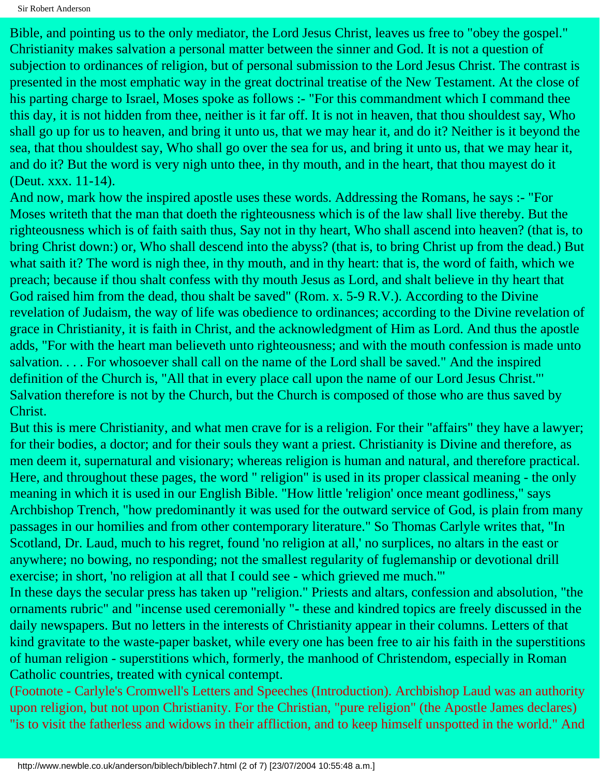Sir Robert Anderson

Bible, and pointing us to the only mediator, the Lord Jesus Christ, leaves us free to "obey the gospel." Christianity makes salvation a personal matter between the sinner and God. It is not a question of subjection to ordinances of religion, but of personal submission to the Lord Jesus Christ. The contrast is presented in the most emphatic way in the great doctrinal treatise of the New Testament. At the close of his parting charge to Israel, Moses spoke as follows :- "For this commandment which I command thee this day, it is not hidden from thee, neither is it far off. It is not in heaven, that thou shouldest say, Who shall go up for us to heaven, and bring it unto us, that we may hear it, and do it? Neither is it beyond the sea, that thou shouldest say, Who shall go over the sea for us, and bring it unto us, that we may hear it, and do it? But the word is very nigh unto thee, in thy mouth, and in the heart, that thou mayest do it (Deut. xxx. 11-14).

And now, mark how the inspired apostle uses these words. Addressing the Romans, he says :- "For Moses writeth that the man that doeth the righteousness which is of the law shall live thereby. But the righteousness which is of faith saith thus, Say not in thy heart, Who shall ascend into heaven? (that is, to bring Christ down:) or, Who shall descend into the abyss? (that is, to bring Christ up from the dead.) But what saith it? The word is nigh thee, in thy mouth, and in thy heart: that is, the word of faith, which we preach; because if thou shalt confess with thy mouth Jesus as Lord, and shalt believe in thy heart that God raised him from the dead, thou shalt be saved" (Rom. x. 5-9 R.V.). According to the Divine revelation of Judaism, the way of life was obedience to ordinances; according to the Divine revelation of grace in Christianity, it is faith in Christ, and the acknowledgment of Him as Lord. And thus the apostle adds, "For with the heart man believeth unto righteousness; and with the mouth confession is made unto salvation. . . . For whosoever shall call on the name of the Lord shall be saved." And the inspired definition of the Church is, "All that in every place call upon the name of our Lord Jesus Christ."' Salvation therefore is not by the Church, but the Church is composed of those who are thus saved by Christ.

But this is mere Christianity, and what men crave for is a religion. For their "affairs" they have a lawyer; for their bodies, a doctor; and for their souls they want a priest. Christianity is Divine and therefore, as men deem it, supernatural and visionary; whereas religion is human and natural, and therefore practical. Here, and throughout these pages, the word " religion" is used in its proper classical meaning - the only meaning in which it is used in our English Bible. "How little 'religion' once meant godliness," says Archbishop Trench, "how predominantly it was used for the outward service of God, is plain from many passages in our homilies and from other contemporary literature." So Thomas Carlyle writes that, "In Scotland, Dr. Laud, much to his regret, found 'no religion at all,' no surplices, no altars in the east or anywhere; no bowing, no responding; not the smallest regularity of fuglemanship or devotional drill exercise; in short, 'no religion at all that I could see - which grieved me much."'

In these days the secular press has taken up "religion." Priests and altars, confession and absolution, "the ornaments rubric" and "incense used ceremonially "- these and kindred topics are freely discussed in the daily newspapers. But no letters in the interests of Christianity appear in their columns. Letters of that kind gravitate to the waste-paper basket, while every one has been free to air his faith in the superstitions of human religion - superstitions which, formerly, the manhood of Christendom, especially in Roman Catholic countries, treated with cynical contempt.

(Footnote - Carlyle's Cromwell's Letters and Speeches (Introduction). Archbishop Laud was an authority upon religion, but not upon Christianity. For the Christian, "pure religion" (the Apostle James declares) "is to visit the fatherless and widows in their affliction, and to keep himself unspotted in the world." And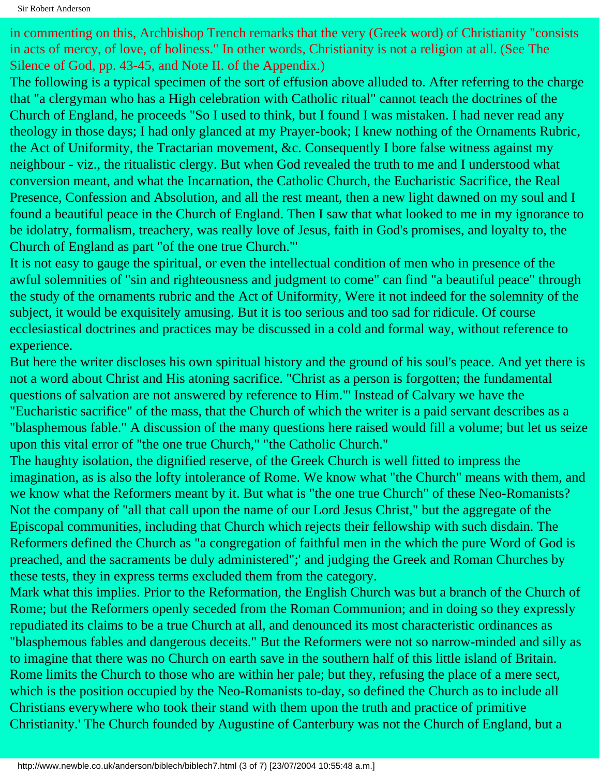in commenting on this, Archbishop Trench remarks that the very (Greek word) of Christianity "consists in acts of mercy, of love, of holiness." In other words, Christianity is not a religion at all. (See The Silence of God, pp. 43-45, and Note II. of the Appendix.)

The following is a typical specimen of the sort of effusion above alluded to. After referring to the charge that "a clergyman who has a High celebration with Catholic ritual" cannot teach the doctrines of the Church of England, he proceeds "So I used to think, but I found I was mistaken. I had never read any theology in those days; I had only glanced at my Prayer-book; I knew nothing of the Ornaments Rubric, the Act of Uniformity, the Tractarian movement, &c. Consequently I bore false witness against my neighbour - viz., the ritualistic clergy. But when God revealed the truth to me and I understood what conversion meant, and what the Incarnation, the Catholic Church, the Eucharistic Sacrifice, the Real Presence, Confession and Absolution, and all the rest meant, then a new light dawned on my soul and I found a beautiful peace in the Church of England. Then I saw that what looked to me in my ignorance to be idolatry, formalism, treachery, was really love of Jesus, faith in God's promises, and loyalty to, the Church of England as part "of the one true Church."'

It is not easy to gauge the spiritual, or even the intellectual condition of men who in presence of the awful solemnities of "sin and righteousness and judgment to come" can find "a beautiful peace" through the study of the ornaments rubric and the Act of Uniformity, Were it not indeed for the solemnity of the subject, it would be exquisitely amusing. But it is too serious and too sad for ridicule. Of course ecclesiastical doctrines and practices may be discussed in a cold and formal way, without reference to experience.

But here the writer discloses his own spiritual history and the ground of his soul's peace. And yet there is not a word about Christ and His atoning sacrifice. "Christ as a person is forgotten; the fundamental questions of salvation are not answered by reference to Him."' Instead of Calvary we have the "Eucharistic sacrifice" of the mass, that the Church of which the writer is a paid servant describes as a "blasphemous fable." A discussion of the many questions here raised would fill a volume; but let us seize upon this vital error of "the one true Church," "the Catholic Church."

The haughty isolation, the dignified reserve, of the Greek Church is well fitted to impress the imagination, as is also the lofty intolerance of Rome. We know what "the Church" means with them, and we know what the Reformers meant by it. But what is "the one true Church" of these Neo-Romanists? Not the company of "all that call upon the name of our Lord Jesus Christ," but the aggregate of the Episcopal communities, including that Church which rejects their fellowship with such disdain. The Reformers defined the Church as "a congregation of faithful men in the which the pure Word of God is preached, and the sacraments be duly administered";' and judging the Greek and Roman Churches by these tests, they in express terms excluded them from the category.

Mark what this implies. Prior to the Reformation, the English Church was but a branch of the Church of Rome; but the Reformers openly seceded from the Roman Communion; and in doing so they expressly repudiated its claims to be a true Church at all, and denounced its most characteristic ordinances as "blasphemous fables and dangerous deceits." But the Reformers were not so narrow-minded and silly as to imagine that there was no Church on earth save in the southern half of this little island of Britain. Rome limits the Church to those who are within her pale; but they, refusing the place of a mere sect, which is the position occupied by the Neo-Romanists to-day, so defined the Church as to include all Christians everywhere who took their stand with them upon the truth and practice of primitive Christianity.' The Church founded by Augustine of Canterbury was not the Church of England, but a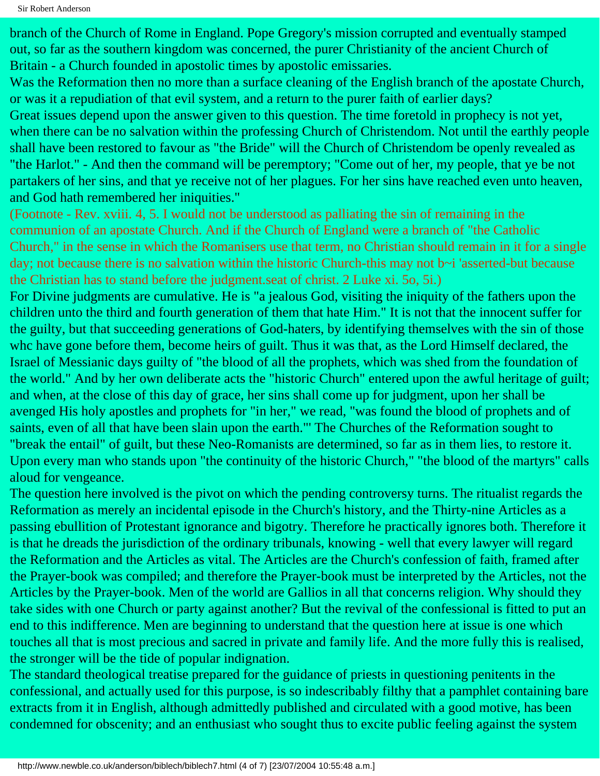branch of the Church of Rome in England. Pope Gregory's mission corrupted and eventually stamped out, so far as the southern kingdom was concerned, the purer Christianity of the ancient Church of Britain - a Church founded in apostolic times by apostolic emissaries.

Was the Reformation then no more than a surface cleaning of the English branch of the apostate Church, or was it a repudiation of that evil system, and a return to the purer faith of earlier days?

Great issues depend upon the answer given to this question. The time foretold in prophecy is not yet, when there can be no salvation within the professing Church of Christendom. Not until the earthly people shall have been restored to favour as "the Bride" will the Church of Christendom be openly revealed as "the Harlot." - And then the command will be peremptory; "Come out of her, my people, that ye be not partakers of her sins, and that ye receive not of her plagues. For her sins have reached even unto heaven, and God hath remembered her iniquities."

(Footnote - Rev. xviii. 4, 5. I would not be understood as palliating the sin of remaining in the communion of an apostate Church. And if the Church of England were a branch of "the Catholic Church," in the sense in which the Romanisers use that term, no Christian should remain in it for a single day; not because there is no salvation within the historic Church-this may not b~i 'asserted-but because the Christian has to stand before the judgment.seat of christ. 2 Luke xi. 5o, 5i.)

For Divine judgments are cumulative. He is "a jealous God, visiting the iniquity of the fathers upon the children unto the third and fourth generation of them that hate Him." It is not that the innocent suffer for the guilty, but that succeeding generations of God-haters, by identifying themselves with the sin of those whc have gone before them, become heirs of guilt. Thus it was that, as the Lord Himself declared, the Israel of Messianic days guilty of "the blood of all the prophets, which was shed from the foundation of the world." And by her own deliberate acts the "historic Church" entered upon the awful heritage of guilt; and when, at the close of this day of grace, her sins shall come up for judgment, upon her shall be avenged His holy apostles and prophets for "in her," we read, "was found the blood of prophets and of saints, even of all that have been slain upon the earth."' The Churches of the Reformation sought to "break the entail" of guilt, but these Neo-Romanists are determined, so far as in them lies, to restore it. Upon every man who stands upon "the continuity of the historic Church," "the blood of the martyrs" calls aloud for vengeance.

The question here involved is the pivot on which the pending controversy turns. The ritualist regards the Reformation as merely an incidental episode in the Church's history, and the Thirty-nine Articles as a passing ebullition of Protestant ignorance and bigotry. Therefore he practically ignores both. Therefore it is that he dreads the jurisdiction of the ordinary tribunals, knowing - well that every lawyer will regard the Reformation and the Articles as vital. The Articles are the Church's confession of faith, framed after the Prayer-book was compiled; and therefore the Prayer-book must be interpreted by the Articles, not the Articles by the Prayer-book. Men of the world are Gallios in all that concerns religion. Why should they take sides with one Church or party against another? But the revival of the confessional is fitted to put an end to this indifference. Men are beginning to understand that the question here at issue is one which touches all that is most precious and sacred in private and family life. And the more fully this is realised, the stronger will be the tide of popular indignation.

The standard theological treatise prepared for the guidance of priests in questioning penitents in the confessional, and actually used for this purpose, is so indescribably filthy that a pamphlet containing bare extracts from it in English, although admittedly published and circulated with a good motive, has been condemned for obscenity; and an enthusiast who sought thus to excite public feeling against the system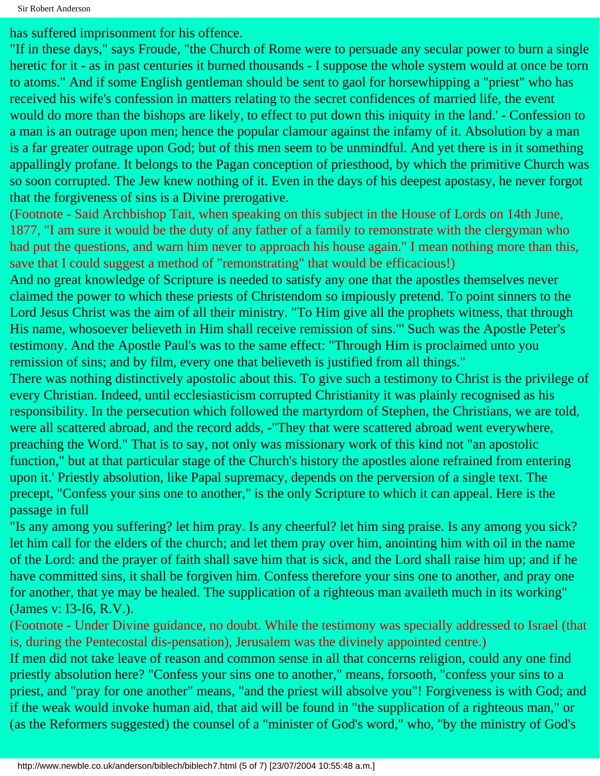has suffered imprisonment for his offence.

"If in these days," says Froude, "the Church of Rome were to persuade any secular power to burn a single heretic for it - as in past centuries it burned thousands - I suppose the whole system would at once be torn to atoms." And if some English gentleman should be sent to gaol for horsewhipping a "priest" who has received his wife's confession in matters relating to the secret confidences of married life, the event would do more than the bishops are likely, to effect to put down this iniquity in the land.' - Confession to a man is an outrage upon men; hence the popular clamour against the infamy of it. Absolution by a man is a far greater outrage upon God; but of this men seem to be unmindful. And yet there is in it something appallingly profane. It belongs to the Pagan conception of priesthood, by which the primitive Church was so soon corrupted. The Jew knew nothing of it. Even in the days of his deepest apostasy, he never forgot that the forgiveness of sins is a Divine prerogative.

(Footnote - Said Archbishop Tait, when speaking on this subject in the House of Lords on 14th June, 1877, "I am sure it would be the duty of any father of a family to remonstrate with the clergyman who had put the questions, and warn him never to approach his house again." I mean nothing more than this, save that I could suggest a method of "remonstrating" that would be efficacious!)

And no great knowledge of Scripture is needed to satisfy any one that the apostles themselves never claimed the power to which these priests of Christendom so impiously pretend. To point sinners to the Lord Jesus Christ was the aim of all their ministry. "To Him give all the prophets witness, that through His name, whosoever believeth in Him shall receive remission of sins."' Such was the Apostle Peter's testimony. And the Apostle Paul's was to the same effect: "Through Him is proclaimed unto you remission of sins; and by film, every one that believeth is justified from all things."

There was nothing distinctively apostolic about this. To give such a testimony to Christ is the privilege of every Christian. Indeed, until ecclesiasticism corrupted Christianity it was plainly recognised as his responsibility. In the persecution which followed the martyrdom of Stephen, the Christians, we are told, were all scattered abroad, and the record adds, -"They that were scattered abroad went everywhere, preaching the Word." That is to say, not only was missionary work of this kind not "an apostolic function," but at that particular stage of the Church's history the apostles alone refrained from entering upon it.' Priestly absolution, like Papal supremacy, depends on the perversion of a single text. The precept, "Confess your sins one to another," is the only Scripture to which it can appeal. Here is the passage in full

"Is any among you suffering? let him pray. Is any cheerful? let him sing praise. Is any among you sick? let him call for the elders of the church; and let them pray over him, anointing him with oil in the name of the Lord: and the prayer of faith shall save him that is sick, and the Lord shall raise him up; and if he have committed sins, it shall be forgiven him. Confess therefore your sins one to another, and pray one for another, that ye may be healed. The supplication of a righteous man availeth much in its working" (James v: I3-I6, R.V.).

(Footnote - Under Divine guidance, no doubt. While the testimony was specially addressed to Israel (that is, during the Pentecostal dis-pensation), Jerusalem was the divinely appointed centre.)

If men did not take leave of reason and common sense in all that concerns religion, could any one find priestly absolution here? "Confess your sins one to another," means, forsooth, "confess your sins to a priest, and "pray for one another" means, "and the priest will absolve you"! Forgiveness is with God; and if the weak would invoke human aid, that aid will be found in "the supplication of a righteous man," or (as the Reformers suggested) the counsel of a "minister of God's word," who, "by the ministry of God's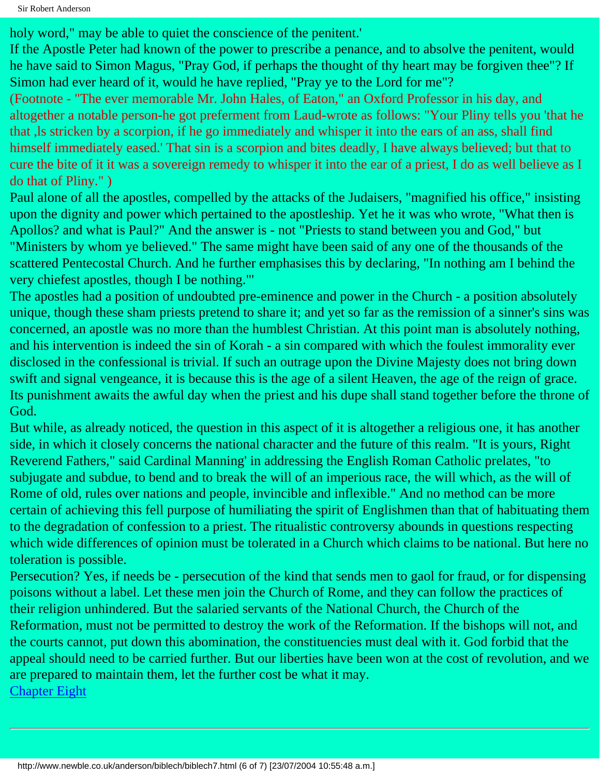holy word," may be able to quiet the conscience of the penitent."

If the Apostle Peter had known of the power to prescribe a penance, and to absolve the penitent, would he have said to Simon Magus, "Pray God, if perhaps the thought of thy heart may be forgiven thee"? If Simon had ever heard of it, would he have replied, "Pray ye to the Lord for me"?

(Footnote - "The ever memorable Mr. John Hales, of Eaton," an Oxford Professor in his day, and altogether a notable person-he got preferment from Laud-wrote as follows: "Your Pliny tells you 'that he that ,ls stricken by a scorpion, if he go immediately and whisper it into the ears of an ass, shall find himself immediately eased.' That sin is a scorpion and bites deadly, I have always believed; but that to cure the bite of it it was a sovereign remedy to whisper it into the ear of a priest, I do as well believe as I do that of Pliny." )

Paul alone of all the apostles, compelled by the attacks of the Judaisers, "magnified his office," insisting upon the dignity and power which pertained to the apostleship. Yet he it was who wrote, "What then is Apollos? and what is Paul?" And the answer is - not "Priests to stand between you and God," but "Ministers by whom ye believed." The same might have been said of any one of the thousands of the scattered Pentecostal Church. And he further emphasises this by declaring, "In nothing am I behind the very chiefest apostles, though I be nothing."'

The apostles had a position of undoubted pre-eminence and power in the Church - a position absolutely unique, though these sham priests pretend to share it; and yet so far as the remission of a sinner's sins was concerned, an apostle was no more than the humblest Christian. At this point man is absolutely nothing, and his intervention is indeed the sin of Korah - a sin compared with which the foulest immorality ever disclosed in the confessional is trivial. If such an outrage upon the Divine Majesty does not bring down swift and signal vengeance, it is because this is the age of a silent Heaven, the age of the reign of grace. Its punishment awaits the awful day when the priest and his dupe shall stand together before the throne of God.

But while, as already noticed, the question in this aspect of it is altogether a religious one, it has another side, in which it closely concerns the national character and the future of this realm. "It is yours, Right Reverend Fathers," said Cardinal Manning' in addressing the English Roman Catholic prelates, "to subjugate and subdue, to bend and to break the will of an imperious race, the will which, as the will of Rome of old, rules over nations and people, invincible and inflexible." And no method can be more certain of achieving this fell purpose of humiliating the spirit of Englishmen than that of habituating them to the degradation of confession to a priest. The ritualistic controversy abounds in questions respecting which wide differences of opinion must be tolerated in a Church which claims to be national. But here no toleration is possible.

Persecution? Yes, if needs be - persecution of the kind that sends men to gaol for fraud, or for dispensing poisons without a label. Let these men join the Church of Rome, and they can follow the practices of their religion unhindered. But the salaried servants of the National Church, the Church of the Reformation, must not be permitted to destroy the work of the Reformation. If the bishops will not, and the courts cannot, put down this abomination, the constituencies must deal with it. God forbid that the appeal should need to be carried further. But our liberties have been won at the cost of revolution, and we are prepared to maintain them, let the further cost be what it may. [Chapter Eight](#page-42-0)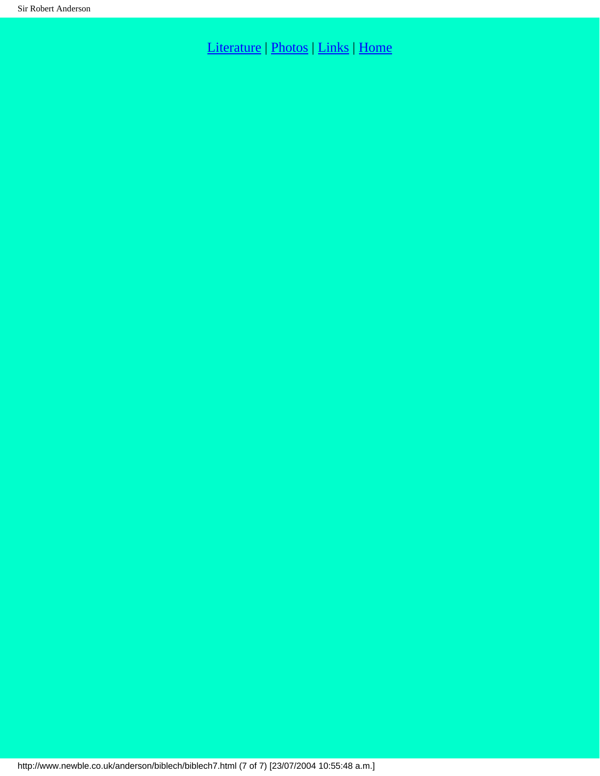[Literature](http://www.newble.co.uk/anderson/literature.html) | [Photos](http://www.newble.co.uk/anderson/photos.html) | [Links](http://www.newble.co.uk/anderson/links.html) | [Home](http://www.newble.co.uk/anderson/index.html)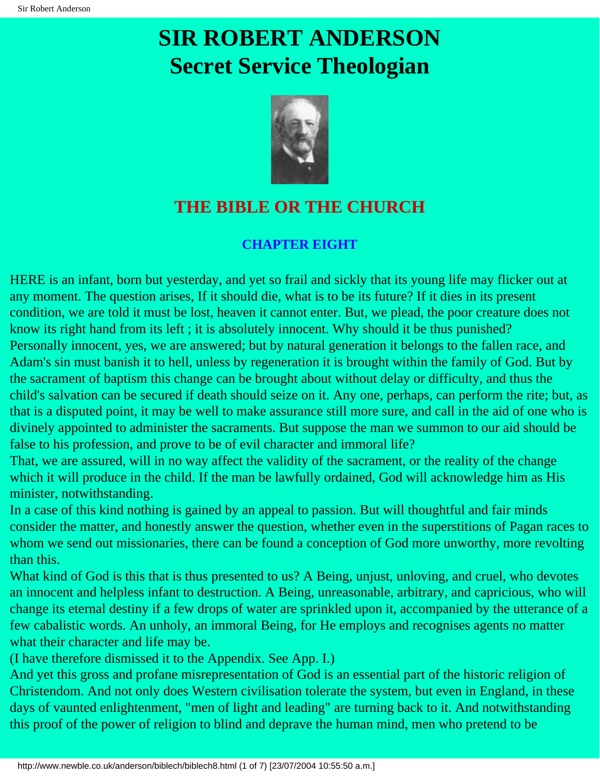# <span id="page-42-0"></span>**SIR ROBERT ANDERSON Secret Service Theologian**



### **THE BIBLE OR THE CHURCH**

#### **CHAPTER EIGHT**

HERE is an infant, born but yesterday, and yet so frail and sickly that its young life may flicker out at any moment. The question arises, If it should die, what is to be its future? If it dies in its present condition, we are told it must be lost, heaven it cannot enter. But, we plead, the poor creature does not know its right hand from its left ; it is absolutely innocent. Why should it be thus punished? Personally innocent, yes, we are answered; but by natural generation it belongs to the fallen race, and Adam's sin must banish it to hell, unless by regeneration it is brought within the family of God. But by the sacrament of baptism this change can be brought about without delay or difficulty, and thus the child's salvation can be secured if death should seize on it. Any one, perhaps, can perform the rite; but, as that is a disputed point, it may be well to make assurance still more sure, and call in the aid of one who is divinely appointed to administer the sacraments. But suppose the man we summon to our aid should be false to his profession, and prove to be of evil character and immoral life?

That, we are assured, will in no way affect the validity of the sacrament, or the reality of the change which it will produce in the child. If the man be lawfully ordained, God will acknowledge him as His minister, notwithstanding.

In a case of this kind nothing is gained by an appeal to passion. But will thoughtful and fair minds consider the matter, and honestly answer the question, whether even in the superstitions of Pagan races to whom we send out missionaries, there can be found a conception of God more unworthy, more revolting than this.

What kind of God is this that is thus presented to us? A Being, unjust, unloving, and cruel, who devotes an innocent and helpless infant to destruction. A Being, unreasonable, arbitrary, and capricious, who will change its eternal destiny if a few drops of water are sprinkled upon it, accompanied by the utterance of a few cabalistic words. An unholy, an immoral Being, for He employs and recognises agents no matter what their character and life may be.

(I have therefore dismissed it to the Appendix. See App. I.)

And yet this gross and profane misrepresentation of God is an essential part of the historic religion of Christendom. And not only does Western civilisation tolerate the system, but even in England, in these days of vaunted enlightenment, "men of light and leading" are turning back to it. And notwithstanding this proof of the power of religion to blind and deprave the human mind, men who pretend to be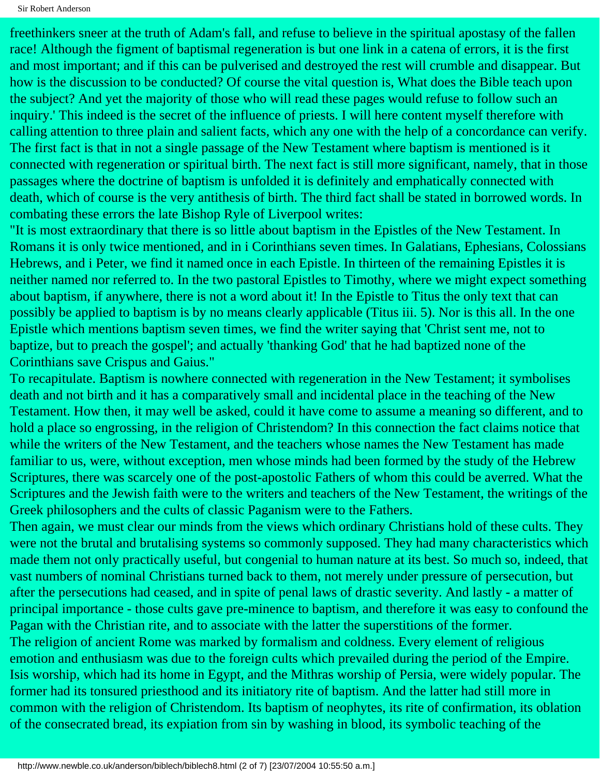Sir Robert Anderson

freethinkers sneer at the truth of Adam's fall, and refuse to believe in the spiritual apostasy of the fallen race! Although the figment of baptismal regeneration is but one link in a catena of errors, it is the first and most important; and if this can be pulverised and destroyed the rest will crumble and disappear. But how is the discussion to be conducted? Of course the vital question is, What does the Bible teach upon the subject? And yet the majority of those who will read these pages would refuse to follow such an inquiry.' This indeed is the secret of the influence of priests. I will here content myself therefore with calling attention to three plain and salient facts, which any one with the help of a concordance can verify. The first fact is that in not a single passage of the New Testament where baptism is mentioned is it connected with regeneration or spiritual birth. The next fact is still more significant, namely, that in those passages where the doctrine of baptism is unfolded it is definitely and emphatically connected with death, which of course is the very antithesis of birth. The third fact shall be stated in borrowed words. In combating these errors the late Bishop Ryle of Liverpool writes:

"It is most extraordinary that there is so little about baptism in the Epistles of the New Testament. In Romans it is only twice mentioned, and in i Corinthians seven times. In Galatians, Ephesians, Colossians Hebrews, and i Peter, we find it named once in each Epistle. In thirteen of the remaining Epistles it is neither named nor referred to. In the two pastoral Epistles to Timothy, where we might expect something about baptism, if anywhere, there is not a word about it! In the Epistle to Titus the only text that can possibly be applied to baptism is by no means clearly applicable (Titus iii. 5). Nor is this all. In the one Epistle which mentions baptism seven times, we find the writer saying that 'Christ sent me, not to baptize, but to preach the gospel'; and actually 'thanking God' that he had baptized none of the Corinthians save Crispus and Gaius."

To recapitulate. Baptism is nowhere connected with regeneration in the New Testament; it symbolises death and not birth and it has a comparatively small and incidental place in the teaching of the New Testament. How then, it may well be asked, could it have come to assume a meaning so different, and to hold a place so engrossing, in the religion of Christendom? In this connection the fact claims notice that while the writers of the New Testament, and the teachers whose names the New Testament has made familiar to us, were, without exception, men whose minds had been formed by the study of the Hebrew Scriptures, there was scarcely one of the post-apostolic Fathers of whom this could be averred. What the Scriptures and the Jewish faith were to the writers and teachers of the New Testament, the writings of the Greek philosophers and the cults of classic Paganism were to the Fathers.

Then again, we must clear our minds from the views which ordinary Christians hold of these cults. They were not the brutal and brutalising systems so commonly supposed. They had many characteristics which made them not only practically useful, but congenial to human nature at its best. So much so, indeed, that vast numbers of nominal Christians turned back to them, not merely under pressure of persecution, but after the persecutions had ceased, and in spite of penal laws of drastic severity. And lastly - a matter of principal importance - those cults gave pre-minence to baptism, and therefore it was easy to confound the Pagan with the Christian rite, and to associate with the latter the superstitions of the former. The religion of ancient Rome was marked by formalism and coldness. Every element of religious emotion and enthusiasm was due to the foreign cults which prevailed during the period of the Empire. Isis worship, which had its home in Egypt, and the Mithras worship of Persia, were widely popular. The former had its tonsured priesthood and its initiatory rite of baptism. And the latter had still more in common with the religion of Christendom. Its baptism of neophytes, its rite of confirmation, its oblation of the consecrated bread, its expiation from sin by washing in blood, its symbolic teaching of the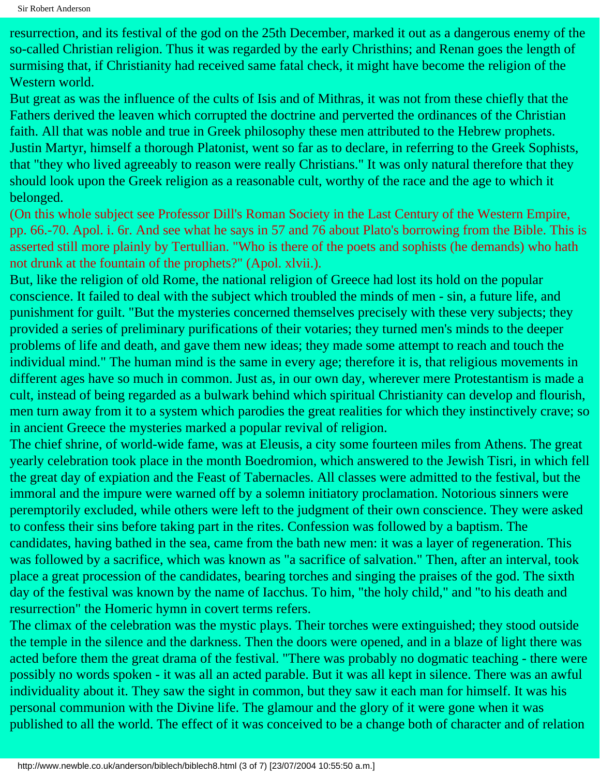resurrection, and its festival of the god on the 25th December, marked it out as a dangerous enemy of the so-called Christian religion. Thus it was regarded by the early Christhins; and Renan goes the length of surmising that, if Christianity had received same fatal check, it might have become the religion of the Western world.

But great as was the influence of the cults of Isis and of Mithras, it was not from these chiefly that the Fathers derived the leaven which corrupted the doctrine and perverted the ordinances of the Christian faith. All that was noble and true in Greek philosophy these men attributed to the Hebrew prophets. Justin Martyr, himself a thorough Platonist, went so far as to declare, in referring to the Greek Sophists, that "they who lived agreeably to reason were really Christians." It was only natural therefore that they should look upon the Greek religion as a reasonable cult, worthy of the race and the age to which it belonged.

(On this whole subject see Professor Dill's Roman Society in the Last Century of the Western Empire, pp. 66.-70. Apol. i. 6r. And see what he says in 57 and 76 about Plato's borrowing from the Bible. This is asserted still more plainly by Tertullian. "Who is there of the poets and sophists (he demands) who hath not drunk at the fountain of the prophets?" (Apol. xlvii.).

But, like the religion of old Rome, the national religion of Greece had lost its hold on the popular conscience. It failed to deal with the subject which troubled the minds of men - sin, a future life, and punishment for guilt. "But the mysteries concerned themselves precisely with these very subjects; they provided a series of preliminary purifications of their votaries; they turned men's minds to the deeper problems of life and death, and gave them new ideas; they made some attempt to reach and touch the individual mind." The human mind is the same in every age; therefore it is, that religious movements in different ages have so much in common. Just as, in our own day, wherever mere Protestantism is made a cult, instead of being regarded as a bulwark behind which spiritual Christianity can develop and flourish, men turn away from it to a system which parodies the great realities for which they instinctively crave; so in ancient Greece the mysteries marked a popular revival of religion.

The chief shrine, of world-wide fame, was at Eleusis, a city some fourteen miles from Athens. The great yearly celebration took place in the month Boedromion, which answered to the Jewish Tisri, in which fell the great day of expiation and the Feast of Tabernacles. All classes were admitted to the festival, but the immoral and the impure were warned off by a solemn initiatory proclamation. Notorious sinners were peremptorily excluded, while others were left to the judgment of their own conscience. They were asked to confess their sins before taking part in the rites. Confession was followed by a baptism. The candidates, having bathed in the sea, came from the bath new men: it was a layer of regeneration. This was followed by a sacrifice, which was known as "a sacrifice of salvation." Then, after an interval, took place a great procession of the candidates, bearing torches and singing the praises of the god. The sixth day of the festival was known by the name of Iacchus. To him, "the holy child," and "to his death and resurrection" the Homeric hymn in covert terms refers.

The climax of the celebration was the mystic plays. Their torches were extinguished; they stood outside the temple in the silence and the darkness. Then the doors were opened, and in a blaze of light there was acted before them the great drama of the festival. "There was probably no dogmatic teaching - there were possibly no words spoken - it was all an acted parable. But it was all kept in silence. There was an awful individuality about it. They saw the sight in common, but they saw it each man for himself. It was his personal communion with the Divine life. The glamour and the glory of it were gone when it was published to all the world. The effect of it was conceived to be a change both of character and of relation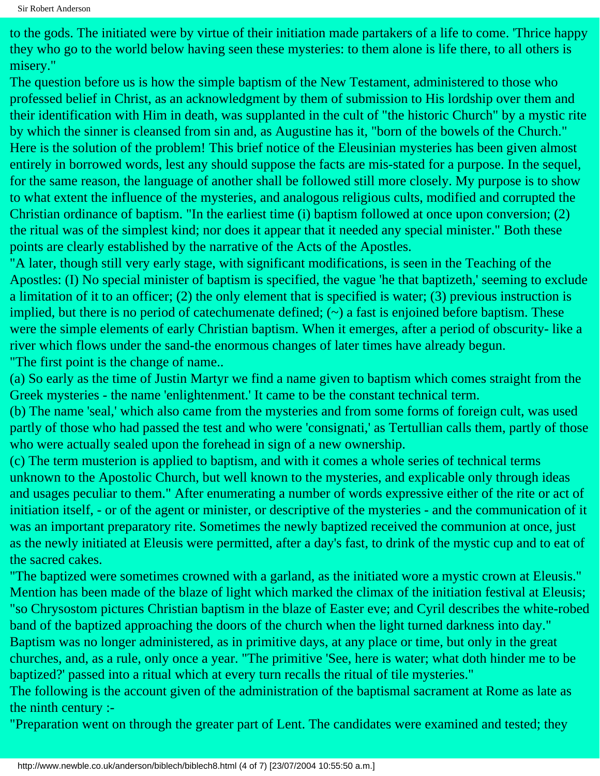to the gods. The initiated were by virtue of their initiation made partakers of a life to come. 'Thrice happy they who go to the world below having seen these mysteries: to them alone is life there, to all others is misery."

The question before us is how the simple baptism of the New Testament, administered to those who professed belief in Christ, as an acknowledgment by them of submission to His lordship over them and their identification with Him in death, was supplanted in the cult of "the historic Church" by a mystic rite by which the sinner is cleansed from sin and, as Augustine has it, "born of the bowels of the Church." Here is the solution of the problem! This brief notice of the Eleusinian mysteries has been given almost entirely in borrowed words, lest any should suppose the facts are mis-stated for a purpose. In the sequel, for the same reason, the language of another shall be followed still more closely. My purpose is to show to what extent the influence of the mysteries, and analogous religious cults, modified and corrupted the Christian ordinance of baptism. "In the earliest time (i) baptism followed at once upon conversion; (2) the ritual was of the simplest kind; nor does it appear that it needed any special minister." Both these points are clearly established by the narrative of the Acts of the Apostles.

"A later, though still very early stage, with significant modifications, is seen in the Teaching of the Apostles: (I) No special minister of baptism is specified, the vague 'he that baptizeth,' seeming to exclude a limitation of it to an officer; (2) the only element that is specified is water; (3) previous instruction is implied, but there is no period of catechumenate defined;  $(\sim)$  a fast is enjoined before baptism. These were the simple elements of early Christian baptism. When it emerges, after a period of obscurity- like a river which flows under the sand-the enormous changes of later times have already begun. "The first point is the change of name..

(a) So early as the time of Justin Martyr we find a name given to baptism which comes straight from the Greek mysteries - the name 'enlightenment.' It came to be the constant technical term.

(b) The name 'seal,' which also came from the mysteries and from some forms of foreign cult, was used partly of those who had passed the test and who were 'consignati,' as Tertullian calls them, partly of those who were actually sealed upon the forehead in sign of a new ownership.

(c) The term musterion is applied to baptism, and with it comes a whole series of technical terms unknown to the Apostolic Church, but well known to the mysteries, and explicable only through ideas and usages peculiar to them." After enumerating a number of words expressive either of the rite or act of initiation itself, - or of the agent or minister, or descriptive of the mysteries - and the communication of it was an important preparatory rite. Sometimes the newly baptized received the communion at once, just as the newly initiated at Eleusis were permitted, after a day's fast, to drink of the mystic cup and to eat of the sacred cakes.

"The baptized were sometimes crowned with a garland, as the initiated wore a mystic crown at Eleusis." Mention has been made of the blaze of light which marked the climax of the initiation festival at Eleusis; "so Chrysostom pictures Christian baptism in the blaze of Easter eve; and Cyril describes the white-robed band of the baptized approaching the doors of the church when the light turned darkness into day." Baptism was no longer administered, as in primitive days, at any place or time, but only in the great churches, and, as a rule, only once a year. "The primitive 'See, here is water; what doth hinder me to be

baptized?' passed into a ritual which at every turn recalls the ritual of tile mysteries."

The following is the account given of the administration of the baptismal sacrament at Rome as late as the ninth century :-

"Preparation went on through the greater part of Lent. The candidates were examined and tested; they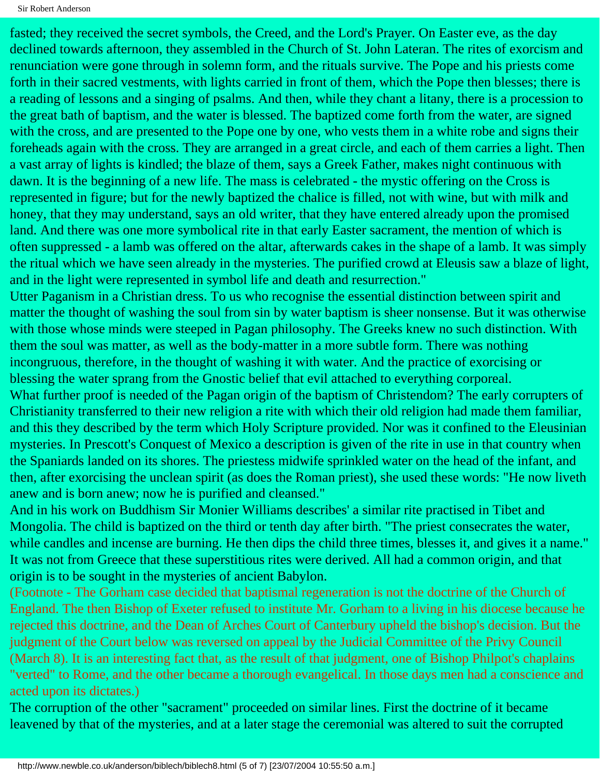fasted; they received the secret symbols, the Creed, and the Lord's Prayer. On Easter eve, as the day declined towards afternoon, they assembled in the Church of St. John Lateran. The rites of exorcism and renunciation were gone through in solemn form, and the rituals survive. The Pope and his priests come forth in their sacred vestments, with lights carried in front of them, which the Pope then blesses; there is a reading of lessons and a singing of psalms. And then, while they chant a litany, there is a procession to the great bath of baptism, and the water is blessed. The baptized come forth from the water, are signed with the cross, and are presented to the Pope one by one, who vests them in a white robe and signs their foreheads again with the cross. They are arranged in a great circle, and each of them carries a light. Then a vast array of lights is kindled; the blaze of them, says a Greek Father, makes night continuous with dawn. It is the beginning of a new life. The mass is celebrated - the mystic offering on the Cross is represented in figure; but for the newly baptized the chalice is filled, not with wine, but with milk and honey, that they may understand, says an old writer, that they have entered already upon the promised land. And there was one more symbolical rite in that early Easter sacrament, the mention of which is often suppressed - a lamb was offered on the altar, afterwards cakes in the shape of a lamb. It was simply the ritual which we have seen already in the mysteries. The purified crowd at Eleusis saw a blaze of light, and in the light were represented in symbol life and death and resurrection."

Utter Paganism in a Christian dress. To us who recognise the essential distinction between spirit and matter the thought of washing the soul from sin by water baptism is sheer nonsense. But it was otherwise with those whose minds were steeped in Pagan philosophy. The Greeks knew no such distinction. With them the soul was matter, as well as the body-matter in a more subtle form. There was nothing incongruous, therefore, in the thought of washing it with water. And the practice of exorcising or blessing the water sprang from the Gnostic belief that evil attached to everything corporeal. What further proof is needed of the Pagan origin of the baptism of Christendom? The early corrupters of Christianity transferred to their new religion a rite with which their old religion had made them familiar, and this they described by the term which Holy Scripture provided. Nor was it confined to the Eleusinian mysteries. In Prescott's Conquest of Mexico a description is given of the rite in use in that country when the Spaniards landed on its shores. The priestess midwife sprinkled water on the head of the infant, and then, after exorcising the unclean spirit (as does the Roman priest), she used these words: "He now liveth

anew and is born anew; now he is purified and cleansed."

And in his work on Buddhism Sir Monier Williams describes' a similar rite practised in Tibet and Mongolia. The child is baptized on the third or tenth day after birth. "The priest consecrates the water, while candles and incense are burning. He then dips the child three times, blesses it, and gives it a name." It was not from Greece that these superstitious rites were derived. All had a common origin, and that origin is to be sought in the mysteries of ancient Babylon.

(Footnote - The Gorham case decided that baptismal regeneration is not the doctrine of the Church of England. The then Bishop of Exeter refused to institute Mr. Gorham to a living in his diocese because he rejected this doctrine, and the Dean of Arches Court of Canterbury upheld the bishop's decision. But the judgment of the Court below was reversed on appeal by the Judicial Committee of the Privy Council (March 8). It is an interesting fact that, as the result of that judgment, one of Bishop Philpot's chaplains "verted" to Rome, and the other became a thorough evangelical. In those days men had a conscience and acted upon its dictates.)

The corruption of the other "sacrament" proceeded on similar lines. First the doctrine of it became leavened by that of the mysteries, and at a later stage the ceremonial was altered to suit the corrupted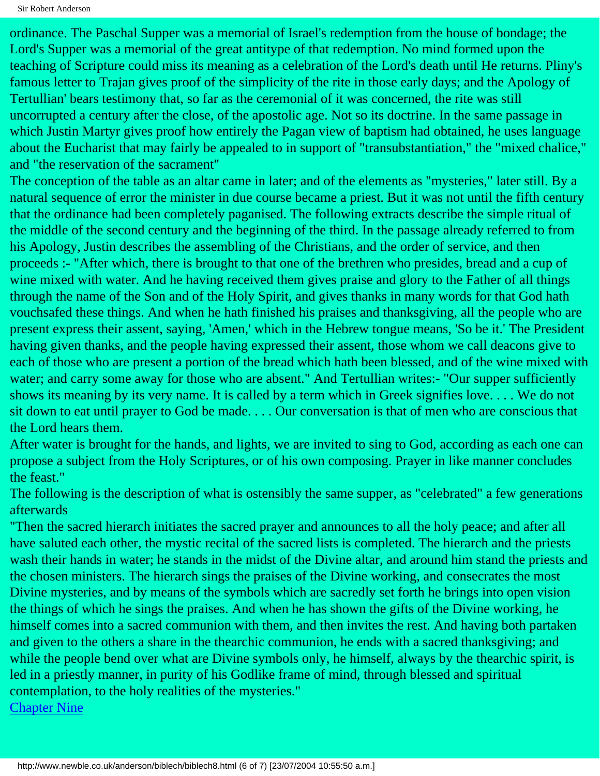Sir Robert Anderson

ordinance. The Paschal Supper was a memorial of Israel's redemption from the house of bondage; the Lord's Supper was a memorial of the great antitype of that redemption. No mind formed upon the teaching of Scripture could miss its meaning as a celebration of the Lord's death until He returns. Pliny's famous letter to Trajan gives proof of the simplicity of the rite in those early days; and the Apology of Tertullian' bears testimony that, so far as the ceremonial of it was concerned, the rite was still uncorrupted a century after the close, of the apostolic age. Not so its doctrine. In the same passage in which Justin Martyr gives proof how entirely the Pagan view of baptism had obtained, he uses language about the Eucharist that may fairly be appealed to in support of "transubstantiation," the "mixed chalice," and "the reservation of the sacrament"

The conception of the table as an altar came in later; and of the elements as "mysteries," later still. By a natural sequence of error the minister in due course became a priest. But it was not until the fifth century that the ordinance had been completely paganised. The following extracts describe the simple ritual of the middle of the second century and the beginning of the third. In the passage already referred to from his Apology, Justin describes the assembling of the Christians, and the order of service, and then proceeds :- "After which, there is brought to that one of the brethren who presides, bread and a cup of wine mixed with water. And he having received them gives praise and glory to the Father of all things through the name of the Son and of the Holy Spirit, and gives thanks in many words for that God hath vouchsafed these things. And when he hath finished his praises and thanksgiving, all the people who are present express their assent, saying, 'Amen,' which in the Hebrew tongue means, 'So be it.' The President having given thanks, and the people having expressed their assent, those whom we call deacons give to each of those who are present a portion of the bread which hath been blessed, and of the wine mixed with water; and carry some away for those who are absent." And Tertullian writes:- "Our supper sufficiently shows its meaning by its very name. It is called by a term which in Greek signifies love. . . . We do not sit down to eat until prayer to God be made. . . . Our conversation is that of men who are conscious that the Lord hears them.

After water is brought for the hands, and lights, we are invited to sing to God, according as each one can propose a subject from the Holy Scriptures, or of his own composing. Prayer in like manner concludes the feast."

The following is the description of what is ostensibly the same supper, as "celebrated" a few generations afterwards

"Then the sacred hierarch initiates the sacred prayer and announces to all the holy peace; and after all have saluted each other, the mystic recital of the sacred lists is completed. The hierarch and the priests wash their hands in water; he stands in the midst of the Divine altar, and around him stand the priests and the chosen ministers. The hierarch sings the praises of the Divine working, and consecrates the most Divine mysteries, and by means of the symbols which are sacredly set forth he brings into open vision the things of which he sings the praises. And when he has shown the gifts of the Divine working, he himself comes into a sacred communion with them, and then invites the rest. And having both partaken and given to the others a share in the thearchic communion, he ends with a sacred thanksgiving; and while the people bend over what are Divine symbols only, he himself, always by the thearchic spirit, is led in a priestly manner, in purity of his Godlike frame of mind, through blessed and spiritual contemplation, to the holy realities of the mysteries."

[Chapter Nine](#page-49-0)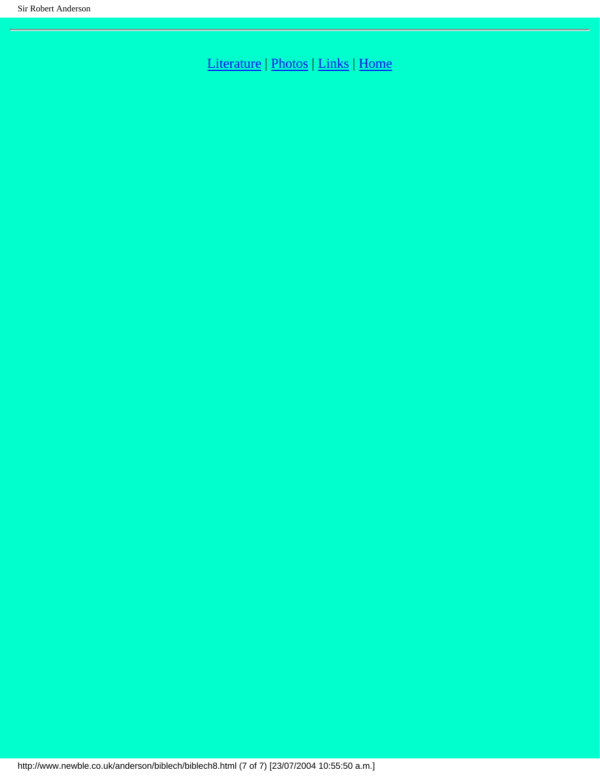[Literature](http://www.newble.co.uk/anderson/literature.html) | [Photos](http://www.newble.co.uk/anderson/photos.html) | [Links](http://www.newble.co.uk/anderson/links.html) | [Home](http://www.newble.co.uk/anderson/index.html)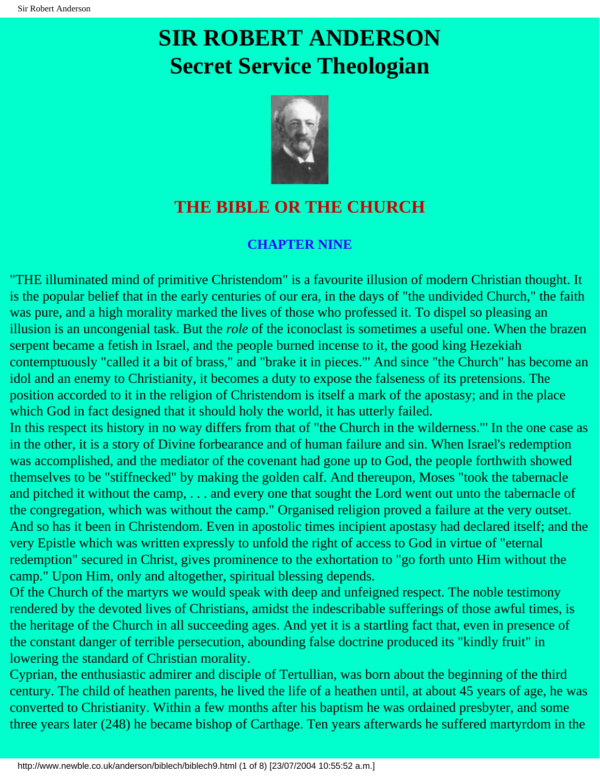# <span id="page-49-0"></span>**SIR ROBERT ANDERSON Secret Service Theologian**



#### **THE BIBLE OR THE CHURCH**

#### **CHAPTER NINE**

"THE illuminated mind of primitive Christendom" is a favourite illusion of modern Christian thought. It is the popular belief that in the early centuries of our era, in the days of "the undivided Church," the faith was pure, and a high morality marked the lives of those who professed it. To dispel so pleasing an illusion is an uncongenial task. But the *role* of the iconoclast is sometimes a useful one. When the brazen serpent became a fetish in Israel, and the people burned incense to it, the good king Hezekiah contemptuously "called it a bit of brass," and "brake it in pieces."' And since "the Church" has become an idol and an enemy to Christianity, it becomes a duty to expose the falseness of its pretensions. The position accorded to it in the religion of Christendom is itself a mark of the apostasy; and in the place which God in fact designed that it should holy the world, it has utterly failed.

In this respect its history in no way differs from that of "the Church in the wilderness."' In the one case as in the other, it is a story of Divine forbearance and of human failure and sin. When Israel's redemption was accomplished, and the mediator of the covenant had gone up to God, the people forthwith showed themselves to be "stiffnecked" by making the golden calf. And thereupon, Moses "took the tabernacle and pitched it without the camp, . . . and every one that sought the Lord went out unto the tabernacle of the congregation, which was without the camp." Organised religion proved a failure at the very outset. And so has it been in Christendom. Even in apostolic times incipient apostasy had declared itself; and the very Epistle which was written expressly to unfold the right of access to God in virtue of "eternal redemption" secured in Christ, gives prominence to the exhortation to "go forth unto Him without the camp." Upon Him, only and altogether, spiritual blessing depends.

Of the Church of the martyrs we would speak with deep and unfeigned respect. The noble testimony rendered by the devoted lives of Christians, amidst the indescribable sufferings of those awful times, is the heritage of the Church in all succeeding ages. And yet it is a startling fact that, even in presence of the constant danger of terrible persecution, abounding false doctrine produced its "kindly fruit" in lowering the standard of Christian morality.

Cyprian, the enthusiastic admirer and disciple of Tertullian, was born about the beginning of the third century. The child of heathen parents, he lived the life of a heathen until, at about 45 years of age, he was converted to Christianity. Within a few months after his baptism he was ordained presbyter, and some three years later (248) he became bishop of Carthage. Ten years afterwards he suffered martyrdom in the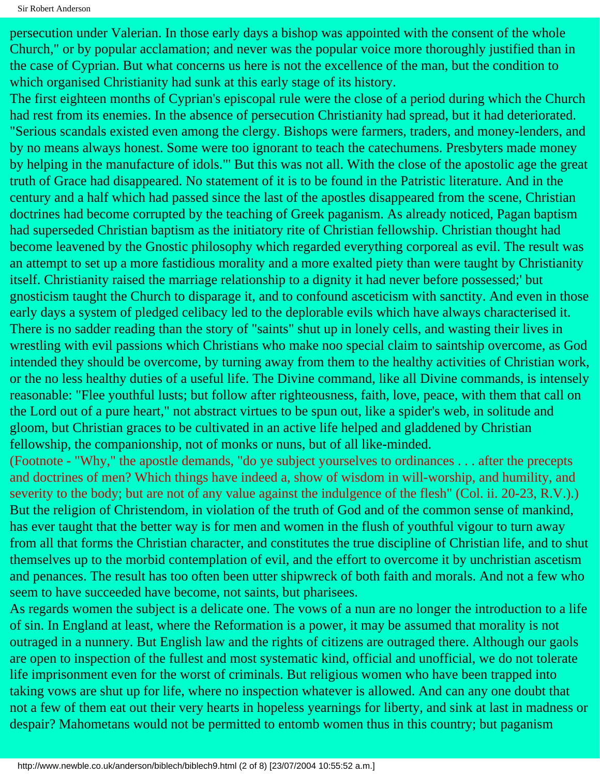Sir Robert Anderson

persecution under Valerian. In those early days a bishop was appointed with the consent of the whole Church," or by popular acclamation; and never was the popular voice more thoroughly justified than in the case of Cyprian. But what concerns us here is not the excellence of the man, but the condition to which organised Christianity had sunk at this early stage of its history.

The first eighteen months of Cyprian's episcopal rule were the close of a period during which the Church had rest from its enemies. In the absence of persecution Christianity had spread, but it had deteriorated. "Serious scandals existed even among the clergy. Bishops were farmers, traders, and money-lenders, and by no means always honest. Some were too ignorant to teach the catechumens. Presbyters made money by helping in the manufacture of idols."' But this was not all. With the close of the apostolic age the great truth of Grace had disappeared. No statement of it is to be found in the Patristic literature. And in the century and a half which had passed since the last of the apostles disappeared from the scene, Christian doctrines had become corrupted by the teaching of Greek paganism. As already noticed, Pagan baptism had superseded Christian baptism as the initiatory rite of Christian fellowship. Christian thought had become leavened by the Gnostic philosophy which regarded everything corporeal as evil. The result was an attempt to set up a more fastidious morality and a more exalted piety than were taught by Christianity itself. Christianity raised the marriage relationship to a dignity it had never before possessed;' but gnosticism taught the Church to disparage it, and to confound asceticism with sanctity. And even in those early days a system of pledged celibacy led to the deplorable evils which have always characterised it. There is no sadder reading than the story of "saints" shut up in lonely cells, and wasting their lives in wrestling with evil passions which Christians who make noo special claim to saintship overcome, as God intended they should be overcome, by turning away from them to the healthy activities of Christian work, or the no less healthy duties of a useful life. The Divine command, like all Divine commands, is intensely reasonable: "Flee youthful lusts; but follow after righteousness, faith, love, peace, with them that call on the Lord out of a pure heart," not abstract virtues to be spun out, like a spider's web, in solitude and gloom, but Christian graces to be cultivated in an active life helped and gladdened by Christian fellowship, the companionship, not of monks or nuns, but of all like-minded.

(Footnote - "Why," the apostle demands, "do ye subject yourselves to ordinances . . . after the precepts and doctrines of men? Which things have indeed a, show of wisdom in will-worship, and humility, and severity to the body; but are not of any value against the indulgence of the flesh" (Col. ii. 20-23, R.V.).) But the religion of Christendom, in violation of the truth of God and of the common sense of mankind, has ever taught that the better way is for men and women in the flush of youthful vigour to turn away from all that forms the Christian character, and constitutes the true discipline of Christian life, and to shut themselves up to the morbid contemplation of evil, and the effort to overcome it by unchristian ascetism and penances. The result has too often been utter shipwreck of both faith and morals. And not a few who seem to have succeeded have become, not saints, but pharisees.

As regards women the subject is a delicate one. The vows of a nun are no longer the introduction to a life of sin. In England at least, where the Reformation is a power, it may be assumed that morality is not outraged in a nunnery. But English law and the rights of citizens are outraged there. Although our gaols are open to inspection of the fullest and most systematic kind, official and unofficial, we do not tolerate life imprisonment even for the worst of criminals. But religious women who have been trapped into taking vows are shut up for life, where no inspection whatever is allowed. And can any one doubt that not a few of them eat out their very hearts in hopeless yearnings for liberty, and sink at last in madness or despair? Mahometans would not be permitted to entomb women thus in this country; but paganism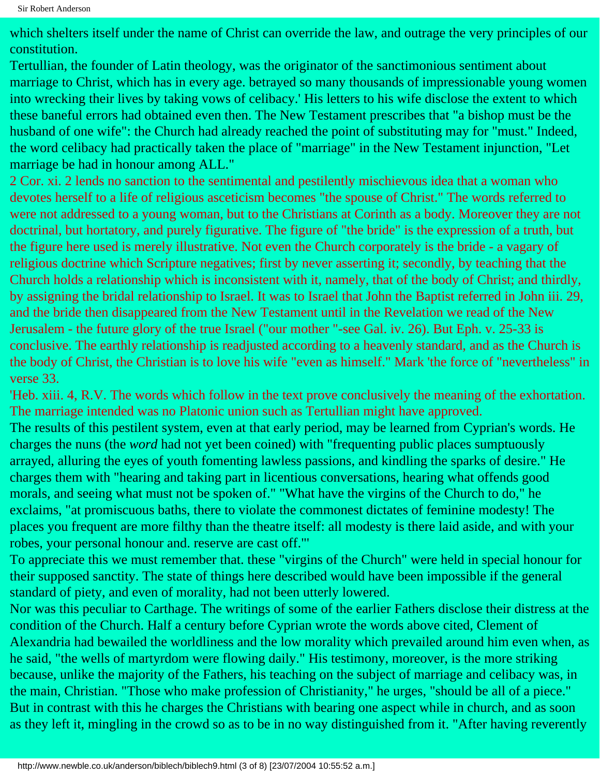which shelters itself under the name of Christ can override the law, and outrage the very principles of our constitution.

Tertullian, the founder of Latin theology, was the originator of the sanctimonious sentiment about marriage to Christ, which has in every age. betrayed so many thousands of impressionable young women into wrecking their lives by taking vows of celibacy.' His letters to his wife disclose the extent to which these baneful errors had obtained even then. The New Testament prescribes that "a bishop must be the husband of one wife": the Church had already reached the point of substituting may for "must." Indeed, the word celibacy had practically taken the place of "marriage" in the New Testament injunction, "Let marriage be had in honour among ALL."

2 Cor. xi. 2 lends no sanction to the sentimental and pestilently mischievous idea that a woman who devotes herself to a life of religious asceticism becomes "the spouse of Christ." The words referred to were not addressed to a young woman, but to the Christians at Corinth as a body. Moreover they are not doctrinal, but hortatory, and purely figurative. The figure of "the bride" is the expression of a truth, but the figure here used is merely illustrative. Not even the Church corporately is the bride - a vagary of religious doctrine which Scripture negatives; first by never asserting it; secondly, by teaching that the Church holds a relationship which is inconsistent with it, namely, that of the body of Christ; and thirdly, by assigning the bridal relationship to Israel. It was to Israel that John the Baptist referred in John iii. 29, and the bride then disappeared from the New Testament until in the Revelation we read of the New Jerusalem - the future glory of the true Israel ("our mother "-see Gal. iv. 26). But Eph. v. 25-33 is conclusive. The earthly relationship is readjusted according to a heavenly standard, and as the Church is the body of Christ, the Christian is to love his wife "even as himself." Mark 'the force of "nevertheless" in verse 33.

'Heb. xiii. 4, R.V. The words which follow in the text prove conclusively the meaning of the exhortation. The marriage intended was no Platonic union such as Tertullian might have approved. The results of this pestilent system, even at that early period, may be learned from Cyprian's words. He charges the nuns (the *word* had not yet been coined) with "frequenting public places sumptuously arrayed, alluring the eyes of youth fomenting lawless passions, and kindling the sparks of desire." He charges them with "hearing and taking part in licentious conversations, hearing what offends good morals, and seeing what must not be spoken of." "What have the virgins of the Church to do," he exclaims, "at promiscuous baths, there to violate the commonest dictates of feminine modesty! The places you frequent are more filthy than the theatre itself: all modesty is there laid aside, and with your robes, your personal honour and. reserve are cast off."'

To appreciate this we must remember that. these "virgins of the Church" were held in special honour for their supposed sanctity. The state of things here described would have been impossible if the general standard of piety, and even of morality, had not been utterly lowered.

Nor was this peculiar to Carthage. The writings of some of the earlier Fathers disclose their distress at the condition of the Church. Half a century before Cyprian wrote the words above cited, Clement of Alexandria had bewailed the worldliness and the low morality which prevailed around him even when, as he said, "the wells of martyrdom were flowing daily." His testimony, moreover, is the more striking because, unlike the majority of the Fathers, his teaching on the subject of marriage and celibacy was, in the main, Christian. "Those who make profession of Christianity," he urges, "should be all of a piece." But in contrast with this he charges the Christians with bearing one aspect while in church, and as soon as they left it, mingling in the crowd so as to be in no way distinguished from it. "After having reverently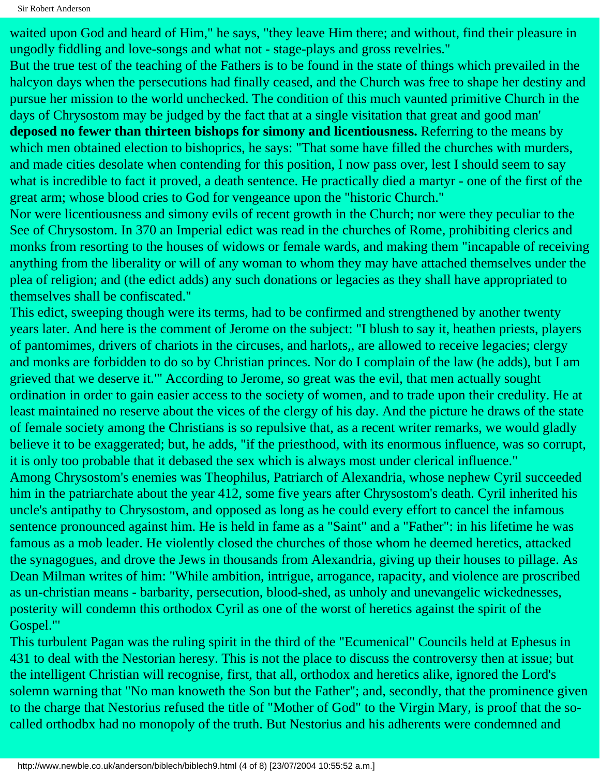Sir Robert Anderson

waited upon God and heard of Him," he says, "they leave Him there; and without, find their pleasure in ungodly fiddling and love-songs and what not - stage-plays and gross revelries."

But the true test of the teaching of the Fathers is to be found in the state of things which prevailed in the halcyon days when the persecutions had finally ceased, and the Church was free to shape her destiny and pursue her mission to the world unchecked. The condition of this much vaunted primitive Church in the days of Chrysostom may be judged by the fact that at a single visitation that great and good man' **deposed no fewer than thirteen bishops for simony and licentiousness.** Referring to the means by which men obtained election to bishoprics, he says: "That some have filled the churches with murders,

and made cities desolate when contending for this position, I now pass over, lest I should seem to say what is incredible to fact it proved, a death sentence. He practically died a martyr - one of the first of the great arm; whose blood cries to God for vengeance upon the "historic Church."

Nor were licentiousness and simony evils of recent growth in the Church; nor were they peculiar to the See of Chrysostom. In 370 an Imperial edict was read in the churches of Rome, prohibiting clerics and monks from resorting to the houses of widows or female wards, and making them "incapable of receiving anything from the liberality or will of any woman to whom they may have attached themselves under the plea of religion; and (the edict adds) any such donations or legacies as they shall have appropriated to themselves shall be confiscated."

This edict, sweeping though were its terms, had to be confirmed and strengthened by another twenty years later. And here is the comment of Jerome on the subject: "I blush to say it, heathen priests, players of pantomimes, drivers of chariots in the circuses, and harlots,, are allowed to receive legacies; clergy and monks are forbidden to do so by Christian princes. Nor do I complain of the law (he adds), but I am grieved that we deserve it."' According to Jerome, so great was the evil, that men actually sought ordination in order to gain easier access to the society of women, and to trade upon their credulity. He at least maintained no reserve about the vices of the clergy of his day. And the picture he draws of the state of female society among the Christians is so repulsive that, as a recent writer remarks, we would gladly believe it to be exaggerated; but, he adds, "if the priesthood, with its enormous influence, was so corrupt, it is only too probable that it debased the sex which is always most under clerical influence."

Among Chrysostom's enemies was Theophilus, Patriarch of Alexandria, whose nephew Cyril succeeded him in the patriarchate about the year 412, some five years after Chrysostom's death. Cyril inherited his uncle's antipathy to Chrysostom, and opposed as long as he could every effort to cancel the infamous sentence pronounced against him. He is held in fame as a "Saint" and a "Father": in his lifetime he was famous as a mob leader. He violently closed the churches of those whom he deemed heretics, attacked the synagogues, and drove the Jews in thousands from Alexandria, giving up their houses to pillage. As Dean Milman writes of him: "While ambition, intrigue, arrogance, rapacity, and violence are proscribed as un-christian means - barbarity, persecution, blood-shed, as unholy and unevangelic wickednesses, posterity will condemn this orthodox Cyril as one of the worst of heretics against the spirit of the Gospel."'

This turbulent Pagan was the ruling spirit in the third of the "Ecumenical" Councils held at Ephesus in 431 to deal with the Nestorian heresy. This is not the place to discuss the controversy then at issue; but the intelligent Christian will recognise, first, that all, orthodox and heretics alike, ignored the Lord's solemn warning that "No man knoweth the Son but the Father"; and, secondly, that the prominence given to the charge that Nestorius refused the title of "Mother of God" to the Virgin Mary, is proof that the socalled orthodbx had no monopoly of the truth. But Nestorius and his adherents were condemned and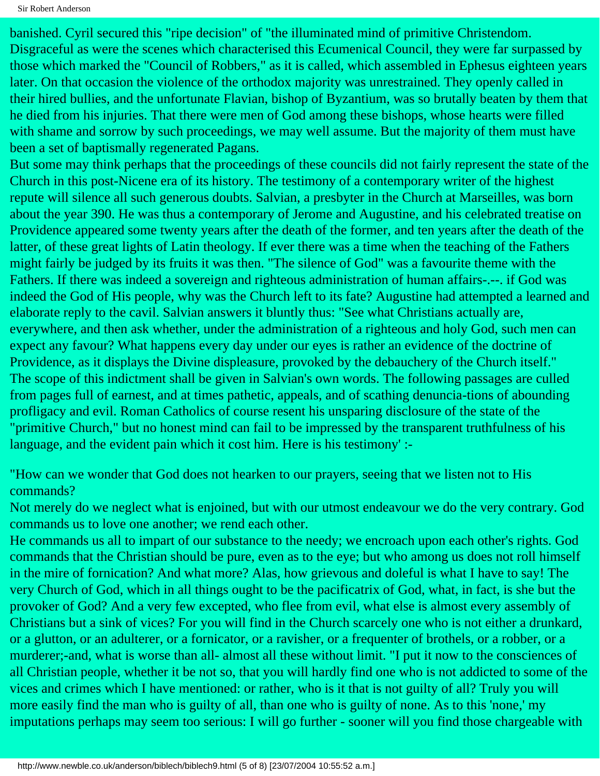Sir Robert Anderson

banished. Cyril secured this "ripe decision" of "the illuminated mind of primitive Christendom. Disgraceful as were the scenes which characterised this Ecumenical Council, they were far surpassed by those which marked the "Council of Robbers," as it is called, which assembled in Ephesus eighteen years later. On that occasion the violence of the orthodox majority was unrestrained. They openly called in their hired bullies, and the unfortunate Flavian, bishop of Byzantium, was so brutally beaten by them that he died from his injuries. That there were men of God among these bishops, whose hearts were filled with shame and sorrow by such proceedings, we may well assume. But the majority of them must have been a set of baptismally regenerated Pagans.

But some may think perhaps that the proceedings of these councils did not fairly represent the state of the Church in this post-Nicene era of its history. The testimony of a contemporary writer of the highest repute will silence all such generous doubts. Salvian, a presbyter in the Church at Marseilles, was born about the year 390. He was thus a contemporary of Jerome and Augustine, and his celebrated treatise on Providence appeared some twenty years after the death of the former, and ten years after the death of the latter, of these great lights of Latin theology. If ever there was a time when the teaching of the Fathers might fairly be judged by its fruits it was then. "The silence of God" was a favourite theme with the Fathers. If there was indeed a sovereign and righteous administration of human affairs-.--. if God was indeed the God of His people, why was the Church left to its fate? Augustine had attempted a learned and elaborate reply to the cavil. Salvian answers it bluntly thus: "See what Christians actually are, everywhere, and then ask whether, under the administration of a righteous and holy God, such men can expect any favour? What happens every day under our eyes is rather an evidence of the doctrine of Providence, as it displays the Divine displeasure, provoked by the debauchery of the Church itself." The scope of this indictment shall be given in Salvian's own words. The following passages are culled from pages full of earnest, and at times pathetic, appeals, and of scathing denuncia-tions of abounding profligacy and evil. Roman Catholics of course resent his unsparing disclosure of the state of the "primitive Church," but no honest mind can fail to be impressed by the transparent truthfulness of his language, and the evident pain which it cost him. Here is his testimony' :-

"How can we wonder that God does not hearken to our prayers, seeing that we listen not to His commands?

Not merely do we neglect what is enjoined, but with our utmost endeavour we do the very contrary. God commands us to love one another; we rend each other.

He commands us all to impart of our substance to the needy; we encroach upon each other's rights. God commands that the Christian should be pure, even as to the eye; but who among us does not roll himself in the mire of fornication? And what more? Alas, how grievous and doleful is what I have to say! The very Church of God, which in all things ought to be the pacificatrix of God, what, in fact, is she but the provoker of God? And a very few excepted, who flee from evil, what else is almost every assembly of Christians but a sink of vices? For you will find in the Church scarcely one who is not either a drunkard, or a glutton, or an adulterer, or a fornicator, or a ravisher, or a frequenter of brothels, or a robber, or a murderer;-and, what is worse than all- almost all these without limit. "I put it now to the consciences of all Christian people, whether it be not so, that you will hardly find one who is not addicted to some of the vices and crimes which I have mentioned: or rather, who is it that is not guilty of all? Truly you will more easily find the man who is guilty of all, than one who is guilty of none. As to this 'none,' my imputations perhaps may seem too serious: I will go further - sooner will you find those chargeable with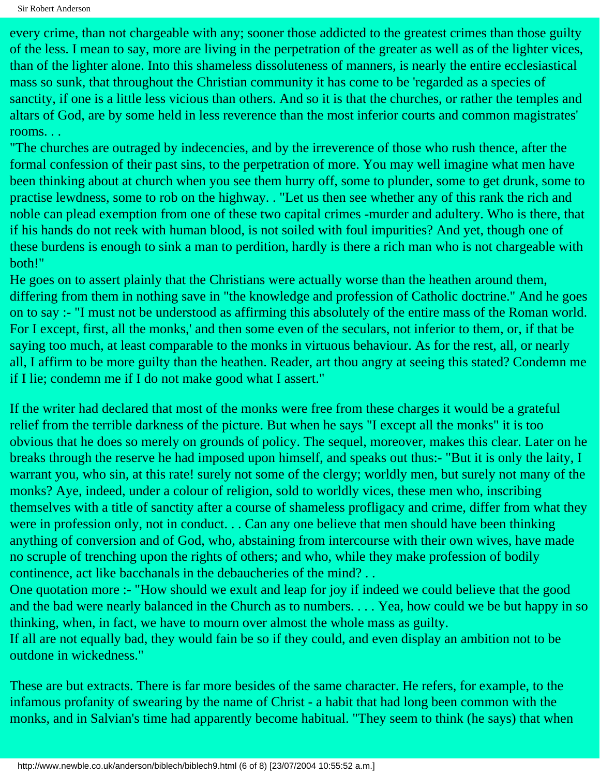every crime, than not chargeable with any; sooner those addicted to the greatest crimes than those guilty of the less. I mean to say, more are living in the perpetration of the greater as well as of the lighter vices, than of the lighter alone. Into this shameless dissoluteness of manners, is nearly the entire ecclesiastical mass so sunk, that throughout the Christian community it has come to be 'regarded as a species of sanctity, if one is a little less vicious than others. And so it is that the churches, or rather the temples and altars of God, are by some held in less reverence than the most inferior courts and common magistrates' rooms. . .

"The churches are outraged by indecencies, and by the irreverence of those who rush thence, after the formal confession of their past sins, to the perpetration of more. You may well imagine what men have been thinking about at church when you see them hurry off, some to plunder, some to get drunk, some to practise lewdness, some to rob on the highway. . "Let us then see whether any of this rank the rich and noble can plead exemption from one of these two capital crimes -murder and adultery. Who is there, that if his hands do not reek with human blood, is not soiled with foul impurities? And yet, though one of these burdens is enough to sink a man to perdition, hardly is there a rich man who is not chargeable with both!"

He goes on to assert plainly that the Christians were actually worse than the heathen around them, differing from them in nothing save in "the knowledge and profession of Catholic doctrine." And he goes on to say :- "I must not be understood as affirming this absolutely of the entire mass of the Roman world. For I except, first, all the monks,' and then some even of the seculars, not inferior to them, or, if that be saying too much, at least comparable to the monks in virtuous behaviour. As for the rest, all, or nearly all, I affirm to be more guilty than the heathen. Reader, art thou angry at seeing this stated? Condemn me if I lie; condemn me if I do not make good what I assert."

If the writer had declared that most of the monks were free from these charges it would be a grateful relief from the terrible darkness of the picture. But when he says "I except all the monks" it is too obvious that he does so merely on grounds of policy. The sequel, moreover, makes this clear. Later on he breaks through the reserve he had imposed upon himself, and speaks out thus:- "But it is only the laity, I warrant you, who sin, at this rate! surely not some of the clergy; worldly men, but surely not many of the monks? Aye, indeed, under a colour of religion, sold to worldly vices, these men who, inscribing themselves with a title of sanctity after a course of shameless profligacy and crime, differ from what they were in profession only, not in conduct. . . Can any one believe that men should have been thinking anything of conversion and of God, who, abstaining from intercourse with their own wives, have made no scruple of trenching upon the rights of others; and who, while they make profession of bodily continence, act like bacchanals in the debaucheries of the mind? . .

One quotation more :- "How should we exult and leap for joy if indeed we could believe that the good and the bad were nearly balanced in the Church as to numbers. . . . Yea, how could we be but happy in so thinking, when, in fact, we have to mourn over almost the whole mass as guilty.

If all are not equally bad, they would fain be so if they could, and even display an ambition not to be outdone in wickedness."

These are but extracts. There is far more besides of the same character. He refers, for example, to the infamous profanity of swearing by the name of Christ - a habit that had long been common with the monks, and in Salvian's time had apparently become habitual. "They seem to think (he says) that when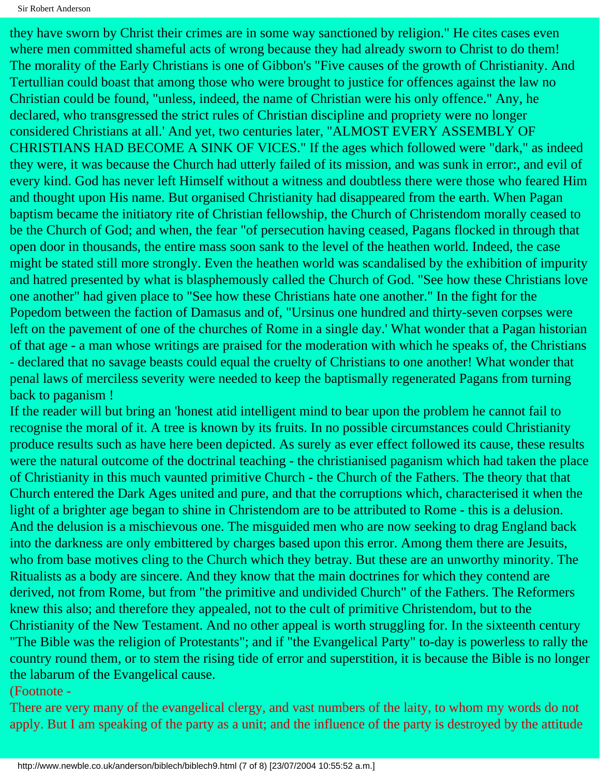they have sworn by Christ their crimes are in some way sanctioned by religion." He cites cases even where men committed shameful acts of wrong because they had already sworn to Christ to do them! The morality of the Early Christians is one of Gibbon's "Five causes of the growth of Christianity. And Tertullian could boast that among those who were brought to justice for offences against the law no Christian could be found, "unless, indeed, the name of Christian were his only offence." Any, he declared, who transgressed the strict rules of Christian discipline and propriety were no longer considered Christians at all.' And yet, two centuries later, "ALMOST EVERY ASSEMBLY OF CHRISTIANS HAD BECOME A SINK OF VICES." If the ages which followed were "dark," as indeed they were, it was because the Church had utterly failed of its mission, and was sunk in error:, and evil of every kind. God has never left Himself without a witness and doubtless there were those who feared Him and thought upon His name. But organised Christianity had disappeared from the earth. When Pagan baptism became the initiatory rite of Christian fellowship, the Church of Christendom morally ceased to be the Church of God; and when, the fear "of persecution having ceased, Pagans flocked in through that open door in thousands, the entire mass soon sank to the level of the heathen world. Indeed, the case might be stated still more strongly. Even the heathen world was scandalised by the exhibition of impurity and hatred presented by what is blasphemously called the Church of God. "See how these Christians love one another" had given place to "See how these Christians hate one another." In the fight for the Popedom between the faction of Damasus and of, "Ursinus one hundred and thirty-seven corpses were left on the pavement of one of the churches of Rome in a single day.' What wonder that a Pagan historian of that age - a man whose writings are praised for the moderation with which he speaks of, the Christians - declared that no savage beasts could equal the cruelty of Christians to one another! What wonder that penal laws of merciless severity were needed to keep the baptismally regenerated Pagans from turning back to paganism !

If the reader will but bring an 'honest atid intelligent mind to bear upon the problem he cannot fail to recognise the moral of it. A tree is known by its fruits. In no possible circumstances could Christianity produce results such as have here been depicted. As surely as ever effect followed its cause, these results were the natural outcome of the doctrinal teaching - the christianised paganism which had taken the place of Christianity in this much vaunted primitive Church - the Church of the Fathers. The theory that that Church entered the Dark Ages united and pure, and that the corruptions which, characterised it when the light of a brighter age began to shine in Christendom are to be attributed to Rome - this is a delusion. And the delusion is a mischievous one. The misguided men who are now seeking to drag England back into the darkness are only embittered by charges based upon this error. Among them there are Jesuits, who from base motives cling to the Church which they betray. But these are an unworthy minority. The Ritualists as a body are sincere. And they know that the main doctrines for which they contend are derived, not from Rome, but from "the primitive and undivided Church" of the Fathers. The Reformers knew this also; and therefore they appealed, not to the cult of primitive Christendom, but to the Christianity of the New Testament. And no other appeal is worth struggling for. In the sixteenth century "The Bible was the religion of Protestants"; and if "the Evangelical Party" to-day is powerless to rally the country round them, or to stem the rising tide of error and superstition, it is because the Bible is no longer the labarum of the Evangelical cause.

#### (Footnote -

There are very many of the evangelical clergy, and vast numbers of the laity, to whom my words do not apply. But I am speaking of the party as a unit; and the influence of the party is destroyed by the attitude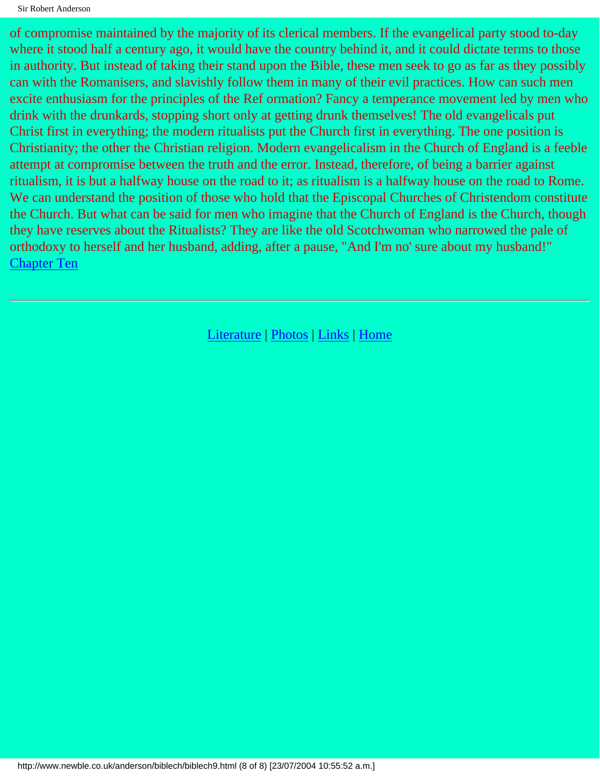of compromise maintained by the majority of its clerical members. If the evangelical party stood to-day where it stood half a century ago, it would have the country behind it, and it could dictate terms to those in authority. But instead of taking their stand upon the Bible, these men seek to go as far as they possibly can with the Romanisers, and slavishly follow them in many of their evil practices. How can such men excite enthusiasm for the principles of the Ref ormation? Fancy a temperance movement led by men who drink with the drunkards, stopping short only at getting drunk themselves! The old evangelicals put Christ first in everything; the modern ritualists put the Church first in everything. The one position is Christianity; the other the Christian religion. Modern evangelicalism in the Church of England is a feeble attempt at compromise between the truth and the error. Instead, therefore, of being a barrier against ritualism, it is but a halfway house on the road to it; as ritualism is a halfway house on the road to Rome. We can understand the position of those who hold that the Episcopal Churches of Christendom constitute the Church. But what can be said for men who imagine that the Church of England is the Church, though they have reserves about the Ritualists? They are like the old Scotchwoman who narrowed the pale of orthodoxy to herself and her husband, adding, after a pause, "And I'm no' sure about my husband!" [Chapter Ten](#page-57-0)

[Literature](http://www.newble.co.uk/anderson/literature.html) | [Photos](http://www.newble.co.uk/anderson/photos.html) | [Links](http://www.newble.co.uk/anderson/links.html) | [Home](http://www.newble.co.uk/anderson/index.html)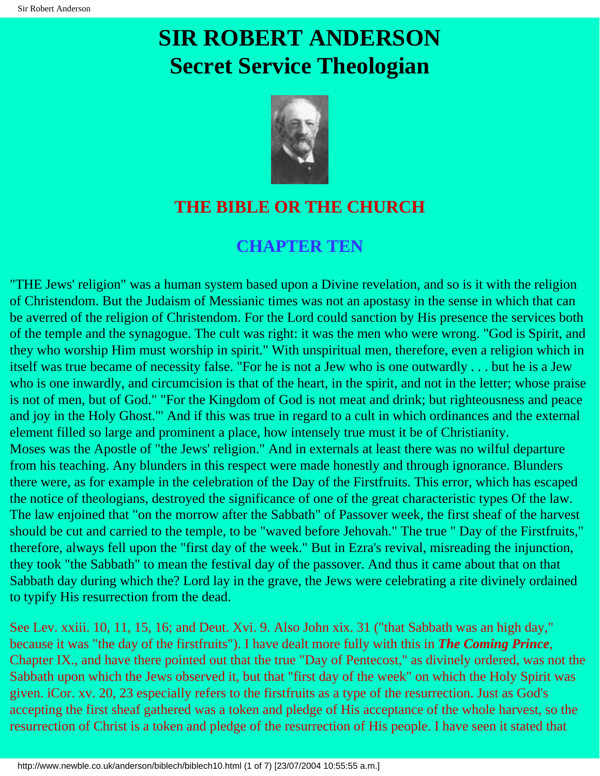# <span id="page-57-0"></span>**SIR ROBERT ANDERSON Secret Service Theologian**



#### **THE BIBLE OR THE CHURCH**

#### **CHAPTER TEN**

"THE Jews' religion" was a human system based upon a Divine revelation, and so is it with the religion of Christendom. But the Judaism of Messianic times was not an apostasy in the sense in which that can be averred of the religion of Christendom. For the Lord could sanction by His presence the services both of the temple and the synagogue. The cult was right: it was the men who were wrong. "God is Spirit, and they who worship Him must worship in spirit." With unspiritual men, therefore, even a religion which in itself was true became of necessity false. "For he is not a Jew who is one outwardly . . . but he is a Jew who is one inwardly, and circumcision is that of the heart, in the spirit, and not in the letter; whose praise is not of men, but of God." "For the Kingdom of God is not meat and drink; but righteousness and peace and joy in the Holy Ghost."' And if this was true in regard to a cult in which ordinances and the external element filled so large and prominent a place, how intensely true must it be of Christianity. Moses was the Apostle of "the Jews' religion." And in externals at least there was no wilful departure from his teaching. Any blunders in this respect were made honestly and through ignorance. Blunders there were, as for example in the celebration of the Day of the Firstfruits. This error, which has escaped the notice of theologians, destroyed the significance of one of the great characteristic types Of the law. The law enjoined that "on the morrow after the Sabbath" of Passover week, the first sheaf of the harvest should be cut and carried to the temple, to be "waved before Jehovah." The true " Day of the Firstfruits," therefore, always fell upon the "first day of the week." But in Ezra's revival, misreading the injunction, they took "the Sabbath" to mean the festival day of the passover. And thus it came about that on that Sabbath day during which the? Lord lay in the grave, the Jews were celebrating a rite divinely ordained to typify His resurrection from the dead.

See Lev. xxiii. 10, 11, 15, 16; and Deut. Xvi. 9. Also John xix. 31 ("that Sabbath was an high day," because it was "the day of the firstfruits"). I have dealt more fully with this in *The Coming Prince*, Chapter IX., and have there pointed out that the true "Day of Pentecost," as divinely ordered, was not the Sabbath upon which the Jews observed it, but that "first day of the week" on which the Holy Spirit was given. iCor. xv. 20, 23 especially refers to the firstfruits as a type of the resurrection. Just as God's accepting the first sheaf gathered was a token and pledge of His acceptance of the whole harvest, so the resurrection of Christ is a token and pledge of the resurrection of His people. I have seen it stated that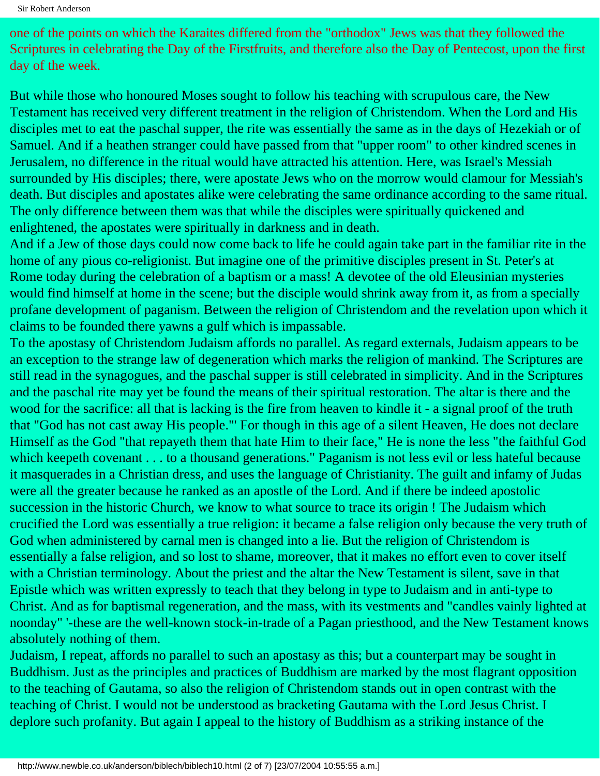Sir Robert Anderson

one of the points on which the Karaites differed from the "orthodox" Jews was that they followed the Scriptures in celebrating the Day of the Firstfruits, and therefore also the Day of Pentecost, upon the first day of the week.

But while those who honoured Moses sought to follow his teaching with scrupulous care, the New Testament has received very different treatment in the religion of Christendom. When the Lord and His disciples met to eat the paschal supper, the rite was essentially the same as in the days of Hezekiah or of Samuel. And if a heathen stranger could have passed from that "upper room" to other kindred scenes in Jerusalem, no difference in the ritual would have attracted his attention. Here, was Israel's Messiah surrounded by His disciples; there, were apostate Jews who on the morrow would clamour for Messiah's death. But disciples and apostates alike were celebrating the same ordinance according to the same ritual. The only difference between them was that while the disciples were spiritually quickened and enlightened, the apostates were spiritually in darkness and in death.

And if a Jew of those days could now come back to life he could again take part in the familiar rite in the home of any pious co-religionist. But imagine one of the primitive disciples present in St. Peter's at Rome today during the celebration of a baptism or a mass! A devotee of the old Eleusinian mysteries would find himself at home in the scene; but the disciple would shrink away from it, as from a specially profane development of paganism. Between the religion of Christendom and the revelation upon which it claims to be founded there yawns a gulf which is impassable.

To the apostasy of Christendom Judaism affords no parallel. As regard externals, Judaism appears to be an exception to the strange law of degeneration which marks the religion of mankind. The Scriptures are still read in the synagogues, and the paschal supper is still celebrated in simplicity. And in the Scriptures and the paschal rite may yet be found the means of their spiritual restoration. The altar is there and the wood for the sacrifice: all that is lacking is the fire from heaven to kindle it - a signal proof of the truth that "God has not cast away His people."' For though in this age of a silent Heaven, He does not declare Himself as the God "that repayeth them that hate Him to their face," He is none the less "the faithful God which keepeth covenant . . . to a thousand generations." Paganism is not less evil or less hateful because it masquerades in a Christian dress, and uses the language of Christianity. The guilt and infamy of Judas were all the greater because he ranked as an apostle of the Lord. And if there be indeed apostolic succession in the historic Church, we know to what source to trace its origin ! The Judaism which crucified the Lord was essentially a true religion: it became a false religion only because the very truth of God when administered by carnal men is changed into a lie. But the religion of Christendom is essentially a false religion, and so lost to shame, moreover, that it makes no effort even to cover itself with a Christian terminology. About the priest and the altar the New Testament is silent, save in that Epistle which was written expressly to teach that they belong in type to Judaism and in anti-type to Christ. And as for baptismal regeneration, and the mass, with its vestments and "candles vainly lighted at noonday" '-these are the well-known stock-in-trade of a Pagan priesthood, and the New Testament knows absolutely nothing of them.

Judaism, I repeat, affords no parallel to such an apostasy as this; but a counterpart may be sought in Buddhism. Just as the principles and practices of Buddhism are marked by the most flagrant opposition to the teaching of Gautama, so also the religion of Christendom stands out in open contrast with the teaching of Christ. I would not be understood as bracketing Gautama with the Lord Jesus Christ. I deplore such profanity. But again I appeal to the history of Buddhism as a striking instance of the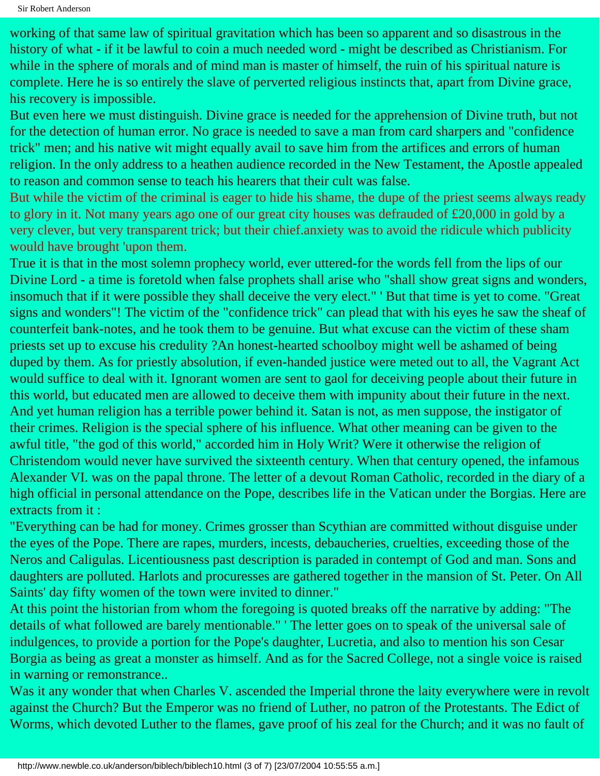working of that same law of spiritual gravitation which has been so apparent and so disastrous in the history of what - if it be lawful to coin a much needed word - might be described as Christianism. For while in the sphere of morals and of mind man is master of himself, the ruin of his spiritual nature is complete. Here he is so entirely the slave of perverted religious instincts that, apart from Divine grace, his recovery is impossible.

But even here we must distinguish. Divine grace is needed for the apprehension of Divine truth, but not for the detection of human error. No grace is needed to save a man from card sharpers and "confidence trick" men; and his native wit might equally avail to save him from the artifices and errors of human religion. In the only address to a heathen audience recorded in the New Testament, the Apostle appealed to reason and common sense to teach his hearers that their cult was false.

But while the victim of the criminal is eager to hide his shame, the dupe of the priest seems always ready to glory in it. Not many years ago one of our great city houses was defrauded of £20,000 in gold by a very clever, but very transparent trick; but their chief.anxiety was to avoid the ridicule which publicity would have brought 'upon them.

True it is that in the most solemn prophecy world, ever uttered-for the words fell from the lips of our Divine Lord - a time is foretold when false prophets shall arise who "shall show great signs and wonders, insomuch that if it were possible they shall deceive the very elect." ' But that time is yet to come. "Great signs and wonders"! The victim of the "confidence trick" can plead that with his eyes he saw the sheaf of counterfeit bank-notes, and he took them to be genuine. But what excuse can the victim of these sham priests set up to excuse his credulity ?An honest-hearted schoolboy might well be ashamed of being duped by them. As for priestly absolution, if even-handed justice were meted out to all, the Vagrant Act would suffice to deal with it. Ignorant women are sent to gaol for deceiving people about their future in this world, but educated men are allowed to deceive them with impunity about their future in the next. And yet human religion has a terrible power behind it. Satan is not, as men suppose, the instigator of their crimes. Religion is the special sphere of his influence. What other meaning can be given to the awful title, "the god of this world," accorded him in Holy Writ? Were it otherwise the religion of Christendom would never have survived the sixteenth century. When that century opened, the infamous Alexander VI. was on the papal throne. The letter of a devout Roman Catholic, recorded in the diary of a high official in personal attendance on the Pope, describes life in the Vatican under the Borgias. Here are extracts from it :

"Everything can be had for money. Crimes grosser than Scythian are committed without disguise under the eyes of the Pope. There are rapes, murders, incests, debaucheries, cruelties, exceeding those of the Neros and Caligulas. Licentiousness past description is paraded in contempt of God and man. Sons and daughters are polluted. Harlots and procuresses are gathered together in the mansion of St. Peter. On All Saints' day fifty women of the town were invited to dinner."

At this point the historian from whom the foregoing is quoted breaks off the narrative by adding: "The details of what followed are barely mentionable." ' The letter goes on to speak of the universal sale of indulgences, to provide a portion for the Pope's daughter, Lucretia, and also to mention his son Cesar Borgia as being as great a monster as himself. And as for the Sacred College, not a single voice is raised in warning or remonstrance..

Was it any wonder that when Charles V. ascended the Imperial throne the laity everywhere were in revolt against the Church? But the Emperor was no friend of Luther, no patron of the Protestants. The Edict of Worms, which devoted Luther to the flames, gave proof of his zeal for the Church; and it was no fault of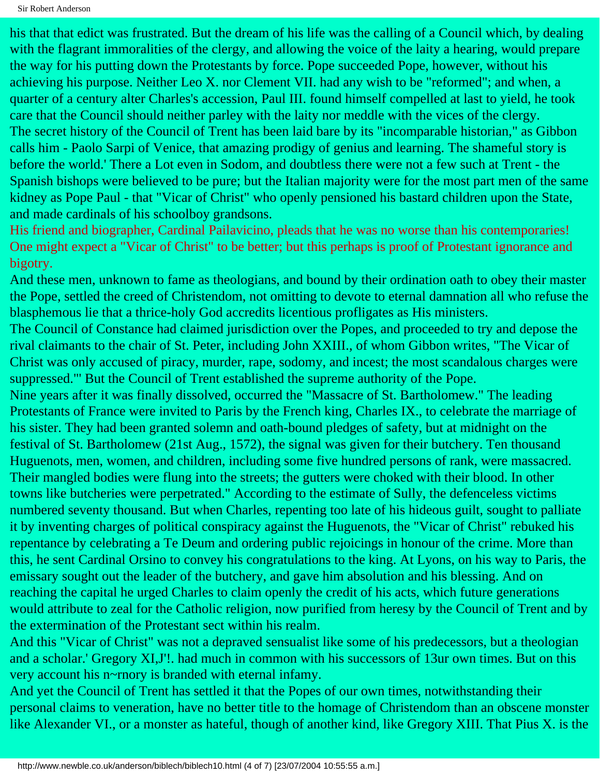Sir Robert Anderson

his that that edict was frustrated. But the dream of his life was the calling of a Council which, by dealing with the flagrant immoralities of the clergy, and allowing the voice of the laity a hearing, would prepare the way for his putting down the Protestants by force. Pope succeeded Pope, however, without his achieving his purpose. Neither Leo X. nor Clement VII. had any wish to be "reformed"; and when, a quarter of a century alter Charles's accession, Paul III. found himself compelled at last to yield, he took care that the Council should neither parley with the laity nor meddle with the vices of the clergy. The secret history of the Council of Trent has been laid bare by its "incomparable historian," as Gibbon calls him - Paolo Sarpi of Venice, that amazing prodigy of genius and learning. The shameful story is before the world.' There a Lot even in Sodom, and doubtless there were not a few such at Trent - the Spanish bishops were believed to be pure; but the Italian majority were for the most part men of the same kidney as Pope Paul - that "Vicar of Christ" who openly pensioned his bastard children upon the State, and made cardinals of his schoolboy grandsons.

His friend and biographer, Cardinal Pailavicino, pleads that he was no worse than his contemporaries! One might expect a "Vicar of Christ" to be better; but this perhaps is proof of Protestant ignorance and bigotry.

And these men, unknown to fame as theologians, and bound by their ordination oath to obey their master the Pope, settled the creed of Christendom, not omitting to devote to eternal damnation all who refuse the blasphemous lie that a thrice-holy God accredits licentious profligates as His ministers.

The Council of Constance had claimed jurisdiction over the Popes, and proceeded to try and depose the rival claimants to the chair of St. Peter, including John XXIII., of whom Gibbon writes, "The Vicar of Christ was only accused of piracy, murder, rape, sodomy, and incest; the most scandalous charges were suppressed."' But the Council of Trent established the supreme authority of the Pope.

Nine years after it was finally dissolved, occurred the "Massacre of St. Bartholomew." The leading Protestants of France were invited to Paris by the French king, Charles IX., to celebrate the marriage of his sister. They had been granted solemn and oath-bound pledges of safety, but at midnight on the festival of St. Bartholomew (21st Aug., 1572), the signal was given for their butchery. Ten thousand Huguenots, men, women, and children, including some five hundred persons of rank, were massacred. Their mangled bodies were flung into the streets; the gutters were choked with their blood. In other towns like butcheries were perpetrated." According to the estimate of Sully, the defenceless victims numbered seventy thousand. But when Charles, repenting too late of his hideous guilt, sought to palliate it by inventing charges of political conspiracy against the Huguenots, the "Vicar of Christ" rebuked his repentance by celebrating a Te Deum and ordering public rejoicings in honour of the crime. More than this, he sent Cardinal Orsino to convey his congratulations to the king. At Lyons, on his way to Paris, the emissary sought out the leader of the butchery, and gave him absolution and his blessing. And on reaching the capital he urged Charles to claim openly the credit of his acts, which future generations would attribute to zeal for the Catholic religion, now purified from heresy by the Council of Trent and by the extermination of the Protestant sect within his realm.

And this "Vicar of Christ" was not a depraved sensualist like some of his predecessors, but a theologian and a scholar.' Gregory XI,J'!. had much in common with his successors of 13ur own times. But on this very account his n~rnory is branded with eternal infamy.

And yet the Council of Trent has settled it that the Popes of our own times, notwithstanding their personal claims to veneration, have no better title to the homage of Christendom than an obscene monster like Alexander VI., or a monster as hateful, though of another kind, like Gregory XIII. That Pius X. is the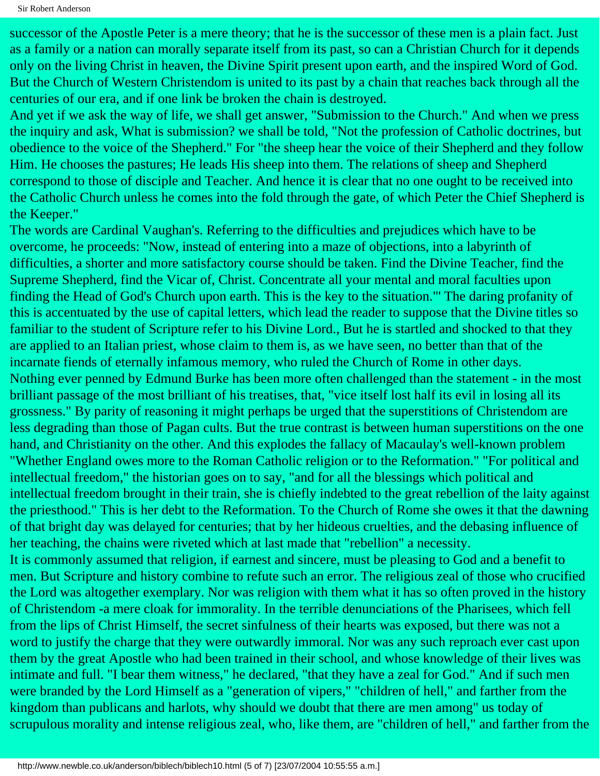Sir Robert Anderson

successor of the Apostle Peter is a mere theory; that he is the successor of these men is a plain fact. Just as a family or a nation can morally separate itself from its past, so can a Christian Church for it depends only on the living Christ in heaven, the Divine Spirit present upon earth, and the inspired Word of God. But the Church of Western Christendom is united to its past by a chain that reaches back through all the centuries of our era, and if one link be broken the chain is destroyed.

And yet if we ask the way of life, we shall get answer, "Submission to the Church." And when we press the inquiry and ask, What is submission? we shall be told, "Not the profession of Catholic doctrines, but obedience to the voice of the Shepherd." For "the sheep hear the voice of their Shepherd and they follow Him. He chooses the pastures; He leads His sheep into them. The relations of sheep and Shepherd correspond to those of disciple and Teacher. And hence it is clear that no one ought to be received into the Catholic Church unless he comes into the fold through the gate, of which Peter the Chief Shepherd is the Keeper."

The words are Cardinal Vaughan's. Referring to the difficulties and prejudices which have to be overcome, he proceeds: "Now, instead of entering into a maze of objections, into a labyrinth of difficulties, a shorter and more satisfactory course should be taken. Find the Divine Teacher, find the Supreme Shepherd, find the Vicar of, Christ. Concentrate all your mental and moral faculties upon finding the Head of God's Church upon earth. This is the key to the situation."' The daring profanity of this is accentuated by the use of capital letters, which lead the reader to suppose that the Divine titles so familiar to the student of Scripture refer to his Divine Lord., But he is startled and shocked to that they are applied to an Italian priest, whose claim to them is, as we have seen, no better than that of the incarnate fiends of eternally infamous memory, who ruled the Church of Rome in other days. Nothing ever penned by Edmund Burke has been more often challenged than the statement - in the most brilliant passage of the most brilliant of his treatises, that, "vice itself lost half its evil in losing all its grossness." By parity of reasoning it might perhaps be urged that the superstitions of Christendom are less degrading than those of Pagan cults. But the true contrast is between human superstitions on the one hand, and Christianity on the other. And this explodes the fallacy of Macaulay's well-known problem "Whether England owes more to the Roman Catholic religion or to the Reformation." "For political and intellectual freedom," the historian goes on to say, "and for all the blessings which political and intellectual freedom brought in their train, she is chiefly indebted to the great rebellion of the laity against the priesthood." This is her debt to the Reformation. To the Church of Rome she owes it that the dawning of that bright day was delayed for centuries; that by her hideous cruelties, and the debasing influence of her teaching, the chains were riveted which at last made that "rebellion" a necessity.

It is commonly assumed that religion, if earnest and sincere, must be pleasing to God and a benefit to men. But Scripture and history combine to refute such an error. The religious zeal of those who crucified the Lord was altogether exemplary. Nor was religion with them what it has so often proved in the history of Christendom -a mere cloak for immorality. In the terrible denunciations of the Pharisees, which fell from the lips of Christ Himself, the secret sinfulness of their hearts was exposed, but there was not a word to justify the charge that they were outwardly immoral. Nor was any such reproach ever cast upon them by the great Apostle who had been trained in their school, and whose knowledge of their lives was intimate and full. "I bear them witness," he declared, "that they have a zeal for God." And if such men were branded by the Lord Himself as a "generation of vipers," "children of hell," and farther from the kingdom than publicans and harlots, why should we doubt that there are men among" us today of scrupulous morality and intense religious zeal, who, like them, are "children of hell," and farther from the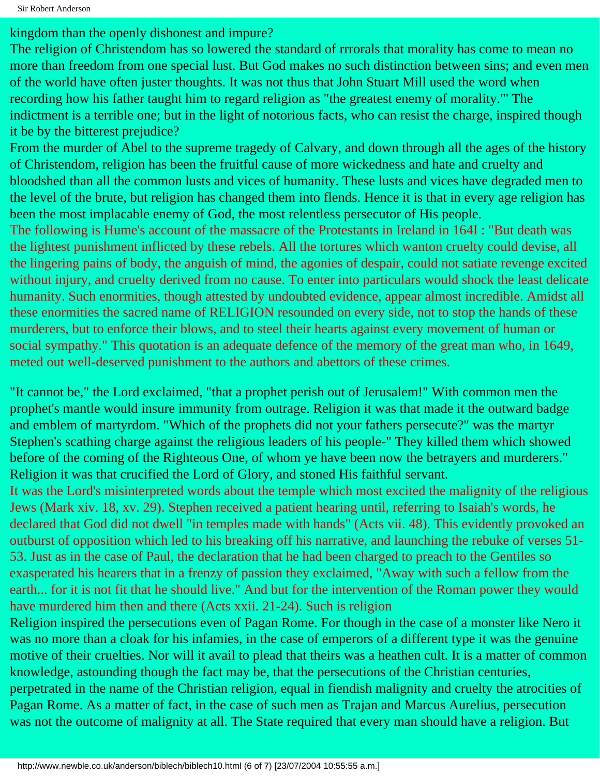kingdom than the openly dishonest and impure?

The religion of Christendom has so lowered the standard of rrrorals that morality has come to mean no more than freedom from one special lust. But God makes no such distinction between sins; and even men of the world have often juster thoughts. It was not thus that John Stuart Mill used the word when recording how his father taught him to regard religion as "the greatest enemy of morality."' The indictment is a terrible one; but in the light of notorious facts, who can resist the charge, inspired though it be by the bitterest prejudice?

From the murder of Abel to the supreme tragedy of Calvary, and down through all the ages of the history of Christendom, religion has been the fruitful cause of more wickedness and hate and cruelty and bloodshed than all the common lusts and vices of humanity. These lusts and vices have degraded men to the level of the brute, but religion has changed them into flends. Hence it is that in every age religion has been the most implacable enemy of God, the most relentless persecutor of His people.

The following is Hume's account of the massacre of the Protestants in Ireland in 164I : "But death was the lightest punishment inflicted by these rebels. All the tortures which wanton cruelty could devise, all the lingering pains of body, the anguish of mind, the agonies of despair, could not satiate revenge excited without injury, and cruelty derived from no cause. To enter into particulars would shock the least delicate humanity. Such enormities, though attested by undoubted evidence, appear almost incredible. Amidst all these enormities the sacred name of RELIGION resounded on every side, not to stop the hands of these murderers, but to enforce their blows, and to steel their hearts against every movement of human or social sympathy." This quotation is an adequate defence of the memory of the great man who, in 1649, meted out well-deserved punishment to the authors and abettors of these crimes.

"It cannot be," the Lord exclaimed, "that a prophet perish out of Jerusalem!" With common men the prophet's mantle would insure immunity from outrage. Religion it was that made it the outward badge and emblem of martyrdom. "Which of the prophets did not your fathers persecute?" was the martyr Stephen's scathing charge against the religious leaders of his people-" They killed them which showed before of the coming of the Righteous One, of whom ye have been now the betrayers and murderers." Religion it was that crucified the Lord of Glory, and stoned His faithful servant.

It was the Lord's misinterpreted words about the temple which most excited the malignity of the religious Jews (Mark xiv. 18, xv. 29). Stephen received a patient hearing until, referring to Isaiah's words, he declared that God did not dwell "in temples made with hands" (Acts vii. 48). This evidently provoked an outburst of opposition which led to his breaking off his narrative, and launching the rebuke of verses 51- 53. Just as in the case of Paul, the declaration that he had been charged to preach to the Gentiles so exasperated his hearers that in a frenzy of passion they exclaimed, "Away with such a fellow from the earth... for it is not fit that he should live." And but for the intervention of the Roman power they would have murdered him then and there (Acts xxii. 21-24). Such is religion

Religion inspired the persecutions even of Pagan Rome. For though in the case of a monster like Nero it was no more than a cloak for his infamies, in the case of emperors of a different type it was the genuine motive of their cruelties. Nor will it avail to plead that theirs was a heathen cult. It is a matter of common knowledge, astounding though the fact may be, that the persecutions of the Christian centuries, perpetrated in the name of the Christian religion, equal in fiendish malignity and cruelty the atrocities of Pagan Rome. As a matter of fact, in the case of such men as Trajan and Marcus Aurelius, persecution was not the outcome of malignity at all. The State required that every man should have a religion. But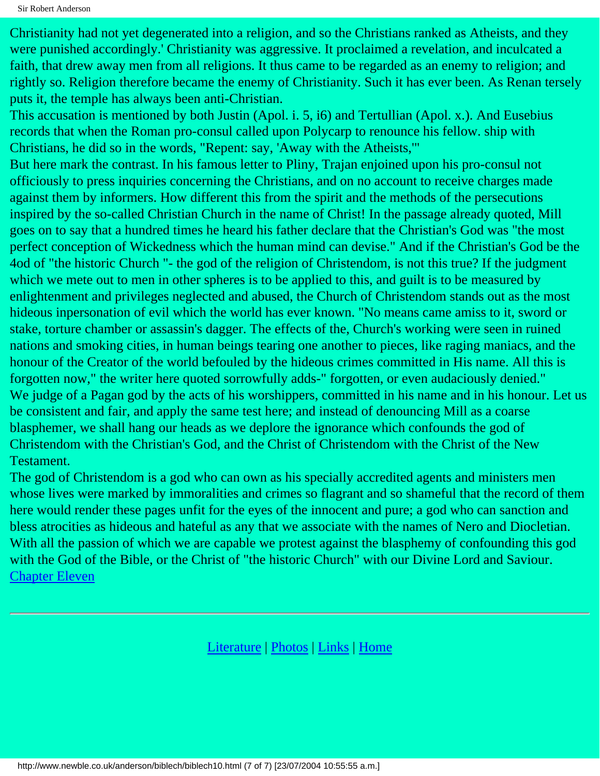Sir Robert Anderson

Christianity had not yet degenerated into a religion, and so the Christians ranked as Atheists, and they were punished accordingly.' Christianity was aggressive. It proclaimed a revelation, and inculcated a faith, that drew away men from all religions. It thus came to be regarded as an enemy to religion; and rightly so. Religion therefore became the enemy of Christianity. Such it has ever been. As Renan tersely puts it, the temple has always been anti-Christian.

This accusation is mentioned by both Justin (Apol. i. 5, i6) and Tertullian (Apol. x.). And Eusebius records that when the Roman pro-consul called upon Polycarp to renounce his fellow. ship with Christians, he did so in the words, "Repent: say, 'Away with the Atheists,'"

But here mark the contrast. In his famous letter to Pliny, Trajan enjoined upon his pro-consul not officiously to press inquiries concerning the Christians, and on no account to receive charges made against them by informers. How different this from the spirit and the methods of the persecutions inspired by the so-called Christian Church in the name of Christ! In the passage already quoted, Mill goes on to say that a hundred times he heard his father declare that the Christian's God was "the most perfect conception of Wickedness which the human mind can devise." And if the Christian's God be the 4od of "the historic Church "- the god of the religion of Christendom, is not this true? If the judgment which we mete out to men in other spheres is to be applied to this, and guilt is to be measured by enlightenment and privileges neglected and abused, the Church of Christendom stands out as the most hideous inpersonation of evil which the world has ever known. "No means came amiss to it, sword or stake, torture chamber or assassin's dagger. The effects of the, Church's working were seen in ruined nations and smoking cities, in human beings tearing one another to pieces, like raging maniacs, and the honour of the Creator of the world befouled by the hideous crimes committed in His name. All this is forgotten now," the writer here quoted sorrowfully adds-" forgotten, or even audaciously denied." We judge of a Pagan god by the acts of his worshippers, committed in his name and in his honour. Let us be consistent and fair, and apply the same test here; and instead of denouncing Mill as a coarse blasphemer, we shall hang our heads as we deplore the ignorance which confounds the god of Christendom with the Christian's God, and the Christ of Christendom with the Christ of the New Testament.

The god of Christendom is a god who can own as his specially accredited agents and ministers men whose lives were marked by immoralities and crimes so flagrant and so shameful that the record of them here would render these pages unfit for the eyes of the innocent and pure; a god who can sanction and bless atrocities as hideous and hateful as any that we associate with the names of Nero and Diocletian. With all the passion of which we are capable we protest against the blasphemy of confounding this god with the God of the Bible, or the Christ of "the historic Church" with our Divine Lord and Saviour. [Chapter Eleven](#page-64-0)

[Literature](http://www.newble.co.uk/anderson/literature.html) | [Photos](http://www.newble.co.uk/anderson/photos.html) | [Links](http://www.newble.co.uk/anderson/links.html) | [Home](http://www.newble.co.uk/anderson/index.html)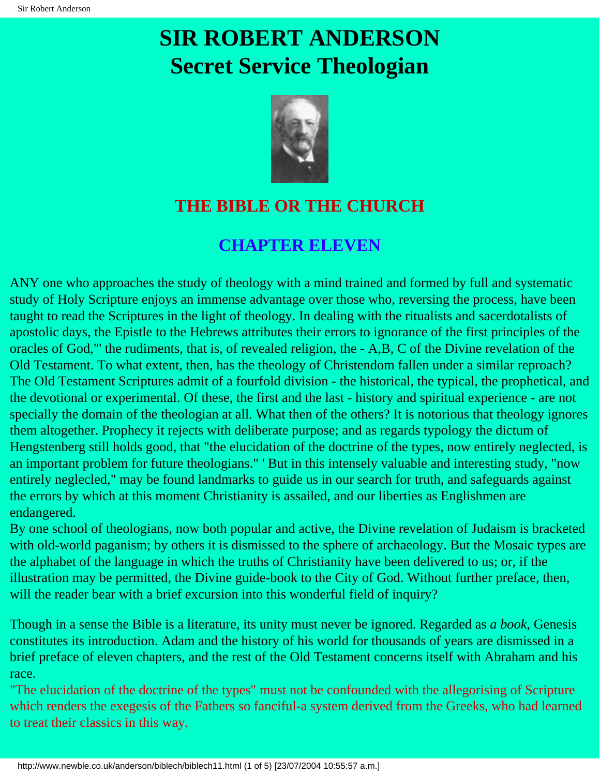### <span id="page-64-0"></span>**SIR ROBERT ANDERSON Secret Service Theologian**



### **THE BIBLE OR THE CHURCH**

#### **CHAPTER ELEVEN**

ANY one who approaches the study of theology with a mind trained and formed by full and systematic study of Holy Scripture enjoys an immense advantage over those who, reversing the process, have been taught to read the Scriptures in the light of theology. In dealing with the ritualists and sacerdotalists of apostolic days, the Epistle to the Hebrews attributes their errors to ignorance of the first principles of the oracles of God,"' the rudiments, that is, of revealed religion, the - A,B, C of the Divine revelation of the Old Testament. To what extent, then, has the theology of Christendom fallen under a similar reproach? The Old Testament Scriptures admit of a fourfold division - the historical, the typical, the prophetical, and the devotional or experimental. Of these, the first and the last - history and spiritual experience - are not specially the domain of the theologian at all. What then of the others? It is notorious that theology ignores them altogether. Prophecy it rejects with deliberate purpose; and as regards typology the dictum of Hengstenberg still holds good, that "the elucidation of the doctrine of the types, now entirely neglected, is an important problem for future theologians." ' But in this intensely valuable and interesting study, "now entirely neglecled," may be found landmarks to guide us in our search for truth, and safeguards against the errors by which at this moment Christianity is assailed, and our liberties as Englishmen are endangered.

By one school of theologians, now both popular and active, the Divine revelation of Judaism is bracketed with old-world paganism; by others it is dismissed to the sphere of archaeology. But the Mosaic types are the alphabet of the language in which the truths of Christianity have been delivered to us; or, if the illustration may be permitted, the Divine guide-book to the City of God. Without further preface, then, will the reader bear with a brief excursion into this wonderful field of inquiry?

Though in a sense the Bible is a literature, its unity must never be ignored. Regarded as *a book*, Genesis constitutes its introduction. Adam and the history of his world for thousands of years are dismissed in a brief preface of eleven chapters, and the rest of the Old Testament concerns itself with Abraham and his race.

"The elucidation of the doctrine of the types" must not be confounded with the allegorising of Scripture which renders the exegesis of the Fathers so fanciful-a system derived from the Greeks, who had learned to treat their classics in this way.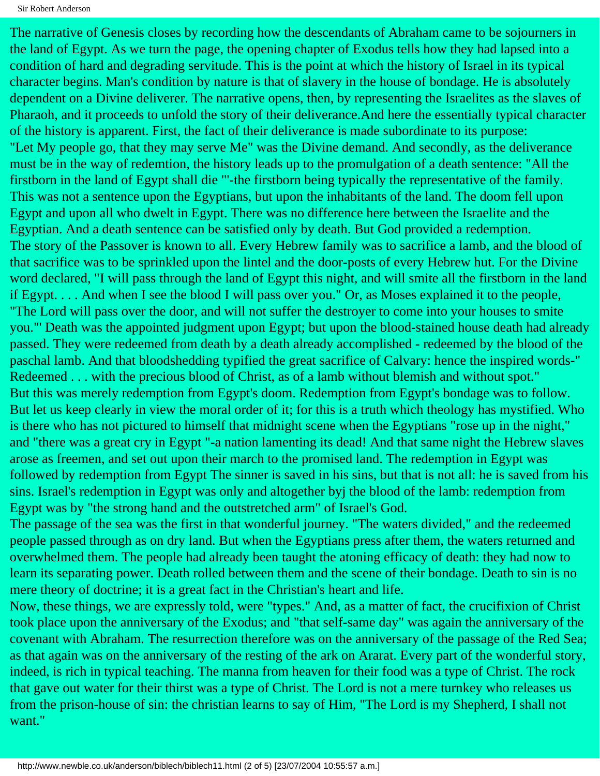The narrative of Genesis closes by recording how the descendants of Abraham came to be sojourners in the land of Egypt. As we turn the page, the opening chapter of Exodus tells how they had lapsed into a condition of hard and degrading servitude. This is the point at which the history of Israel in its typical character begins. Man's condition by nature is that of slavery in the house of bondage. He is absolutely dependent on a Divine deliverer. The narrative opens, then, by representing the Israelites as the slaves of Pharaoh, and it proceeds to unfold the story of their deliverance.And here the essentially typical character of the history is apparent. First, the fact of their deliverance is made subordinate to its purpose: "Let My people go, that they may serve Me" was the Divine demand. And secondly, as the deliverance must be in the way of redemtion, the history leads up to the promulgation of a death sentence: "All the firstborn in the land of Egypt shall die "'-the firstborn being typically the representative of the family. This was not a sentence upon the Egyptians, but upon the inhabitants of the land. The doom fell upon Egypt and upon all who dwelt in Egypt. There was no difference here between the Israelite and the Egyptian. And a death sentence can be satisfied only by death. But God provided a redemption. The story of the Passover is known to all. Every Hebrew family was to sacrifice a lamb, and the blood of that sacrifice was to be sprinkled upon the lintel and the door-posts of every Hebrew hut. For the Divine word declared, "I will pass through the land of Egypt this night, and will smite all the firstborn in the land if Egypt. . . . And when I see the blood I will pass over you." Or, as Moses explained it to the people, "The Lord will pass over the door, and will not suffer the destroyer to come into your houses to smite you."' Death was the appointed judgment upon Egypt; but upon the blood-stained house death had already passed. They were redeemed from death by a death already accomplished - redeemed by the blood of the paschal lamb. And that bloodshedding typified the great sacrifice of Calvary: hence the inspired words-" Redeemed . . . with the precious blood of Christ, as of a lamb without blemish and without spot." But this was merely redemption from Egypt's doom. Redemption from Egypt's bondage was to follow. But let us keep clearly in view the moral order of it; for this is a truth which theology has mystified. Who is there who has not pictured to himself that midnight scene when the Egyptians "rose up in the night," and "there was a great cry in Egypt "-a nation lamenting its dead! And that same night the Hebrew slaves arose as freemen, and set out upon their march to the promised land. The redemption in Egypt was followed by redemption from Egypt The sinner is saved in his sins, but that is not all: he is saved from his sins. Israel's redemption in Egypt was only and altogether byj the blood of the lamb: redemption from Egypt was by "the strong hand and the outstretched arm" of Israel's God.

The passage of the sea was the first in that wonderful journey. "The waters divided," and the redeemed people passed through as on dry land. But when the Egyptians press after them, the waters returned and overwhelmed them. The people had already been taught the atoning efficacy of death: they had now to learn its separating power. Death rolled between them and the scene of their bondage. Death to sin is no mere theory of doctrine; it is a great fact in the Christian's heart and life.

Now, these things, we are expressly told, were "types." And, as a matter of fact, the crucifixion of Christ took place upon the anniversary of the Exodus; and "that self-same day" was again the anniversary of the covenant with Abraham. The resurrection therefore was on the anniversary of the passage of the Red Sea; as that again was on the anniversary of the resting of the ark on Ararat. Every part of the wonderful story, indeed, is rich in typical teaching. The manna from heaven for their food was a type of Christ. The rock that gave out water for their thirst was a type of Christ. The Lord is not a mere turnkey who releases us from the prison-house of sin: the christian learns to say of Him, "The Lord is my Shepherd, I shall not want."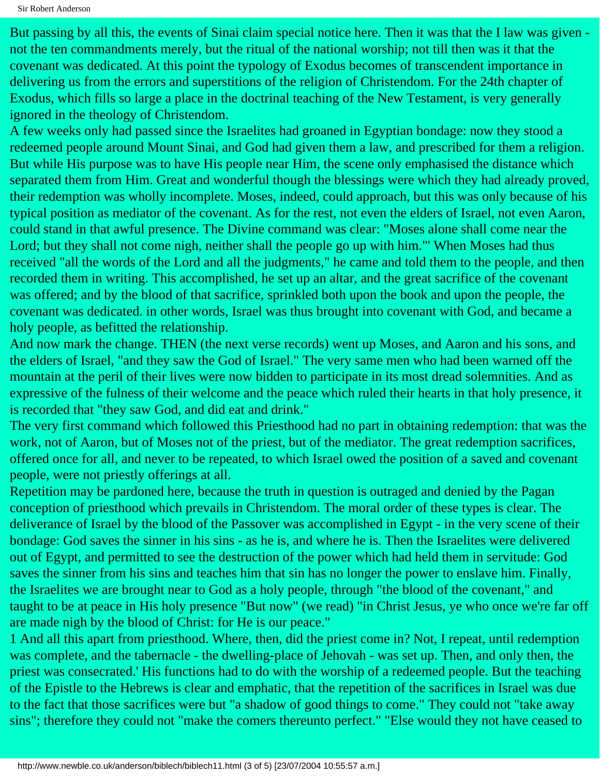But passing by all this, the events of Sinai claim special notice here. Then it was that the I law was given not the ten commandments merely, but the ritual of the national worship; not till then was it that the covenant was dedicated. At this point the typology of Exodus becomes of transcendent importance in delivering us from the errors and superstitions of the religion of Christendom. For the 24th chapter of Exodus, which fills so large a place in the doctrinal teaching of the New Testament, is very generally ignored in the theology of Christendom.

A few weeks only had passed since the Israelites had groaned in Egyptian bondage: now they stood a redeemed people around Mount Sinai, and God had given them a law, and prescribed for them a religion. But while His purpose was to have His people near Him, the scene only emphasised the distance which separated them from Him. Great and wonderful though the blessings were which they had already proved, their redemption was wholly incomplete. Moses, indeed, could approach, but this was only because of his typical position as mediator of the covenant. As for the rest, not even the elders of Israel, not even Aaron, could stand in that awful presence. The Divine command was clear: "Moses alone shall come near the Lord; but they shall not come nigh, neither shall the people go up with him."' When Moses had thus received "all the words of the Lord and all the judgments," he came and told them to the people, and then recorded them in writing. This accomplished, he set up an altar, and the great sacrifice of the covenant was offered; and by the blood of that sacrifice, sprinkled both upon the book and upon the people, the covenant was dedicated. in other words, Israel was thus brought into covenant with God, and became a holy people, as befitted the relationship.

And now mark the change. THEN (the next verse records) went up Moses, and Aaron and his sons, and the elders of Israel, "and they saw the God of Israel." The very same men who had been warned off the mountain at the peril of their lives were now bidden to participate in its most dread solemnities. And as expressive of the fulness of their welcome and the peace which ruled their hearts in that holy presence, it is recorded that "they saw God, and did eat and drink."

The very first command which followed this Priesthood had no part in obtaining redemption: that was the work, not of Aaron, but of Moses not of the priest, but of the mediator. The great redemption sacrifices, offered once for all, and never to be repeated, to which Israel owed the position of a saved and covenant people, were not priestly offerings at all.

Repetition may be pardoned here, because the truth in question is outraged and denied by the Pagan conception of priesthood which prevails in Christendom. The moral order of these types is clear. The deliverance of Israel by the blood of the Passover was accomplished in Egypt - in the very scene of their bondage: God saves the sinner in his sins - as he is, and where he is. Then the Israelites were delivered out of Egypt, and permitted to see the destruction of the power which had held them in servitude: God saves the sinner from his sins and teaches him that sin has no longer the power to enslave him. Finally, the Israelites we are brought near to God as a holy people, through "the blood of the covenant," and taught to be at peace in His holy presence "But now" (we read) "in Christ Jesus, ye who once we're far off are made nigh by the blood of Christ: for He is our peace."

1 And all this apart from priesthood. Where, then, did the priest come in? Not, I repeat, until redemption was complete, and the tabernacle - the dwelling-place of Jehovah - was set up. Then, and only then, the priest was consecrated.' His functions had to do with the worship of a redeemed people. But the teaching of the Epistle to the Hebrews is clear and emphatic, that the repetition of the sacrifices in Israel was due to the fact that those sacrifices were but "a shadow of good things to come." They could not "take away sins"; therefore they could not "make the comers thereunto perfect." "Else would they not have ceased to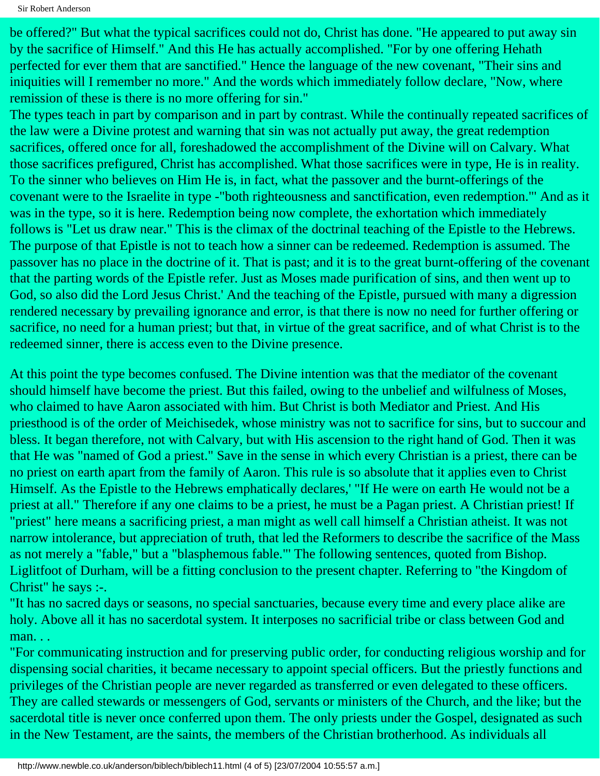Sir Robert Anderson

be offered?" But what the typical sacrifices could not do, Christ has done. "He appeared to put away sin by the sacrifice of Himself." And this He has actually accomplished. "For by one offering Hehath perfected for ever them that are sanctified." Hence the language of the new covenant, "Their sins and iniquities will I remember no more." And the words which immediately follow declare, "Now, where remission of these is there is no more offering for sin."

The types teach in part by comparison and in part by contrast. While the continually repeated sacrifices of the law were a Divine protest and warning that sin was not actually put away, the great redemption sacrifices, offered once for all, foreshadowed the accomplishment of the Divine will on Calvary. What those sacrifices prefigured, Christ has accomplished. What those sacrifices were in type, He is in reality. To the sinner who believes on Him He is, in fact, what the passover and the burnt-offerings of the covenant were to the Israelite in type -"both righteousness and sanctification, even redemption."' And as it was in the type, so it is here. Redemption being now complete, the exhortation which immediately follows is "Let us draw near." This is the climax of the doctrinal teaching of the Epistle to the Hebrews. The purpose of that Epistle is not to teach how a sinner can be redeemed. Redemption is assumed. The passover has no place in the doctrine of it. That is past; and it is to the great burnt-offering of the covenant that the parting words of the Epistle refer. Just as Moses made purification of sins, and then went up to God, so also did the Lord Jesus Christ.' And the teaching of the Epistle, pursued with many a digression rendered necessary by prevailing ignorance and error, is that there is now no need for further offering or sacrifice, no need for a human priest; but that, in virtue of the great sacrifice, and of what Christ is to the redeemed sinner, there is access even to the Divine presence.

At this point the type becomes confused. The Divine intention was that the mediator of the covenant should himself have become the priest. But this failed, owing to the unbelief and wilfulness of Moses, who claimed to have Aaron associated with him. But Christ is both Mediator and Priest. And His priesthood is of the order of Meichisedek, whose ministry was not to sacrifice for sins, but to succour and bless. It began therefore, not with Calvary, but with His ascension to the right hand of God. Then it was that He was "named of God a priest." Save in the sense in which every Christian is a priest, there can be no priest on earth apart from the family of Aaron. This rule is so absolute that it applies even to Christ Himself. As the Epistle to the Hebrews emphatically declares,' "If He were on earth He would not be a priest at all." Therefore if any one claims to be a priest, he must be a Pagan priest. A Christian priest! If "priest" here means a sacrificing priest, a man might as well call himself a Christian atheist. It was not narrow intolerance, but appreciation of truth, that led the Reformers to describe the sacrifice of the Mass as not merely a "fable," but a "blasphemous fable."' The following sentences, quoted from Bishop. Liglitfoot of Durham, will be a fitting conclusion to the present chapter. Referring to "the Kingdom of Christ" he says :-.

"It has no sacred days or seasons, no special sanctuaries, because every time and every place alike are holy. Above all it has no sacerdotal system. It interposes no sacrificial tribe or class between God and man. . .

"For communicating instruction and for preserving public order, for conducting religious worship and for dispensing social charities, it became necessary to appoint special officers. But the priestly functions and privileges of the Christian people are never regarded as transferred or even delegated to these officers. They are called stewards or messengers of God, servants or ministers of the Church, and the like; but the sacerdotal title is never once conferred upon them. The only priests under the Gospel, designated as such in the New Testament, are the saints, the members of the Christian brotherhood. As individuals all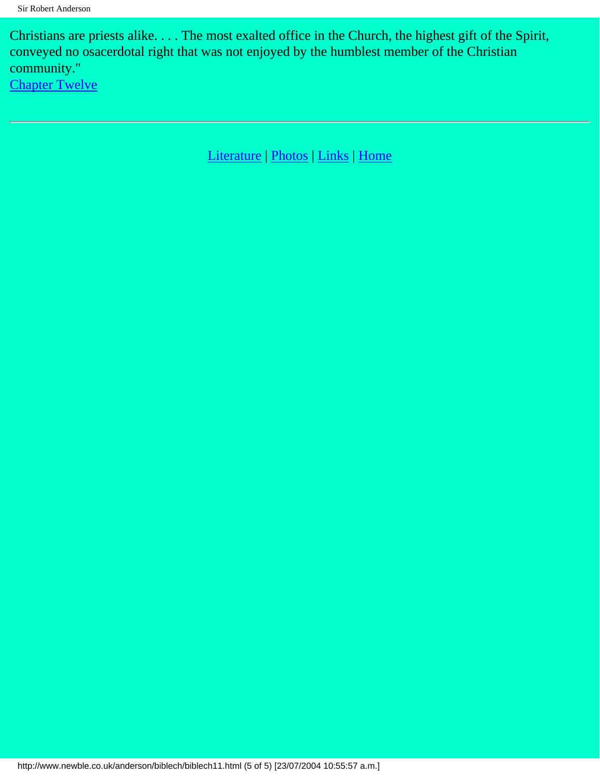Christians are priests alike. . . . The most exalted office in the Church, the highest gift of the Spirit, conveyed no osacerdotal right that was not enjoyed by the humblest member of the Christian community." [Chapter Twelve](#page-69-0)

[Literature](http://www.newble.co.uk/anderson/literature.html) | [Photos](http://www.newble.co.uk/anderson/photos.html) | [Links](http://www.newble.co.uk/anderson/links.html) | [Home](http://www.newble.co.uk/anderson/index.html)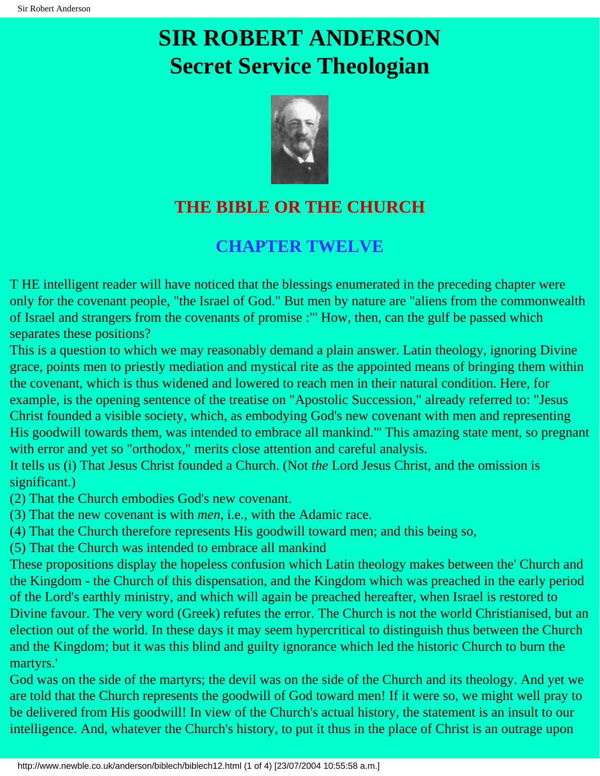# <span id="page-69-0"></span>**SIR ROBERT ANDERSON Secret Service Theologian**



### **THE BIBLE OR THE CHURCH**

#### **CHAPTER TWELVE**

T HE intelligent reader will have noticed that the blessings enumerated in the preceding chapter were only for the covenant people, "the Israel of God." But men by nature are "aliens from the commonwealth of Israel and strangers from the covenants of promise :"' How, then, can the gulf be passed which separates these positions?

This is a question to which we may reasonably demand a plain answer. Latin theology, ignoring Divine grace, points men to priestly mediation and mystical rite as the appointed means of bringing them within the covenant, which is thus widened and lowered to reach men in their natural condition. Here, for example, is the opening sentence of the treatise on "Apostolic Succession," already referred to: "Jesus Christ founded a visible society, which, as embodying God's new covenant with men and representing

His goodwill towards them, was intended to embrace all mankind."' This amazing state ment, so pregnant with error and yet so "orthodox," merits close attention and careful analysis.

It tells us (i) That Jesus Christ founded a Church. (Not *the* Lord Jesus Christ, and the omission is significant.)

(2) That the Church embodies God's new covenant.

(3) That the new covenant is with *men*, i.e., with the Adamic race.

(4) That the Church therefore represents His goodwill toward men; and this being so,

(5) That the Church was intended to embrace all mankind

These propositions display the hopeless confusion which Latin theology makes between the' Church and the Kingdom - the Church of this dispensation, and the Kingdom which was preached in the early period of the Lord's earthly ministry, and which will again be preached hereafter, when Israel is restored to Divine favour. The very word (Greek) refutes the error. The Church is not the world Christianised, but an election out of the world. In these days it may seem hypercritical to distinguish thus between the Church and the Kingdom; but it was this blind and guilty ignorance which led the historic Church to burn the martyrs.'

God was on the side of the martyrs; the devil was on the side of the Church and its theology. And yet we are told that the Church represents the goodwill of God toward men! If it were so, we might well pray to be delivered from His goodwill! In view of the Church's actual history, the statement is an insult to our intelligence. And, whatever the Church's history, to put it thus in the place of Christ is an outrage upon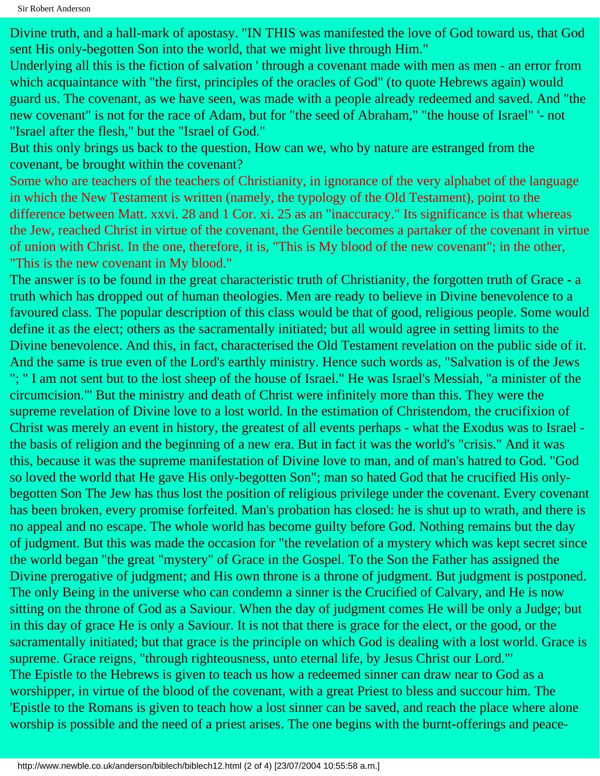Sir Robert Anderson

Divine truth, and a hall-mark of apostasy. "IN THIS was manifested the love of God toward us, that God sent His only-begotten Son into the world, that we might live through Him."

Underlying all this is the fiction of salvation ' through a covenant made with men as men - an error from which acquaintance with "the first, principles of the oracles of God" (to quote Hebrews again) would guard us. The covenant, as we have seen, was made with a people already redeemed and saved. And "the new covenant" is not for the race of Adam, but for "the seed of Abraham," "the house of Israel" '- not "Israel after the flesh," but the "Israel of God."

But this only brings us back to the question, How can we, who by nature are estranged from the covenant, be brought within the covenant?

Some who are teachers of the teachers of Christianity, in ignorance of the very alphabet of the language in which the New Testament is written (namely, the typology of the Old Testament), point to the difference between Matt. xxvi. 28 and 1 Cor. xi. 25 as an "inaccuracy." Its significance is that whereas the Jew, reached Christ in virtue of the covenant, the Gentile becomes a partaker of the covenant in virtue of union with Christ. In the one, therefore, it is, "This is My blood of the new covenant"; in the other, "This is the new covenant in My blood."

The answer is to be found in the great characteristic truth of Christianity, the forgotten truth of Grace - a truth which has dropped out of human theologies. Men are ready to believe in Divine benevolence to a favoured class. The popular description of this class would be that of good, religious people. Some would define it as the elect; others as the sacramentally initiated; but all would agree in setting limits to the Divine benevolence. And this, in fact, characterised the Old Testament revelation on the public side of it. And the same is true even of the Lord's earthly ministry. Hence such words as, "Salvation is of the Jews "; " I am not sent but to the lost sheep of the house of Israel." He was Israel's Messiah, "a minister of the circumcision."' But the ministry and death of Christ were infinitely more than this. They were the supreme revelation of Divine love to a lost world. In the estimation of Christendom, the crucifixion of Christ was merely an event in history, the greatest of all events perhaps - what the Exodus was to Israel the basis of religion and the beginning of a new era. But in fact it was the world's "crisis." And it was this, because it was the supreme manifestation of Divine love to man, and of man's hatred to God. "God so loved the world that He gave His only-begotten Son"; man so hated God that he crucified His onlybegotten Son The Jew has thus lost the position of religious privilege under the covenant. Every covenant has been broken, every promise forfeited. Man's probation has closed: he is shut up to wrath, and there is no appeal and no escape. The whole world has become guilty before God. Nothing remains but the day of judgment. But this was made the occasion for "the revelation of a mystery which was kept secret since the world began "the great "mystery" of Grace in the Gospel. To the Son the Father has assigned the Divine prerogative of judgment; and His own throne is a throne of judgment. But judgment is postponed. The only Being in the universe who can condemn a sinner is the Crucified of Calvary, and He is now sitting on the throne of God as a Saviour. When the day of judgment comes He will be only a Judge; but in this day of grace He is only a Saviour. It is not that there is grace for the elect, or the good, or the sacramentally initiated; but that grace is the principle on which God is dealing with a lost world. Grace is supreme. Grace reigns, "through righteousness, unto eternal life, by Jesus Christ our Lord."' The Epistle to the Hebrews is given to teach us how a redeemed sinner can draw near to God as a worshipper, in virtue of the blood of the covenant, with a great Priest to bless and succour him. The 'Epistle to the Romans is given to teach how a lost sinner can be saved, and reach the place where alone worship is possible and the need of a priest arises. The one begins with the burnt-offerings and peace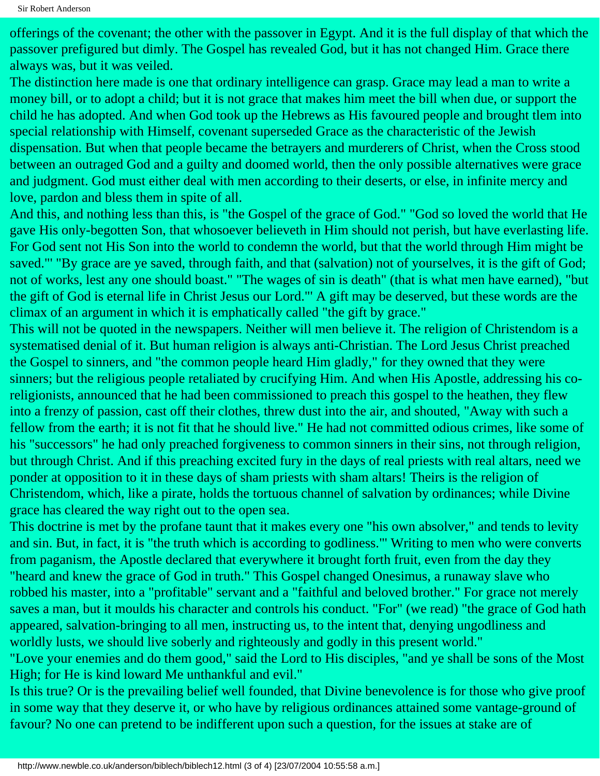offerings of the covenant; the other with the passover in Egypt. And it is the full display of that which the passover prefigured but dimly. The Gospel has revealed God, but it has not changed Him. Grace there always was, but it was veiled.

The distinction here made is one that ordinary intelligence can grasp. Grace may lead a man to write a money bill, or to adopt a child; but it is not grace that makes him meet the bill when due, or support the child he has adopted. And when God took up the Hebrews as His favoured people and brought tlem into special relationship with Himself, covenant superseded Grace as the characteristic of the Jewish dispensation. But when that people became the betrayers and murderers of Christ, when the Cross stood between an outraged God and a guilty and doomed world, then the only possible alternatives were grace and judgment. God must either deal with men according to their deserts, or else, in infinite mercy and love, pardon and bless them in spite of all.

And this, and nothing less than this, is "the Gospel of the grace of God." "God so loved the world that He gave His only-begotten Son, that whosoever believeth in Him should not perish, but have everlasting life. For God sent not His Son into the world to condemn the world, but that the world through Him might be saved."' "By grace are ye saved, through faith, and that (salvation) not of yourselves, it is the gift of God; not of works, lest any one should boast." "The wages of sin is death" (that is what men have earned), "but the gift of God is eternal life in Christ Jesus our Lord."' A gift may be deserved, but these words are the climax of an argument in which it is emphatically called "the gift by grace."

This will not be quoted in the newspapers. Neither will men believe it. The religion of Christendom is a systematised denial of it. But human religion is always anti-Christian. The Lord Jesus Christ preached the Gospel to sinners, and "the common people heard Him gladly," for they owned that they were sinners; but the religious people retaliated by crucifying Him. And when His Apostle, addressing his coreligionists, announced that he had been commissioned to preach this gospel to the heathen, they flew into a frenzy of passion, cast off their clothes, threw dust into the air, and shouted, "Away with such a fellow from the earth; it is not fit that he should live." He had not committed odious crimes, like some of his "successors" he had only preached forgiveness to common sinners in their sins, not through religion, but through Christ. And if this preaching excited fury in the days of real priests with real altars, need we ponder at opposition to it in these days of sham priests with sham altars! Theirs is the religion of Christendom, which, like a pirate, holds the tortuous channel of salvation by ordinances; while Divine grace has cleared the way right out to the open sea.

This doctrine is met by the profane taunt that it makes every one "his own absolver," and tends to levity and sin. But, in fact, it is "the truth which is according to godliness."' Writing to men who were converts from paganism, the Apostle declared that everywhere it brought forth fruit, even from the day they "heard and knew the grace of God in truth." This Gospel changed Onesimus, a runaway slave who robbed his master, into a "profitable" servant and a "faithful and beloved brother." For grace not merely saves a man, but it moulds his character and controls his conduct. "For" (we read) "the grace of God hath appeared, salvation-bringing to all men, instructing us, to the intent that, denying ungodliness and worldly lusts, we should live soberly and righteously and godly in this present world."

"Love your enemies and do them good," said the Lord to His disciples, "and ye shall be sons of the Most High; for He is kind loward Me unthankful and evil."

Is this true? Or is the prevailing belief well founded, that Divine benevolence is for those who give proof in some way that they deserve it, or who have by religious ordinances attained some vantage-ground of favour? No one can pretend to be indifferent upon such a question, for the issues at stake are of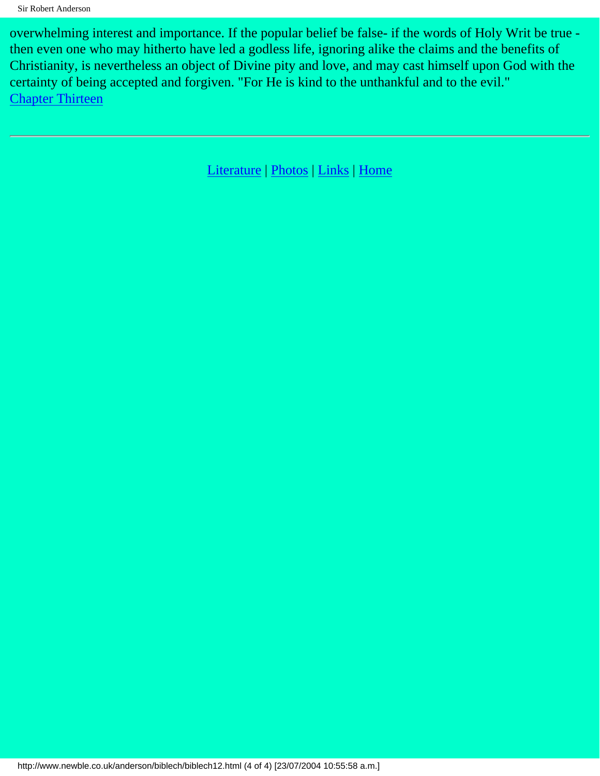overwhelming interest and importance. If the popular belief be false- if the words of Holy Writ be true then even one who may hitherto have led a godless life, ignoring alike the claims and the benefits of Christianity, is nevertheless an object of Divine pity and love, and may cast himself upon God with the certainty of being accepted and forgiven. "For He is kind to the unthankful and to the evil." [Chapter Thirteen](#page-73-0)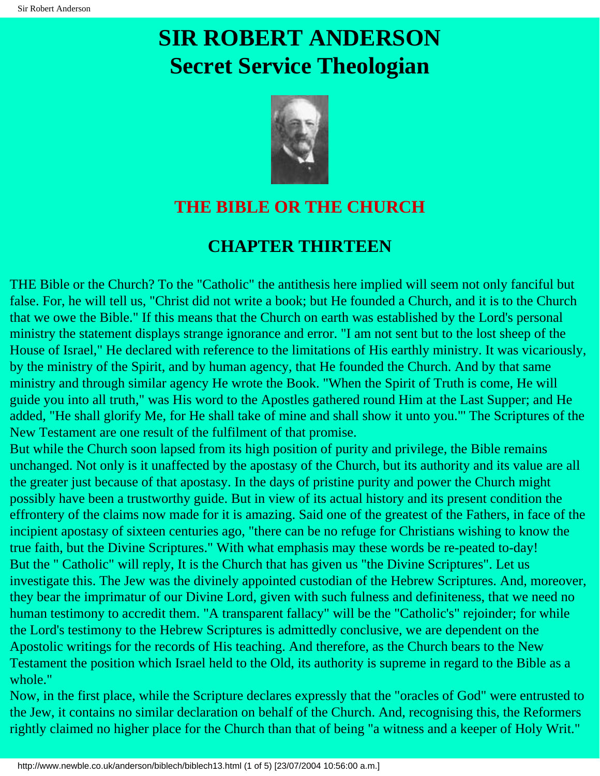# <span id="page-73-0"></span>**SIR ROBERT ANDERSON Secret Service Theologian**



## **THE BIBLE OR THE CHURCH**

## **CHAPTER THIRTEEN**

THE Bible or the Church? To the "Catholic" the antithesis here implied will seem not only fanciful but false. For, he will tell us, "Christ did not write a book; but He founded a Church, and it is to the Church that we owe the Bible." If this means that the Church on earth was established by the Lord's personal ministry the statement displays strange ignorance and error. "I am not sent but to the lost sheep of the House of Israel," He declared with reference to the limitations of His earthly ministry. It was vicariously, by the ministry of the Spirit, and by human agency, that He founded the Church. And by that same ministry and through similar agency He wrote the Book. "When the Spirit of Truth is come, He will guide you into all truth," was His word to the Apostles gathered round Him at the Last Supper; and He added, "He shall glorify Me, for He shall take of mine and shall show it unto you."' The Scriptures of the New Testament are one result of the fulfilment of that promise.

But while the Church soon lapsed from its high position of purity and privilege, the Bible remains unchanged. Not only is it unaffected by the apostasy of the Church, but its authority and its value are all the greater just because of that apostasy. In the days of pristine purity and power the Church might possibly have been a trustworthy guide. But in view of its actual history and its present condition the effrontery of the claims now made for it is amazing. Said one of the greatest of the Fathers, in face of the incipient apostasy of sixteen centuries ago, "there can be no refuge for Christians wishing to know the true faith, but the Divine Scriptures." With what emphasis may these words be re-peated to-day! But the " Catholic" will reply, It is the Church that has given us "the Divine Scriptures". Let us investigate this. The Jew was the divinely appointed custodian of the Hebrew Scriptures. And, moreover, they bear the imprimatur of our Divine Lord, given with such fulness and definiteness, that we need no human testimony to accredit them. "A transparent fallacy" will be the "Catholic's" rejoinder; for while the Lord's testimony to the Hebrew Scriptures is admittedly conclusive, we are dependent on the Apostolic writings for the records of His teaching. And therefore, as the Church bears to the New Testament the position which Israel held to the Old, its authority is supreme in regard to the Bible as a whole."

Now, in the first place, while the Scripture declares expressly that the "oracles of God" were entrusted to the Jew, it contains no similar declaration on behalf of the Church. And, recognising this, the Reformers rightly claimed no higher place for the Church than that of being "a witness and a keeper of Holy Writ."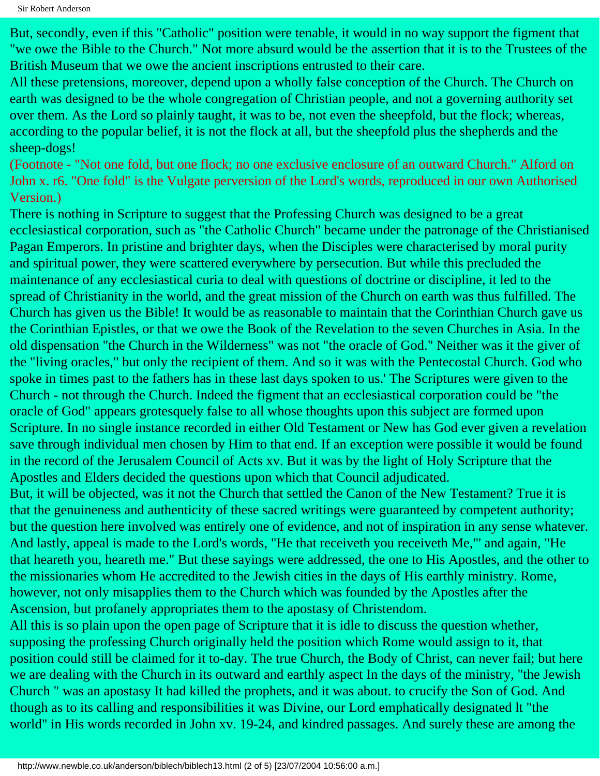But, secondly, even if this "Catholic" position were tenable, it would in no way support the figment that "we owe the Bible to the Church." Not more absurd would be the assertion that it is to the Trustees of the British Museum that we owe the ancient inscriptions entrusted to their care.

All these pretensions, moreover, depend upon a wholly false conception of the Church. The Church on earth was designed to be the whole congregation of Christian people, and not a governing authority set over them. As the Lord so plainly taught, it was to be, not even the sheepfold, but the flock; whereas, according to the popular belief, it is not the flock at all, but the sheepfold plus the shepherds and the sheep-dogs!

(Footnote - "Not one fold, but one flock; no one exclusive enclosure of an outward Church." Alford on John x. r6. "One fold" is the Vulgate perversion of the Lord's words, reproduced in our own Authorised Version.)

There is nothing in Scripture to suggest that the Professing Church was designed to be a great ecclesiastical corporation, such as "the Catholic Church" became under the patronage of the Christianised Pagan Emperors. In pristine and brighter days, when the Disciples were characterised by moral purity and spiritual power, they were scattered everywhere by persecution. But while this precluded the maintenance of any ecclesiastical curia to deal with questions of doctrine or discipline, it led to the spread of Christianity in the world, and the great mission of the Church on earth was thus fulfilled. The Church has given us the Bible! It would be as reasonable to maintain that the Corinthian Church gave us the Corinthian Epistles, or that we owe the Book of the Revelation to the seven Churches in Asia. In the old dispensation "the Church in the Wilderness" was not "the oracle of God." Neither was it the giver of the "living oracles," but only the recipient of them. And so it was with the Pentecostal Church. God who spoke in times past to the fathers has in these last days spoken to us.' The Scriptures were given to the Church - not through the Church. Indeed the figment that an ecclesiastical corporation could be "the oracle of God" appears grotesquely false to all whose thoughts upon this subject are formed upon Scripture. In no single instance recorded in either Old Testament or New has God ever given a revelation save through individual men chosen by Him to that end. If an exception were possible it would be found in the record of the Jerusalem Council of Acts xv. But it was by the light of Holy Scripture that the Apostles and Elders decided the questions upon which that Council adjudicated.

But, it will be objected, was it not the Church that settled the Canon of the New Testament? True it is that the genuineness and authenticity of these sacred writings were guaranteed by competent authority; but the question here involved was entirely one of evidence, and not of inspiration in any sense whatever. And lastly, appeal is made to the Lord's words, "He that receiveth you receiveth Me,"' and again, "He that heareth you, heareth me." But these sayings were addressed, the one to His Apostles, and the other to the missionaries whom He accredited to the Jewish cities in the days of His earthly ministry. Rome, however, not only misapplies them to the Church which was founded by the Apostles after the Ascension, but profanely appropriates them to the apostasy of Christendom.

All this is so plain upon the open page of Scripture that it is idle to discuss the question whether, supposing the professing Church originally held the position which Rome would assign to it, that position could still be claimed for it to-day. The true Church, the Body of Christ, can never fail; but here we are dealing with the Church in its outward and earthly aspect In the days of the ministry, "the Jewish Church " was an apostasy It had killed the prophets, and it was about. to crucify the Son of God. And though as to its calling and responsibilities it was Divine, our Lord emphatically designated lt "the world" in His words recorded in John xv. 19-24, and kindred passages. And surely these are among the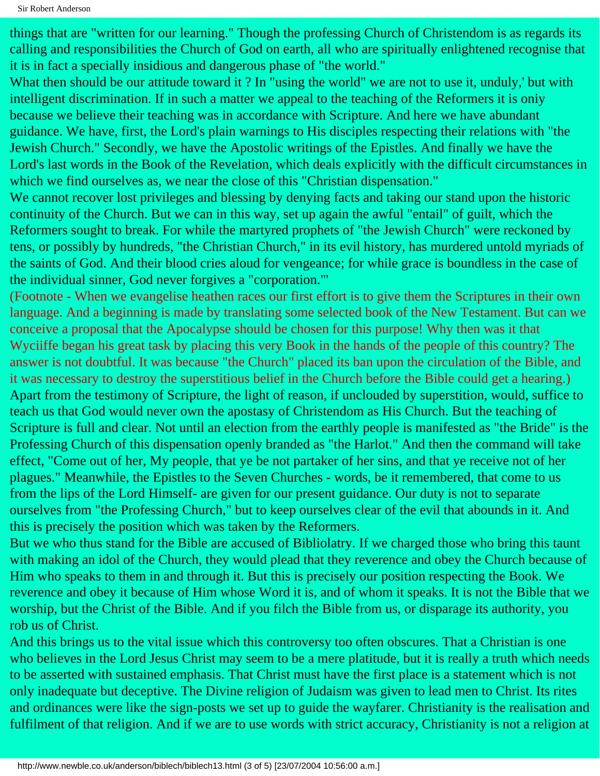things that are "written for our learning." Though the professing Church of Christendom is as regards its calling and responsibilities the Church of God on earth, all who are spiritually enlightened recognise that it is in fact a specially insidious and dangerous phase of "the world."

What then should be our attitude toward it ? In "using the world" we are not to use it, unduly,' but with intelligent discrimination. If in such a matter we appeal to the teaching of the Reformers it is oniy because we believe their teaching was in accordance with Scripture. And here we have abundant guidance. We have, first, the Lord's plain warnings to His disciples respecting their relations with "the Jewish Church." Secondly, we have the Apostolic writings of the Epistles. And finally we have the Lord's last words in the Book of the Revelation, which deals explicitly with the difficult circumstances in which we find ourselves as, we near the close of this "Christian dispensation."

We cannot recover lost privileges and blessing by denying facts and taking our stand upon the historic continuity of the Church. But we can in this way, set up again the awful "entail" of guilt, which the Reformers sought to break. For while the martyred prophets of "the Jewish Church" were reckoned by tens, or possibly by hundreds, "the Christian Church," in its evil history, has murdered untold myriads of the saints of God. And their blood cries aloud for vengeance; for while grace is boundless in the case of the individual sinner, God never forgives a "corporation."'

(Footnote - When we evangelise heathen races our first effort is to give them the Scriptures in their own language. And a beginning is made by translating some selected book of the New Testament. But can we conceive a proposal that the Apocalypse should be chosen for this purpose! Why then was it that Wyciiffe began his great task by placing this very Book in the hands of the people of this country? The answer is not doubtful. It was because "the Church" placed its ban upon the circulation of the Bible, and it was necessary to destroy the superstitious belief in the Church before the Bible could get a hearing.) Apart from the testimony of Scripture, the light of reason, if unclouded by superstition, would, suffice to teach us that God would never own the apostasy of Christendom as His Church. But the teaching of Scripture is full and clear. Not until an election from the earthly people is manifested as "the Bride" is the Professing Church of this dispensation openly branded as "the Harlot." And then the command will take effect, "Come out of her, My people, that ye be not partaker of her sins, and that ye receive not of her plagues." Meanwhile, the Epistles to the Seven Churches - words, be it remembered, that come to us from the lips of the Lord Himself- are given for our present guidance. Our duty is not to separate ourselves from "the Professing Church," but to keep ourselves clear of the evil that abounds in it. And this is precisely the position which was taken by the Reformers.

But we who thus stand for the Bible are accused of Bibliolatry. If we charged those who bring this taunt with making an idol of the Church, they would plead that they reverence and obey the Church because of Him who speaks to them in and through it. But this is precisely our position respecting the Book. We reverence and obey it because of Him whose Word it is, and of whom it speaks. It is not the Bible that we worship, but the Christ of the Bible. And if you filch the Bible from us, or disparage its authority, you rob us of Christ.

And this brings us to the vital issue which this controversy too often obscures. That a Christian is one who believes in the Lord Jesus Christ may seem to be a mere platitude, but it is really a truth which needs to be asserted with sustained emphasis. That Christ must have the first place is a statement which is not only inadequate but deceptive. The Divine religion of Judaism was given to lead men to Christ. Its rites and ordinances were like the sign-posts we set up to guide the wayfarer. Christianity is the realisation and fulfilment of that religion. And if we are to use words with strict accuracy, Christianity is not a religion at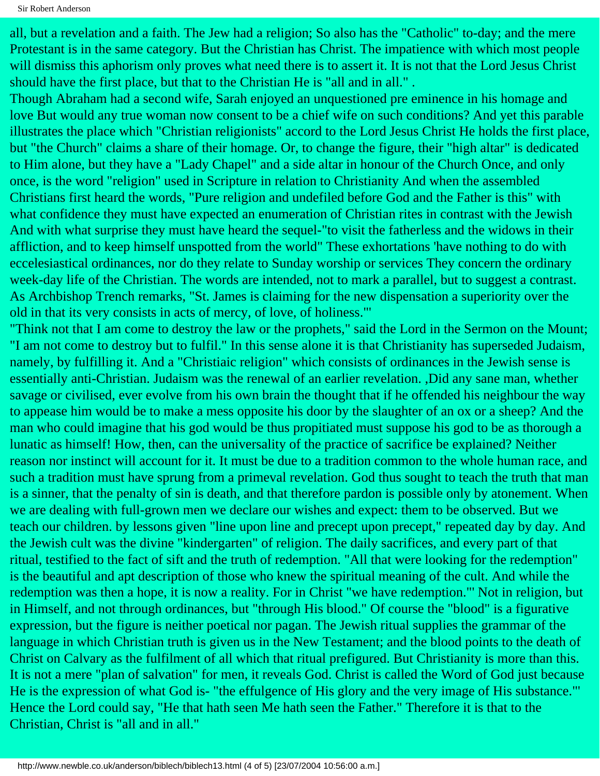all, but a revelation and a faith. The Jew had a religion; So also has the "Catholic" to-day; and the mere Protestant is in the same category. But the Christian has Christ. The impatience with which most people will dismiss this aphorism only proves what need there is to assert it. It is not that the Lord Jesus Christ should have the first place, but that to the Christian He is "all and in all." .

Though Abraham had a second wife, Sarah enjoyed an unquestioned pre eminence in his homage and love But would any true woman now consent to be a chief wife on such conditions? And yet this parable illustrates the place which "Christian religionists" accord to the Lord Jesus Christ He holds the first place, but "the Church" claims a share of their homage. Or, to change the figure, their "high altar" is dedicated to Him alone, but they have a "Lady Chapel" and a side altar in honour of the Church Once, and only once, is the word "religion" used in Scripture in relation to Christianity And when the assembled Christians first heard the words, "Pure religion and undefiled before God and the Father is this" with what confidence they must have expected an enumeration of Christian rites in contrast with the Jewish And with what surprise they must have heard the sequel-"to visit the fatherless and the widows in their affliction, and to keep himself unspotted from the world" These exhortations 'have nothing to do with eccelesiastical ordinances, nor do they relate to Sunday worship or services They concern the ordinary week-day life of the Christian. The words are intended, not to mark a parallel, but to suggest a contrast. As Archbishop Trench remarks, "St. James is claiming for the new dispensation a superiority over the old in that its very consists in acts of mercy, of love, of holiness."'

"Think not that I am come to destroy the law or the prophets," said the Lord in the Sermon on the Mount; "I am not come to destroy but to fulfil." In this sense alone it is that Christianity has superseded Judaism, namely, by fulfilling it. And a "Christiaic religion" which consists of ordinances in the Jewish sense is essentially anti-Christian. Judaism was the renewal of an earlier revelation. ,Did any sane man, whether savage or civilised, ever evolve from his own brain the thought that if he offended his neighbour the way to appease him would be to make a mess opposite his door by the slaughter of an ox or a sheep? And the man who could imagine that his god would be thus propitiated must suppose his god to be as thorough a lunatic as himself! How, then, can the universality of the practice of sacrifice be explained? Neither reason nor instinct will account for it. It must be due to a tradition common to the whole human race, and such a tradition must have sprung from a primeval revelation. God thus sought to teach the truth that man is a sinner, that the penalty of sin is death, and that therefore pardon is possible only by atonement. When we are dealing with full-grown men we declare our wishes and expect: them to be observed. But we teach our children. by lessons given "line upon line and precept upon precept," repeated day by day. And the Jewish cult was the divine "kindergarten" of religion. The daily sacrifices, and every part of that ritual, testified to the fact of sift and the truth of redemption. "All that were looking for the redemption" is the beautiful and apt description of those who knew the spiritual meaning of the cult. And while the redemption was then a hope, it is now a reality. For in Christ "we have redemption."' Not in religion, but in Himself, and not through ordinances, but "through His blood." Of course the "blood" is a figurative expression, but the figure is neither poetical nor pagan. The Jewish ritual supplies the grammar of the language in which Christian truth is given us in the New Testament; and the blood points to the death of Christ on Calvary as the fulfilment of all which that ritual prefigured. But Christianity is more than this. It is not a mere "plan of salvation" for men, it reveals God. Christ is called the Word of God just because He is the expression of what God is- "the effulgence of His glory and the very image of His substance."' Hence the Lord could say, "He that hath seen Me hath seen the Father." Therefore it is that to the Christian, Christ is "all and in all."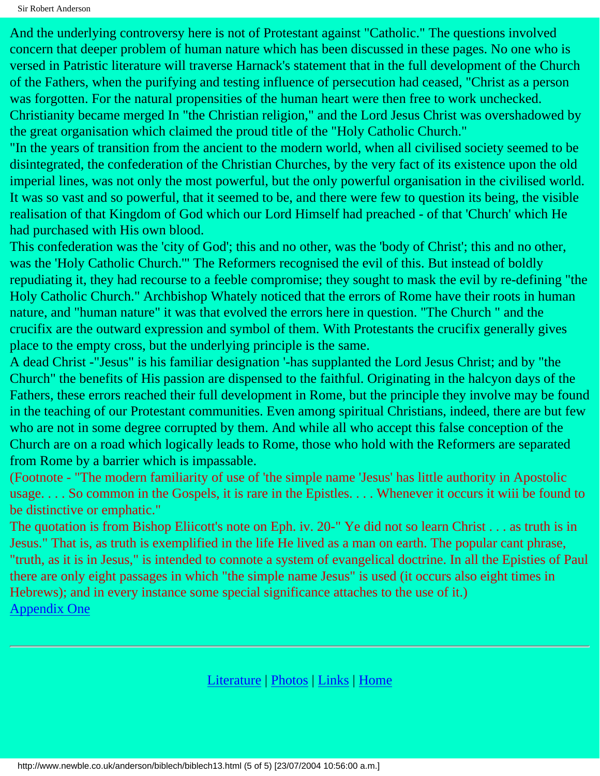Sir Robert Anderson

And the underlying controversy here is not of Protestant against "Catholic." The questions involved concern that deeper problem of human nature which has been discussed in these pages. No one who is versed in Patristic literature will traverse Harnack's statement that in the full development of the Church of the Fathers, when the purifying and testing influence of persecution had ceased, "Christ as a person was forgotten. For the natural propensities of the human heart were then free to work unchecked. Christianity became merged In "the Christian religion," and the Lord Jesus Christ was overshadowed by the great organisation which claimed the proud title of the "Holy Catholic Church."

"In the years of transition from the ancient to the modern world, when all civilised society seemed to be disintegrated, the confederation of the Christian Churches, by the very fact of its existence upon the old imperial lines, was not only the most powerful, but the only powerful organisation in the civilised world. It was so vast and so powerful, that it seemed to be, and there were few to question its being, the visible realisation of that Kingdom of God which our Lord Himself had preached - of that 'Church' which He had purchased with His own blood.

This confederation was the 'city of God'; this and no other, was the 'body of Christ'; this and no other, was the 'Holy Catholic Church.'" The Reformers recognised the evil of this. But instead of boldly repudiating it, they had recourse to a feeble compromise; they sought to mask the evil by re-defining "the Holy Catholic Church." Archbishop Whately noticed that the errors of Rome have their roots in human nature, and "human nature" it was that evolved the errors here in question. "The Church " and the crucifix are the outward expression and symbol of them. With Protestants the crucifix generally gives place to the empty cross, but the underlying principle is the same.

A dead Christ -"Jesus" is his familiar designation '-has supplanted the Lord Jesus Christ; and by "the Church" the benefits of His passion are dispensed to the faithful. Originating in the halcyon days of the Fathers, these errors reached their full development in Rome, but the principle they involve may be found in the teaching of our Protestant communities. Even among spiritual Christians, indeed, there are but few who are not in some degree corrupted by them. And while all who accept this false conception of the Church are on a road which logically leads to Rome, those who hold with the Reformers are separated from Rome by a barrier which is impassable.

(Footnote - "The modern familiarity of use of 'the simple name 'Jesus' has little authority in Apostolic usage. . . . So common in the Gospels, it is rare in the Epistles. . . . Whenever it occurs it wiii be found to be distinctive or emphatic."

The quotation is from Bishop Eliicott's note on Eph. iv. 20-" Ye did not so learn Christ . . . as truth is in Jesus." That is, as truth is exemplified in the life He lived as a man on earth. The popular cant phrase, "truth, as it is in Jesus," is intended to connote a system of evangelical doctrine. In all the Episties of Paul there are only eight passages in which "the simple name Jesus" is used (it occurs also eight times in Hebrews); and in every instance some special significance attaches to the use of it.) [Appendix One](#page-78-0)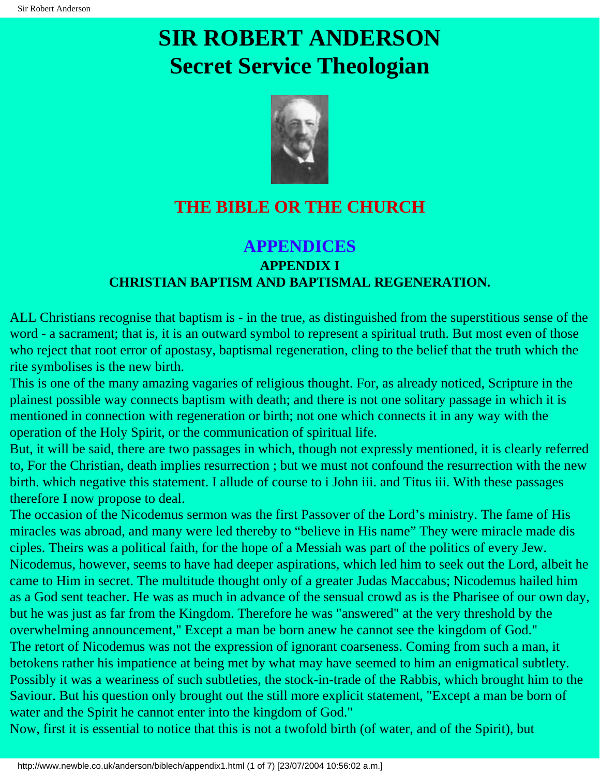# <span id="page-78-0"></span>**SIR ROBERT ANDERSON Secret Service Theologian**



## **THE BIBLE OR THE CHURCH**

### **APPENDICES APPENDIX I CHRISTIAN BAPTISM AND BAPTISMAL REGENERATION.**

ALL Christians recognise that baptism is - in the true, as distinguished from the superstitious sense of the word - a sacrament; that is, it is an outward symbol to represent a spiritual truth. But most even of those who reject that root error of apostasy, baptismal regeneration, cling to the belief that the truth which the rite symbolises is the new birth.

This is one of the many amazing vagaries of religious thought. For, as already noticed, Scripture in the plainest possible way connects baptism with death; and there is not one solitary passage in which it is mentioned in connection with regeneration or birth; not one which connects it in any way with the operation of the Holy Spirit, or the communication of spiritual life.

But, it will be said, there are two passages in which, though not expressly mentioned, it is clearly referred to, For the Christian, death implies resurrection ; but we must not confound the resurrection with the new birth. which negative this statement. I allude of course to i John iii. and Titus iii. With these passages therefore I now propose to deal.

The occasion of the Nicodemus sermon was the first Passover of the Lord's ministry. The fame of His miracles was abroad, and many were led thereby to "believe in His name" They were miracle made dis ciples. Theirs was a political faith, for the hope of a Messiah was part of the politics of every Jew. Nicodemus, however, seems to have had deeper aspirations, which led him to seek out the Lord, albeit he came to Him in secret. The multitude thought only of a greater Judas Maccabus; Nicodemus hailed him as a God sent teacher. He was as much in advance of the sensual crowd as is the Pharisee of our own day, but he was just as far from the Kingdom. Therefore he was "answered" at the very threshold by the overwhelming announcement," Except a man be born anew he cannot see the kingdom of God." The retort of Nicodemus was not the expression of ignorant coarseness. Coming from such a man, it betokens rather his impatience at being met by what may have seemed to him an enigmatical subtlety. Possibly it was a weariness of such subtleties, the stock-in-trade of the Rabbis, which brought him to the Saviour. But his question only brought out the still more explicit statement, "Except a man be born of water and the Spirit he cannot enter into the kingdom of God."

Now, first it is essential to notice that this is not a twofold birth (of water, and of the Spirit), but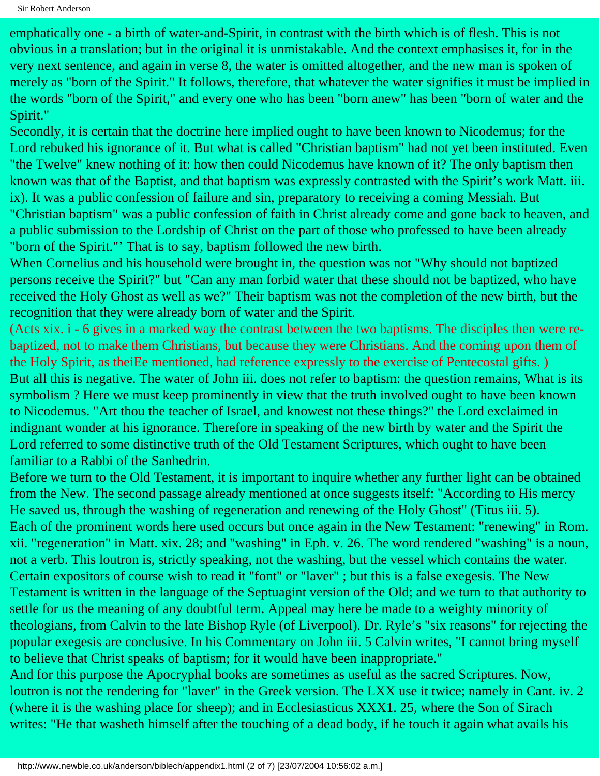emphatically one - a birth of water-and-Spirit, in contrast with the birth which is of flesh. This is not obvious in a translation; but in the original it is unmistakable. And the context emphasises it, for in the very next sentence, and again in verse 8, the water is omitted altogether, and the new man is spoken of merely as "born of the Spirit." It follows, therefore, that whatever the water signifies it must be implied in the words "born of the Spirit," and every one who has been "born anew" has been "born of water and the Spirit."

Secondly, it is certain that the doctrine here implied ought to have been known to Nicodemus; for the Lord rebuked his ignorance of it. But what is called "Christian baptism" had not yet been instituted. Even "the Twelve" knew nothing of it: how then could Nicodemus have known of it? The only baptism then known was that of the Baptist, and that baptism was expressly contrasted with the Spirit's work Matt. iii. ix). It was a public confession of failure and sin, preparatory to receiving a coming Messiah. But "Christian baptism" was a public confession of faith in Christ already come and gone back to heaven, and a public submission to the Lordship of Christ on the part of those who professed to have been already "born of the Spirit."' That is to say, baptism followed the new birth.

When Cornelius and his household were brought in, the question was not "Why should not baptized persons receive the Spirit?" but "Can any man forbid water that these should not be baptized, who have received the Holy Ghost as well as we?" Their baptism was not the completion of the new birth, but the recognition that they were already born of water and the Spirit.

(Acts xix. i - 6 gives in a marked way the contrast between the two baptisms. The disciples then were rebaptized, not to make them Christians, but because they were Christians. And the coming upon them of the Holy Spirit, as theiEe mentioned, had reference expressly to the exercise of Pentecostal gifts. ) But all this is negative. The water of John iii. does not refer to baptism: the question remains, What is its symbolism ? Here we must keep prominently in view that the truth involved ought to have been known to Nicodemus. "Art thou the teacher of Israel, and knowest not these things?" the Lord exclaimed in indignant wonder at his ignorance. Therefore in speaking of the new birth by water and the Spirit the Lord referred to some distinctive truth of the Old Testament Scriptures, which ought to have been familiar to a Rabbi of the Sanhedrin.

Before we turn to the Old Testament, it is important to inquire whether any further light can be obtained from the New. The second passage already mentioned at once suggests itself: "According to His mercy He saved us, through the washing of regeneration and renewing of the Holy Ghost" (Titus iii. 5). Each of the prominent words here used occurs but once again in the New Testament: "renewing" in Rom. xii. "regeneration" in Matt. xix. 28; and "washing" in Eph. v. 26. The word rendered "washing" is a noun, not a verb. This loutron is, strictly speaking, not the washing, but the vessel which contains the water. Certain expositors of course wish to read it "font" or "laver" ; but this is a false exegesis. The New Testament is written in the language of the Septuagint version of the Old; and we turn to that authority to settle for us the meaning of any doubtful term. Appeal may here be made to a weighty minority of theologians, from Calvin to the late Bishop Ryle (of Liverpool). Dr. Ryle's "six reasons" for rejecting the popular exegesis are conclusive. In his Commentary on John iii. 5 Calvin writes, "I cannot bring myself to believe that Christ speaks of baptism; for it would have been inappropriate."

And for this purpose the Apocryphal books are sometimes as useful as the sacred Scriptures. Now, loutron is not the rendering for "laver" in the Greek version. The LXX use it twice; namely in Cant. iv. 2 (where it is the washing place for sheep); and in Ecclesiasticus XXX1. 25, where the Son of Sirach writes: "He that washeth himself after the touching of a dead body, if he touch it again what avails his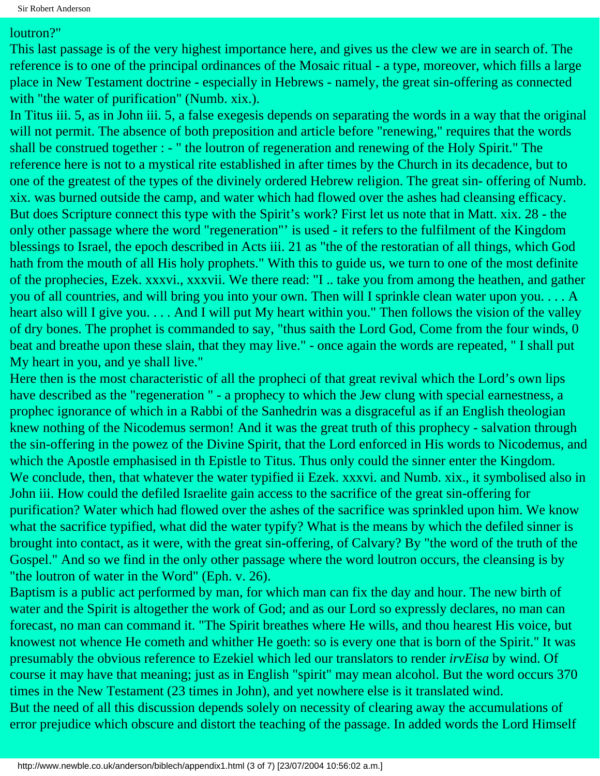#### loutron?"

This last passage is of the very highest importance here, and gives us the clew we are in search of. The reference is to one of the principal ordinances of the Mosaic ritual - a type, moreover, which fills a large place in New Testament doctrine - especially in Hebrews - namely, the great sin-offering as connected with "the water of purification" (Numb. xix.).

In Titus iii. 5, as in John iii. 5, a false exegesis depends on separating the words in a way that the original will not permit. The absence of both preposition and article before "renewing," requires that the words shall be construed together : - " the loutron of regeneration and renewing of the Holy Spirit." The reference here is not to a mystical rite established in after times by the Church in its decadence, but to one of the greatest of the types of the divinely ordered Hebrew religion. The great sin- offering of Numb. xix. was burned outside the camp, and water which had flowed over the ashes had cleansing efficacy. But does Scripture connect this type with the Spirit's work? First let us note that in Matt. xix. 28 - the only other passage where the word "regeneration"' is used - it refers to the fulfilment of the Kingdom blessings to Israel, the epoch described in Acts iii. 21 as "the of the restoratian of all things, which God hath from the mouth of all His holy prophets." With this to guide us, we turn to one of the most definite of the prophecies, Ezek. xxxvi., xxxvii. We there read: "I .. take you from among the heathen, and gather you of all countries, and will bring you into your own. Then will I sprinkle clean water upon you. . . . A heart also will I give you. . . . And I will put My heart within you." Then follows the vision of the valley of dry bones. The prophet is commanded to say, "thus saith the Lord God, Come from the four winds, 0 beat and breathe upon these slain, that they may live." - once again the words are repeated, " I shall put My heart in you, and ye shall live."

Here then is the most characteristic of all the propheci of that great revival which the Lord's own lips have described as the "regeneration " - a prophecy to which the Jew clung with special earnestness, a prophec ignorance of which in a Rabbi of the Sanhedrin was a disgraceful as if an English theologian knew nothing of the Nicodemus sermon! And it was the great truth of this prophecy - salvation through the sin-offering in the powez of the Divine Spirit, that the Lord enforced in His words to Nicodemus, and which the Apostle emphasised in th Epistle to Titus. Thus only could the sinner enter the Kingdom. We conclude, then, that whatever the water typified ii Ezek. xxxvi. and Numb. xix., it symbolised also in John iii. How could the defiled Israelite gain access to the sacrifice of the great sin-offering for purification? Water which had flowed over the ashes of the sacrifice was sprinkled upon him. We know what the sacrifice typified, what did the water typify? What is the means by which the defiled sinner is brought into contact, as it were, with the great sin-offering, of Calvary? By "the word of the truth of the Gospel." And so we find in the only other passage where the word loutron occurs, the cleansing is by "the loutron of water in the Word" (Eph. v. 26).

Baptism is a public act performed by man, for which man can fix the day and hour. The new birth of water and the Spirit is altogether the work of God; and as our Lord so expressly declares, no man can forecast, no man can command it. "The Spirit breathes where He wills, and thou hearest His voice, but knowest not whence He cometh and whither He goeth: so is every one that is born of the Spirit." It was presumably the obvious reference to Ezekiel which led our translators to render *irvEisa* by wind. Of course it may have that meaning; just as in English "spirit" may mean alcohol. But the word occurs 370 times in the New Testament (23 times in John), and yet nowhere else is it translated wind. But the need of all this discussion depends solely on necessity of clearing away the accumulations of error prejudice which obscure and distort the teaching of the passage. In added words the Lord Himself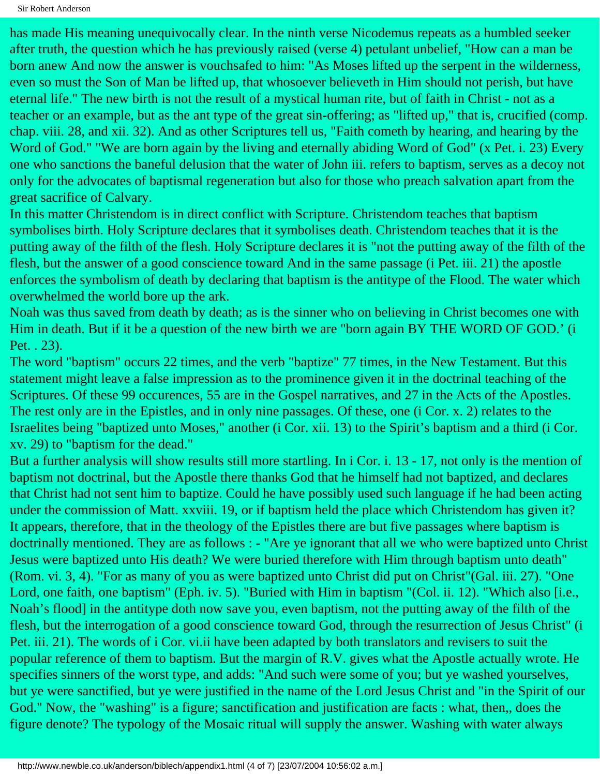has made His meaning unequivocally clear. In the ninth verse Nicodemus repeats as a humbled seeker after truth, the question which he has previously raised (verse 4) petulant unbelief, "How can a man be born anew And now the answer is vouchsafed to him: "As Moses lifted up the serpent in the wilderness, even so must the Son of Man be lifted up, that whosoever believeth in Him should not perish, but have eternal life." The new birth is not the result of a mystical human rite, but of faith in Christ - not as a teacher or an example, but as the ant type of the great sin-offering; as "lifted up," that is, crucified (comp. chap. viii. 28, and xii. 32). And as other Scriptures tell us, "Faith cometh by hearing, and hearing by the Word of God." "We are born again by the living and eternally abiding Word of God" (x Pet. i. 23) Every one who sanctions the baneful delusion that the water of John iii. refers to baptism, serves as a decoy not only for the advocates of baptismal regeneration but also for those who preach salvation apart from the great sacrifice of Calvary.

In this matter Christendom is in direct conflict with Scripture. Christendom teaches that baptism symbolises birth. Holy Scripture declares that it symbolises death. Christendom teaches that it is the putting away of the filth of the flesh. Holy Scripture declares it is "not the putting away of the filth of the flesh, but the answer of a good conscience toward And in the same passage (i Pet. iii. 21) the apostle enforces the symbolism of death by declaring that baptism is the antitype of the Flood. The water which overwhelmed the world bore up the ark.

Noah was thus saved from death by death; as is the sinner who on believing in Christ becomes one with Him in death. But if it be a question of the new birth we are "born again BY THE WORD OF GOD.' (i Pet. . 23).

The word "baptism" occurs 22 times, and the verb "baptize" 77 times, in the New Testament. But this statement might leave a false impression as to the prominence given it in the doctrinal teaching of the Scriptures. Of these 99 occurences, 55 are in the Gospel narratives, and 27 in the Acts of the Apostles. The rest only are in the Epistles, and in only nine passages. Of these, one (i Cor. x. 2) relates to the Israelites being "baptized unto Moses," another (i Cor. xii. 13) to the Spirit's baptism and a third (i Cor. xv. 29) to "baptism for the dead."

But a further analysis will show results still more startling. In i Cor. i. 13 - 17, not only is the mention of baptism not doctrinal, but the Apostle there thanks God that he himself had not baptized, and declares that Christ had not sent him to baptize. Could he have possibly used such language if he had been acting under the commission of Matt. xxviii. 19, or if baptism held the place which Christendom has given it? It appears, therefore, that in the theology of the Epistles there are but five passages where baptism is doctrinally mentioned. They are as follows : - "Are ye ignorant that all we who were baptized unto Christ Jesus were baptized unto His death? We were buried therefore with Him through baptism unto death" (Rom. vi. 3, 4). "For as many of you as were baptized unto Christ did put on Christ"(Gal. iii. 27). "One Lord, one faith, one baptism" (Eph. iv. 5). "Buried with Him in baptism "(Col. ii. 12). "Which also [i.e., Noah's flood] in the antitype doth now save you, even baptism, not the putting away of the filth of the flesh, but the interrogation of a good conscience toward God, through the resurrection of Jesus Christ" (i Pet. iii. 21). The words of i Cor. vi.ii have been adapted by both translators and revisers to suit the popular reference of them to baptism. But the margin of R.V. gives what the Apostle actually wrote. He specifies sinners of the worst type, and adds: "And such were some of you; but ye washed yourselves, but ye were sanctified, but ye were justified in the name of the Lord Jesus Christ and "in the Spirit of our God." Now, the "washing" is a figure; sanctification and justification are facts : what, then,, does the figure denote? The typology of the Mosaic ritual will supply the answer. Washing with water always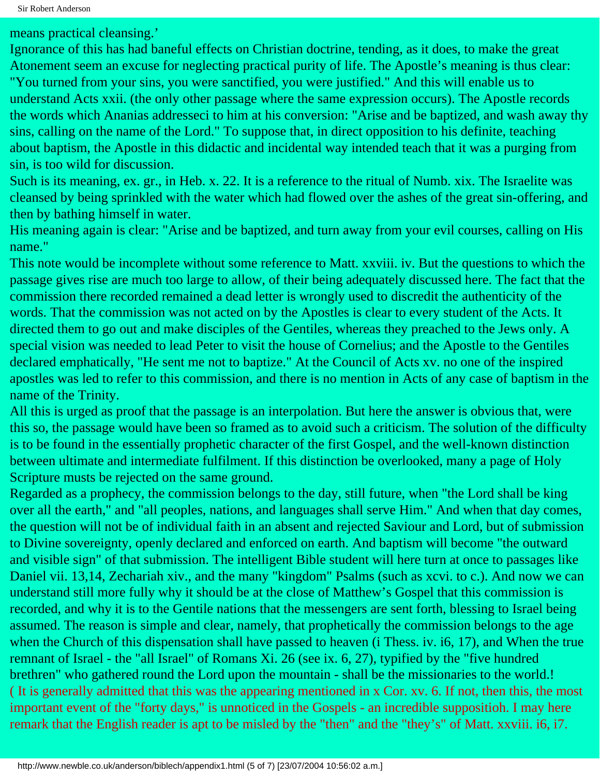means practical cleansing.'

Ignorance of this has had baneful effects on Christian doctrine, tending, as it does, to make the great Atonement seem an excuse for neglecting practical purity of life. The Apostle's meaning is thus clear: "You turned from your sins, you were sanctified, you were justified." And this will enable us to understand Acts xxii. (the only other passage where the same expression occurs). The Apostle records the words which Ananias addresseci to him at his conversion: "Arise and be baptized, and wash away thy sins, calling on the name of the Lord." To suppose that, in direct opposition to his definite, teaching about baptism, the Apostle in this didactic and incidental way intended teach that it was a purging from sin, is too wild for discussion.

Such is its meaning, ex. gr., in Heb. x. 22. It is a reference to the ritual of Numb. xix. The Israelite was cleansed by being sprinkled with the water which had flowed over the ashes of the great sin-offering, and then by bathing himself in water.

His meaning again is clear: "Arise and be baptized, and turn away from your evil courses, calling on His name."

This note would be incomplete without some reference to Matt. xxviii. iv. But the questions to which the passage gives rise are much too large to allow, of their being adequately discussed here. The fact that the commission there recorded remained a dead letter is wrongly used to discredit the authenticity of the words. That the commission was not acted on by the Apostles is clear to every student of the Acts. It directed them to go out and make disciples of the Gentiles, whereas they preached to the Jews only. A special vision was needed to lead Peter to visit the house of Cornelius; and the Apostle to the Gentiles declared emphatically, "He sent me not to baptize." At the Council of Acts xv. no one of the inspired apostles was led to refer to this commission, and there is no mention in Acts of any case of baptism in the name of the Trinity.

All this is urged as proof that the passage is an interpolation. But here the answer is obvious that, were this so, the passage would have been so framed as to avoid such a criticism. The solution of the difficulty is to be found in the essentially prophetic character of the first Gospel, and the well-known distinction between ultimate and intermediate fulfilment. If this distinction be overlooked, many a page of Holy Scripture musts be rejected on the same ground.

Regarded as a prophecy, the commission belongs to the day, still future, when "the Lord shall be king over all the earth," and "all peoples, nations, and languages shall serve Him." And when that day comes, the question will not be of individual faith in an absent and rejected Saviour and Lord, but of submission to Divine sovereignty, openly declared and enforced on earth. And baptism will become "the outward and visible sign" of that submission. The intelligent Bible student will here turn at once to passages like Daniel vii. 13,14, Zechariah xiv., and the many "kingdom" Psalms (such as xcvi. to c.). And now we can understand still more fully why it should be at the close of Matthew's Gospel that this commission is recorded, and why it is to the Gentile nations that the messengers are sent forth, blessing to Israel being assumed. The reason is simple and clear, namely, that prophetically the commission belongs to the age when the Church of this dispensation shall have passed to heaven (i Thess. iv. i6, 17), and When the true remnant of Israel - the "all Israel" of Romans Xi. 26 (see ix. 6, 27), typified by the "five hundred brethren" who gathered round the Lord upon the mountain - shall be the missionaries to the world.! ( It is generally admitted that this was the appearing mentioned in x Cor. xv. 6. If not, then this, the most important event of the "forty days," is unnoticed in the Gospels - an incredible suppositioh. I may here remark that the English reader is apt to be misled by the "then" and the "they's" of Matt. xxviii. i6, i7.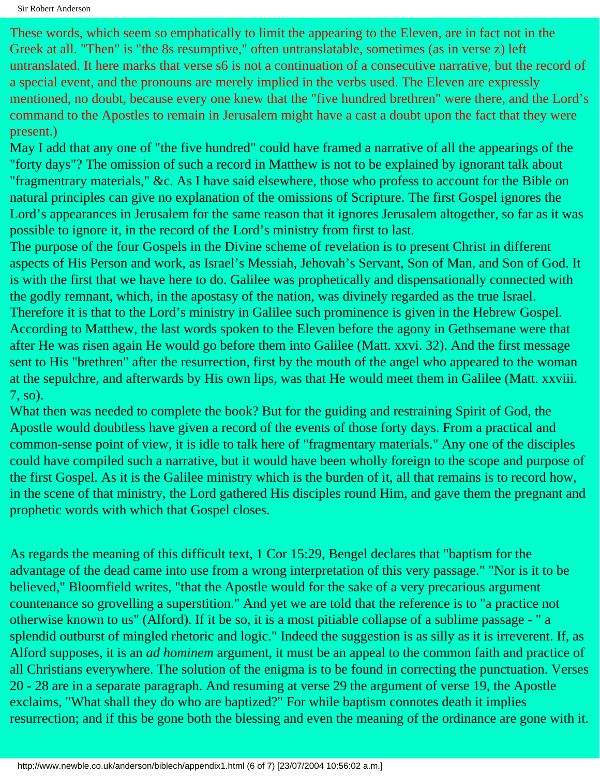These words, which seem so emphatically to limit the appearing to the Eleven, are in fact not in the Greek at all. "Then" is "the 8s resumptive," often untranslatable, sometimes (as in verse z) left untranslated. It here marks that verse s6 is not a continuation of a consecutive narrative, but the record of a special event, and the pronouns are merely implied in the verbs used. The Eleven are expressly mentioned, no doubt, because every one knew that the "five hundred brethren" were there, and the Lord's command to the Apostles to remain in Jerusalem might have a cast a doubt upon the fact that they were present.)

May I add that any one of "the five hundred" could have framed a narrative of all the appearings of the "forty days"? The omission of such a record in Matthew is not to be explained by ignorant talk about "fragmentrary materials," &c. As I have said elsewhere, those who profess to account for the Bible on natural principles can give no explanation of the omissions of Scripture. The first Gospel ignores the Lord's appearances in Jerusalem for the same reason that it ignores Jerusalem altogether, so far as it was possible to ignore it, in the record of the Lord's ministry from first to last.

The purpose of the four Gospels in the Divine scheme of revelation is to present Christ in different aspects of His Person and work, as Israel's Messiah, Jehovah's Servant, Son of Man, and Son of God. It is with the first that we have here to do. Galilee was prophetically and dispensationally connected with the godly remnant, which, in the apostasy of the nation, was divinely regarded as the true Israel. Therefore it is that to the Lord's ministry in Galilee such prominence is given in the Hebrew Gospel. According to Matthew, the last words spoken to the Eleven before the agony in Gethsemane were that after He was risen again He would go before them into Galilee (Matt. xxvi. 32). And the first message sent to His "brethren" after the resurrection, first by the mouth of the angel who appeared to the woman at the sepulchre, and afterwards by His own lips, was that He would meet them in Galilee (Matt. xxviii. 7, so).

What then was needed to complete the book? But for the guiding and restraining Spirit of God, the Apostle would doubtless have given a record of the events of those forty days. From a practical and common-sense point of view, it is idle to talk here of "fragmentary materials." Any one of the disciples could have compiled such a narrative, but it would have been wholly foreign to the scope and purpose of the first Gospel. As it is the Galilee ministry which is the burden of it, all that remains is to record how, in the scene of that ministry, the Lord gathered His disciples round Him, and gave them the pregnant and prophetic words with which that Gospel closes.

As regards the meaning of this difficult text, 1 Cor 15:29, Bengel declares that "baptism for the advantage of the dead came into use from a wrong interpretation of this very passage." "Nor is it to be believed," Bloomfield writes, "that the Apostle would for the sake of a very precarious argument countenance so grovelling a superstition." And yet we are told that the reference is to "a practice not otherwise known to us" (Alford). If it be so, it is a most pitiable collapse of a sublime passage - " a splendid outburst of mingled rhetoric and logic." Indeed the suggestion is as silly as it is irreverent. If, as Alford supposes, it is an *ad hominem* argument, it must be an appeal to the common faith and practice of all Christians everywhere. The solution of the enigma is to be found in correcting the punctuation. Verses 20 - 28 are in a separate paragraph. And resuming at verse 29 the argument of verse 19, the Apostle exclaims, "What shall they do who are baptized?" For while baptism connotes death it implies resurrection; and if this be gone both the blessing and even the meaning of the ordinance are gone with it.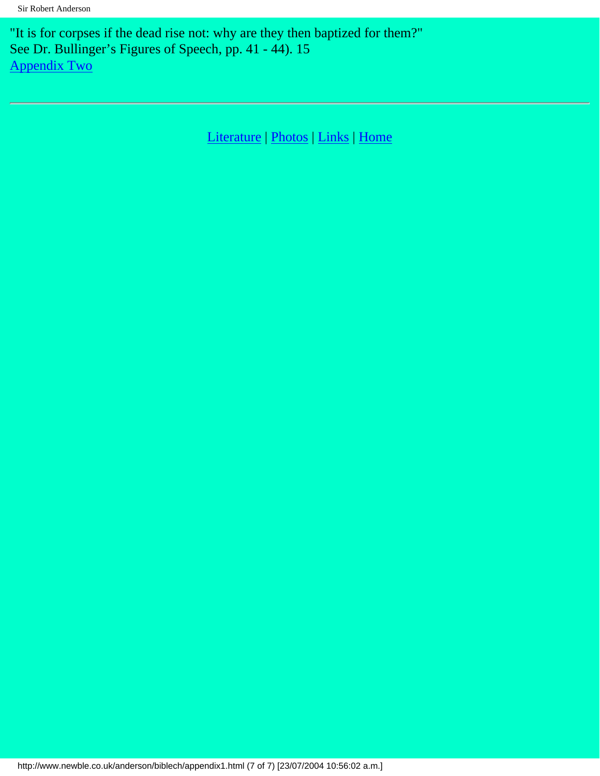"It is for corpses if the dead rise not: why are they then baptized for them?" See Dr. Bullinger's Figures of Speech, pp. 41 - 44). 15 [Appendix Two](#page-85-0)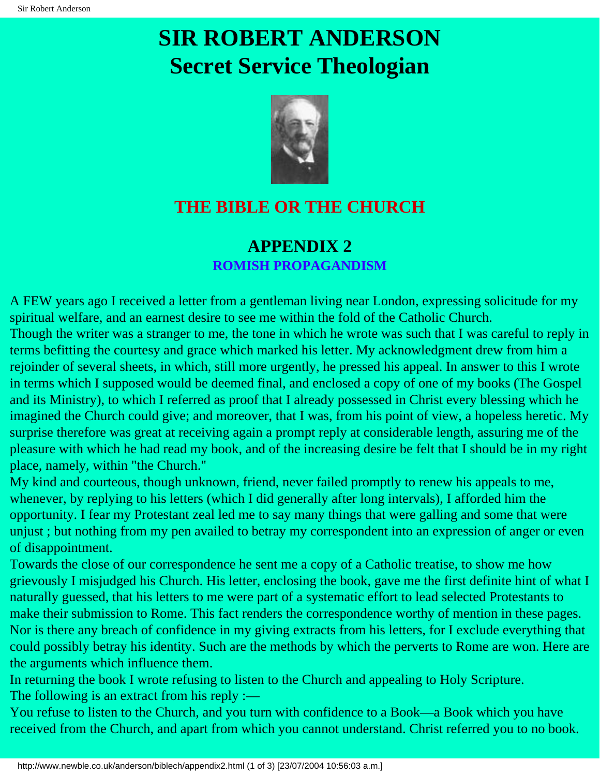# <span id="page-85-0"></span>**SIR ROBERT ANDERSON Secret Service Theologian**



## **THE BIBLE OR THE CHURCH**

## **APPENDIX 2 ROMISH PROPAGANDISM**

A FEW years ago I received a letter from a gentleman living near London, expressing solicitude for my spiritual welfare, and an earnest desire to see me within the fold of the Catholic Church. Though the writer was a stranger to me, the tone in which he wrote was such that I was careful to reply in terms befitting the courtesy and grace which marked his letter. My acknowledgment drew from him a rejoinder of several sheets, in which, still more urgently, he pressed his appeal. In answer to this I wrote in terms which I supposed would be deemed final, and enclosed a copy of one of my books (The Gospel and its Ministry), to which I referred as proof that I already possessed in Christ every blessing which he imagined the Church could give; and moreover, that I was, from his point of view, a hopeless heretic. My surprise therefore was great at receiving again a prompt reply at considerable length, assuring me of the pleasure with which he had read my book, and of the increasing desire be felt that I should be in my right place, namely, within "the Church."

My kind and courteous, though unknown, friend, never failed promptly to renew his appeals to me, whenever, by replying to his letters (which I did generally after long intervals), I afforded him the opportunity. I fear my Protestant zeal led me to say many things that were galling and some that were unjust ; but nothing from my pen availed to betray my correspondent into an expression of anger or even of disappointment.

Towards the close of our correspondence he sent me a copy of a Catholic treatise, to show me how grievously I misjudged his Church. His letter, enclosing the book, gave me the first definite hint of what I naturally guessed, that his letters to me were part of a systematic effort to lead selected Protestants to make their submission to Rome. This fact renders the correspondence worthy of mention in these pages. Nor is there any breach of confidence in my giving extracts from his letters, for I exclude everything that could possibly betray his identity. Such are the methods by which the perverts to Rome are won. Here are the arguments which influence them.

In returning the book I wrote refusing to listen to the Church and appealing to Holy Scripture. The following is an extract from his reply :—

You refuse to listen to the Church, and you turn with confidence to a Book—a Book which you have received from the Church, and apart from which you cannot understand. Christ referred you to no book.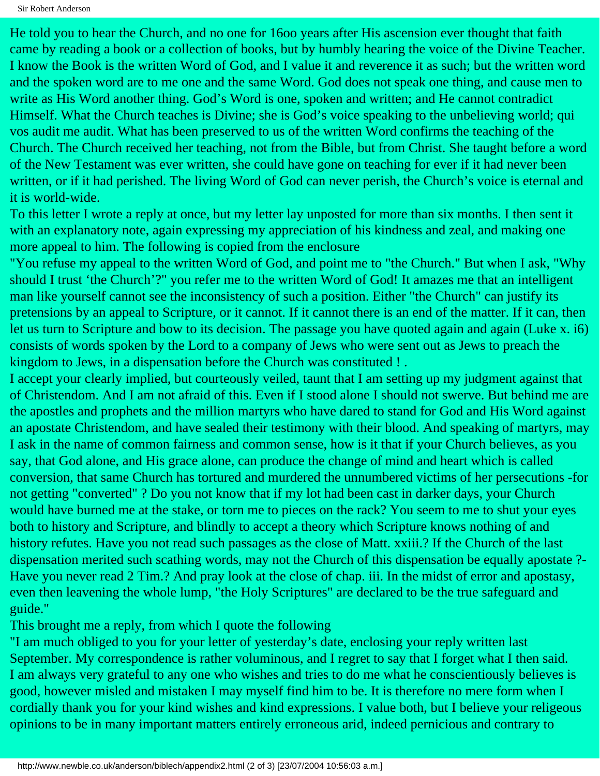He told you to hear the Church, and no one for 16oo years after His ascension ever thought that faith came by reading a book or a collection of books, but by humbly hearing the voice of the Divine Teacher. I know the Book is the written Word of God, and I value it and reverence it as such; but the written word and the spoken word are to me one and the same Word. God does not speak one thing, and cause men to write as His Word another thing. God's Word is one, spoken and written; and He cannot contradict Himself. What the Church teaches is Divine; she is God's voice speaking to the unbelieving world; qui vos audit me audit. What has been preserved to us of the written Word confirms the teaching of the Church. The Church received her teaching, not from the Bible, but from Christ. She taught before a word of the New Testament was ever written, she could have gone on teaching for ever if it had never been written, or if it had perished. The living Word of God can never perish, the Church's voice is eternal and it is world-wide.

To this letter I wrote a reply at once, but my letter lay unposted for more than six months. I then sent it with an explanatory note, again expressing my appreciation of his kindness and zeal, and making one more appeal to him. The following is copied from the enclosure

"You refuse my appeal to the written Word of God, and point me to "the Church." But when I ask, "Why should I trust 'the Church'?" you refer me to the written Word of God! It amazes me that an intelligent man like yourself cannot see the inconsistency of such a position. Either "the Church" can justify its pretensions by an appeal to Scripture, or it cannot. If it cannot there is an end of the matter. If it can, then let us turn to Scripture and bow to its decision. The passage you have quoted again and again (Luke x. i6) consists of words spoken by the Lord to a company of Jews who were sent out as Jews to preach the kingdom to Jews, in a dispensation before the Church was constituted ! .

I accept your clearly implied, but courteously veiled, taunt that I am setting up my judgment against that of Christendom. And I am not afraid of this. Even if I stood alone I should not swerve. But behind me are the apostles and prophets and the million martyrs who have dared to stand for God and His Word against an apostate Christendom, and have sealed their testimony with their blood. And speaking of martyrs, may I ask in the name of common fairness and common sense, how is it that if your Church believes, as you say, that God alone, and His grace alone, can produce the change of mind and heart which is called conversion, that same Church has tortured and murdered the unnumbered victims of her persecutions -for not getting "converted" ? Do you not know that if my lot had been cast in darker days, your Church would have burned me at the stake, or torn me to pieces on the rack? You seem to me to shut your eyes both to history and Scripture, and blindly to accept a theory which Scripture knows nothing of and history refutes. Have you not read such passages as the close of Matt. xxiii.? If the Church of the last dispensation merited such scathing words, may not the Church of this dispensation be equally apostate ?- Have you never read 2 Tim.? And pray look at the close of chap. iii. In the midst of error and apostasy, even then leavening the whole lump, "the Holy Scriptures" are declared to be the true safeguard and guide."

This brought me a reply, from which I quote the following

"I am much obliged to you for your letter of yesterday's date, enclosing your reply written last September. My correspondence is rather voluminous, and I regret to say that I forget what I then said. I am always very grateful to any one who wishes and tries to do me what he conscientiously believes is good, however misled and mistaken I may myself find him to be. It is therefore no mere form when I cordially thank you for your kind wishes and kind expressions. I value both, but I believe your religeous opinions to be in many important matters entirely erroneous arid, indeed pernicious and contrary to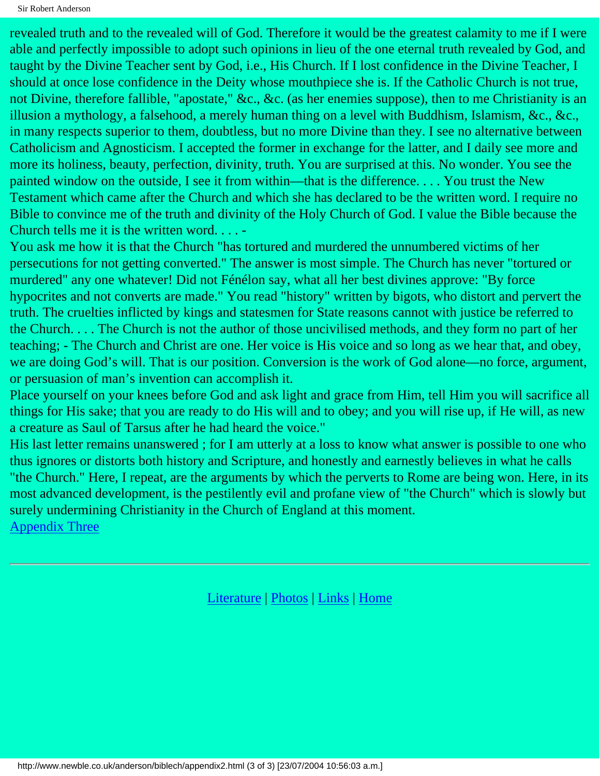revealed truth and to the revealed will of God. Therefore it would be the greatest calamity to me if I were able and perfectly impossible to adopt such opinions in lieu of the one eternal truth revealed by God, and taught by the Divine Teacher sent by God, i.e., His Church. If I lost confidence in the Divine Teacher, I should at once lose confidence in the Deity whose mouthpiece she is. If the Catholic Church is not true, not Divine, therefore fallible, "apostate," &c., &c. (as her enemies suppose), then to me Christianity is an illusion a mythology, a falsehood, a merely human thing on a level with Buddhism, Islamism, &c., &c., in many respects superior to them, doubtless, but no more Divine than they. I see no alternative between Catholicism and Agnosticism. I accepted the former in exchange for the latter, and I daily see more and more its holiness, beauty, perfection, divinity, truth. You are surprised at this. No wonder. You see the painted window on the outside, I see it from within—that is the difference. . . . You trust the New Testament which came after the Church and which she has declared to be the written word. I require no Bible to convince me of the truth and divinity of the Holy Church of God. I value the Bible because the Church tells me it is the written word. . . . -

You ask me how it is that the Church "has tortured and murdered the unnumbered victims of her persecutions for not getting converted." The answer is most simple. The Church has never "tortured or murdered" any one whatever! Did not Fénélon say, what all her best divines approve: "By force hypocrites and not converts are made." You read "history" written by bigots, who distort and pervert the truth. The cruelties inflicted by kings and statesmen for State reasons cannot with justice be referred to the Church. . . . The Church is not the author of those uncivilised methods, and they form no part of her teaching; - The Church and Christ are one. Her voice is His voice and so long as we hear that, and obey, we are doing God's will. That is our position. Conversion is the work of God alone—no force, argument, or persuasion of man's invention can accomplish it.

Place yourself on your knees before God and ask light and grace from Him, tell Him you will sacrifice all things for His sake; that you are ready to do His will and to obey; and you will rise up, if He will, as new a creature as Saul of Tarsus after he had heard the voice."

His last letter remains unanswered; for I am utterly at a loss to know what answer is possible to one who thus ignores or distorts both history and Scripture, and honestly and earnestly believes in what he calls "the Church." Here, I repeat, are the arguments by which the perverts to Rome are being won. Here, in its most advanced development, is the pestilently evil and profane view of "the Church" which is slowly but surely undermining Christianity in the Church of England at this moment. [Appendix Three](#page-88-0)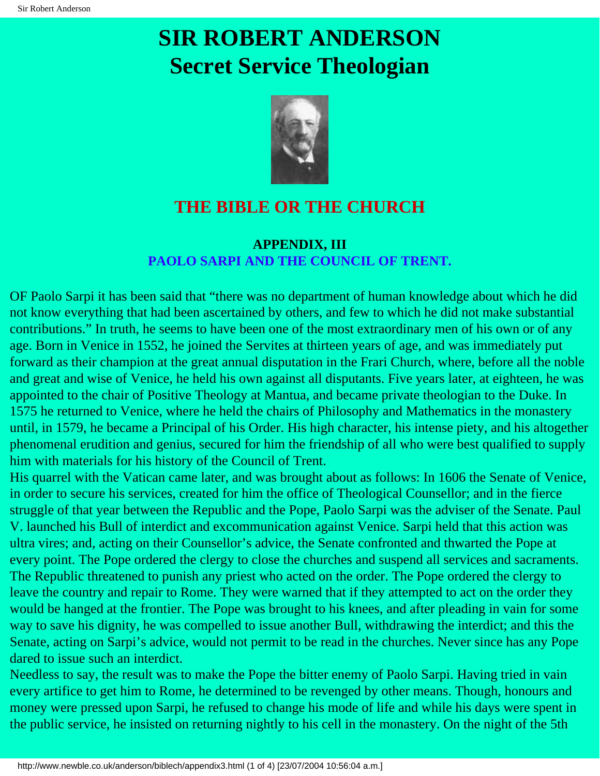# <span id="page-88-0"></span>**SIR ROBERT ANDERSON Secret Service Theologian**



## **THE BIBLE OR THE CHURCH**

### **APPENDIX, III PAOLO SARPI AND THE COUNCIL OF TRENT.**

OF Paolo Sarpi it has been said that "there was no department of human knowledge about which he did not know everything that had been ascertained by others, and few to which he did not make substantial contributions." In truth, he seems to have been one of the most extraordinary men of his own or of any age. Born in Venice in 1552, he joined the Servites at thirteen years of age, and was immediately put forward as their champion at the great annual disputation in the Frari Church, where, before all the noble and great and wise of Venice, he held his own against all disputants. Five years later, at eighteen, he was appointed to the chair of Positive Theology at Mantua, and became private theologian to the Duke. In 1575 he returned to Venice, where he held the chairs of Philosophy and Mathematics in the monastery until, in 1579, he became a Principal of his Order. His high character, his intense piety, and his altogether phenomenal erudition and genius, secured for him the friendship of all who were best qualified to supply him with materials for his history of the Council of Trent.

His quarrel with the Vatican came later, and was brought about as follows: In 1606 the Senate of Venice, in order to secure his services, created for him the office of Theological Counsellor; and in the fierce struggle of that year between the Republic and the Pope, Paolo Sarpi was the adviser of the Senate. Paul V. launched his Bull of interdict and excommunication against Venice. Sarpi held that this action was ultra vires; and, acting on their Counsellor's advice, the Senate confronted and thwarted the Pope at every point. The Pope ordered the clergy to close the churches and suspend all services and sacraments. The Republic threatened to punish any priest who acted on the order. The Pope ordered the clergy to leave the country and repair to Rome. They were warned that if they attempted to act on the order they would be hanged at the frontier. The Pope was brought to his knees, and after pleading in vain for some way to save his dignity, he was compelled to issue another Bull, withdrawing the interdict; and this the Senate, acting on Sarpi's advice, would not permit to be read in the churches. Never since has any Pope dared to issue such an interdict.

Needless to say, the result was to make the Pope the bitter enemy of Paolo Sarpi. Having tried in vain every artifice to get him to Rome, he determined to be revenged by other means. Though, honours and money were pressed upon Sarpi, he refused to change his mode of life and while his days were spent in the public service, he insisted on returning nightly to his cell in the monastery. On the night of the 5th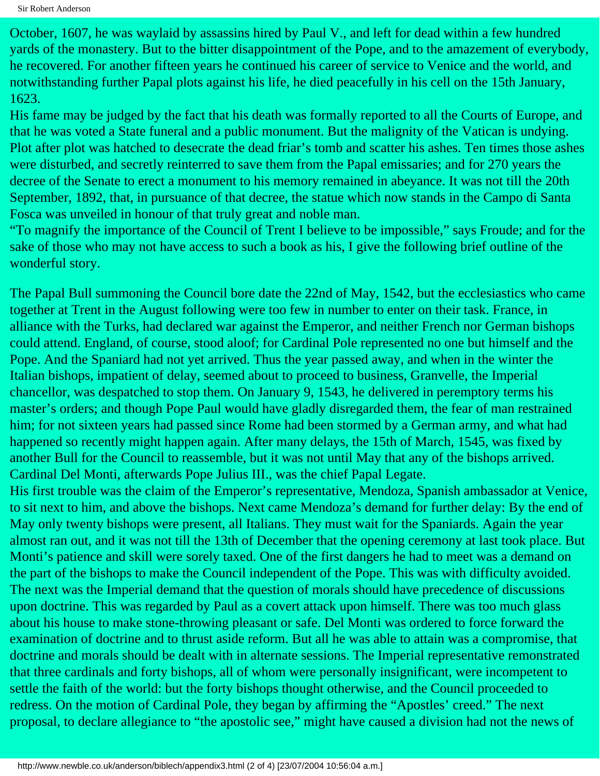October, 1607, he was waylaid by assassins hired by Paul V., and left for dead within a few hundred yards of the monastery. But to the bitter disappointment of the Pope, and to the amazement of everybody, he recovered. For another fifteen years he continued his career of service to Venice and the world, and notwithstanding further Papal plots against his life, he died peacefully in his cell on the 15th January, 1623.

His fame may be judged by the fact that his death was formally reported to all the Courts of Europe, and that he was voted a State funeral and a public monument. But the malignity of the Vatican is undying. Plot after plot was hatched to desecrate the dead friar's tomb and scatter his ashes. Ten times those ashes were disturbed, and secretly reinterred to save them from the Papal emissaries; and for 270 years the decree of the Senate to erect a monument to his memory remained in abeyance. It was not till the 20th September, 1892, that, in pursuance of that decree, the statue which now stands in the Campo di Santa Fosca was unveiled in honour of that truly great and noble man.

"To magnify the importance of the Council of Trent I believe to be impossible," says Froude; and for the sake of those who may not have access to such a book as his, I give the following brief outline of the wonderful story.

The Papal Bull summoning the Council bore date the 22nd of May, 1542, but the ecclesiastics who came together at Trent in the August following were too few in number to enter on their task. France, in alliance with the Turks, had declared war against the Emperor, and neither French nor German bishops could attend. England, of course, stood aloof; for Cardinal Pole represented no one but himself and the Pope. And the Spaniard had not yet arrived. Thus the year passed away, and when in the winter the Italian bishops, impatient of delay, seemed about to proceed to business, Granvelle, the Imperial chancellor, was despatched to stop them. On January 9, 1543, he delivered in peremptory terms his master's orders; and though Pope Paul would have gladly disregarded them, the fear of man restrained him; for not sixteen years had passed since Rome had been stormed by a German army, and what had happened so recently might happen again. After many delays, the 15th of March, 1545, was fixed by another Bull for the Council to reassemble, but it was not until May that any of the bishops arrived. Cardinal Del Monti, afterwards Pope Julius III., was the chief Papal Legate.

His first trouble was the claim of the Emperor's representative, Mendoza, Spanish ambassador at Venice, to sit next to him, and above the bishops. Next came Mendoza's demand for further delay: By the end of May only twenty bishops were present, all Italians. They must wait for the Spaniards. Again the year almost ran out, and it was not till the 13th of December that the opening ceremony at last took place. But Monti's patience and skill were sorely taxed. One of the first dangers he had to meet was a demand on the part of the bishops to make the Council independent of the Pope. This was with difficulty avoided. The next was the Imperial demand that the question of morals should have precedence of discussions upon doctrine. This was regarded by Paul as a covert attack upon himself. There was too much glass about his house to make stone-throwing pleasant or safe. Del Monti was ordered to force forward the examination of doctrine and to thrust aside reform. But all he was able to attain was a compromise, that doctrine and morals should be dealt with in alternate sessions. The Imperial representative remonstrated that three cardinals and forty bishops, all of whom were personally insignificant, were incompetent to settle the faith of the world: but the forty bishops thought otherwise, and the Council proceeded to redress. On the motion of Cardinal Pole, they began by affirming the "Apostles' creed." The next proposal, to declare allegiance to "the apostolic see," might have caused a division had not the news of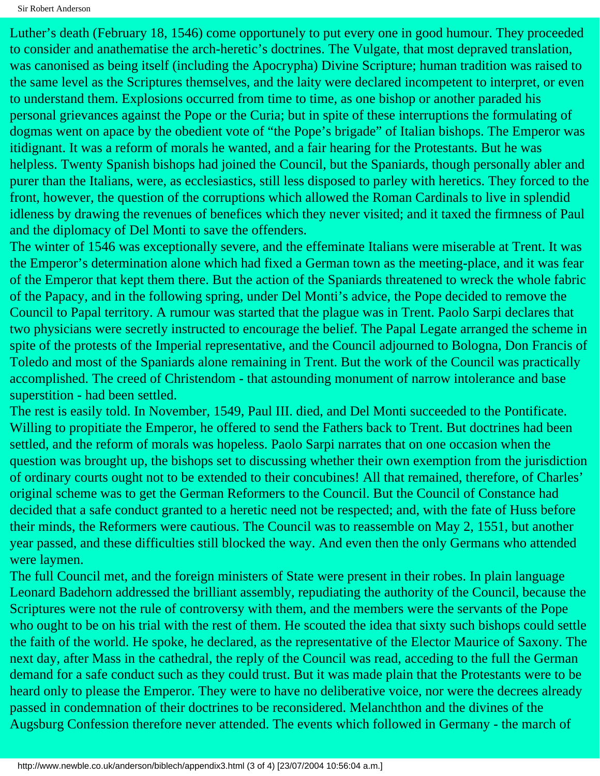Luther's death (February 18, 1546) come opportunely to put every one in good humour. They proceeded to consider and anathematise the arch-heretic's doctrines. The Vulgate, that most depraved translation, was canonised as being itself (including the Apocrypha) Divine Scripture; human tradition was raised to the same level as the Scriptures themselves, and the laity were declared incompetent to interpret, or even to understand them. Explosions occurred from time to time, as one bishop or another paraded his personal grievances against the Pope or the Curia; but in spite of these interruptions the formulating of dogmas went on apace by the obedient vote of "the Pope's brigade" of Italian bishops. The Emperor was itidignant. It was a reform of morals he wanted, and a fair hearing for the Protestants. But he was helpless. Twenty Spanish bishops had joined the Council, but the Spaniards, though personally abler and purer than the Italians, were, as ecclesiastics, still less disposed to parley with heretics. They forced to the front, however, the question of the corruptions which allowed the Roman Cardinals to live in splendid idleness by drawing the revenues of benefices which they never visited; and it taxed the firmness of Paul and the diplomacy of Del Monti to save the offenders.

The winter of 1546 was exceptionally severe, and the effeminate Italians were miserable at Trent. It was the Emperor's determination alone which had fixed a German town as the meeting-place, and it was fear of the Emperor that kept them there. But the action of the Spaniards threatened to wreck the whole fabric of the Papacy, and in the following spring, under Del Monti's advice, the Pope decided to remove the Council to Papal territory. A rumour was started that the plague was in Trent. Paolo Sarpi declares that two physicians were secretly instructed to encourage the belief. The Papal Legate arranged the scheme in spite of the protests of the Imperial representative, and the Council adjourned to Bologna, Don Francis of Toledo and most of the Spaniards alone remaining in Trent. But the work of the Council was practically accomplished. The creed of Christendom - that astounding monument of narrow intolerance and base superstition - had been settled.

The rest is easily told. In November, 1549, Paul III. died, and Del Monti succeeded to the Pontificate. Willing to propitiate the Emperor, he offered to send the Fathers back to Trent. But doctrines had been settled, and the reform of morals was hopeless. Paolo Sarpi narrates that on one occasion when the question was brought up, the bishops set to discussing whether their own exemption from the jurisdiction of ordinary courts ought not to be extended to their concubines! All that remained, therefore, of Charles' original scheme was to get the German Reformers to the Council. But the Council of Constance had decided that a safe conduct granted to a heretic need not be respected; and, with the fate of Huss before their minds, the Reformers were cautious. The Council was to reassemble on May 2, 1551, but another year passed, and these difficulties still blocked the way. And even then the only Germans who attended were laymen.

The full Council met, and the foreign ministers of State were present in their robes. In plain language Leonard Badehorn addressed the brilliant assembly, repudiating the authority of the Council, because the Scriptures were not the rule of controversy with them, and the members were the servants of the Pope who ought to be on his trial with the rest of them. He scouted the idea that sixty such bishops could settle the faith of the world. He spoke, he declared, as the representative of the Elector Maurice of Saxony. The next day, after Mass in the cathedral, the reply of the Council was read, acceding to the full the German demand for a safe conduct such as they could trust. But it was made plain that the Protestants were to be heard only to please the Emperor. They were to have no deliberative voice, nor were the decrees already passed in condemnation of their doctrines to be reconsidered. Melanchthon and the divines of the Augsburg Confession therefore never attended. The events which followed in Germany - the march of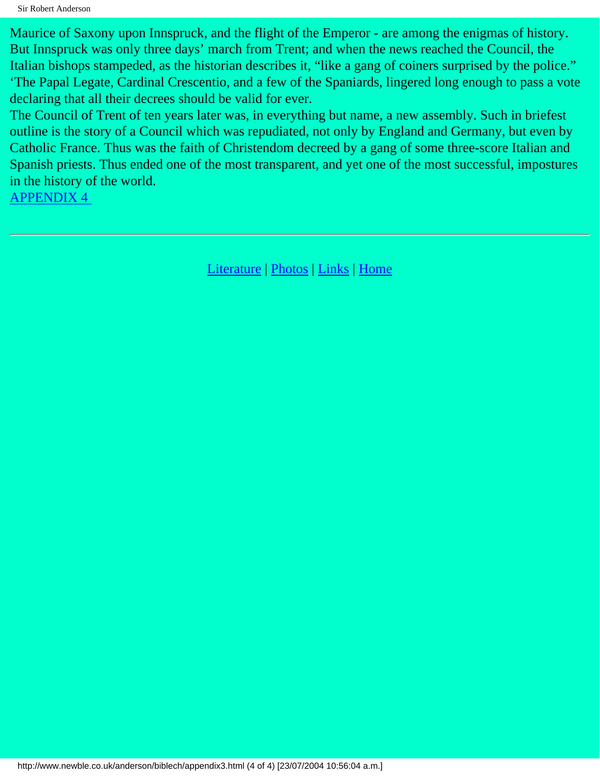Maurice of Saxony upon Innspruck, and the flight of the Emperor - are among the enigmas of history. But Innspruck was only three days' march from Trent; and when the news reached the Council, the Italian bishops stampeded, as the historian describes it, "like a gang of coiners surprised by the police." 'The Papal Legate, Cardinal Crescentio, and a few of the Spaniards, lingered long enough to pass a vote declaring that all their decrees should be valid for ever.

The Council of Trent of ten years later was, in everything but name, a new assembly. Such in briefest outline is the story of a Council which was repudiated, not only by England and Germany, but even by Catholic France. Thus was the faith of Christendom decreed by a gang of some three-score Italian and Spanish priests. Thus ended one of the most transparent, and yet one of the most successful, impostures in the history of the world.

[APPENDIX 4](#page-92-0)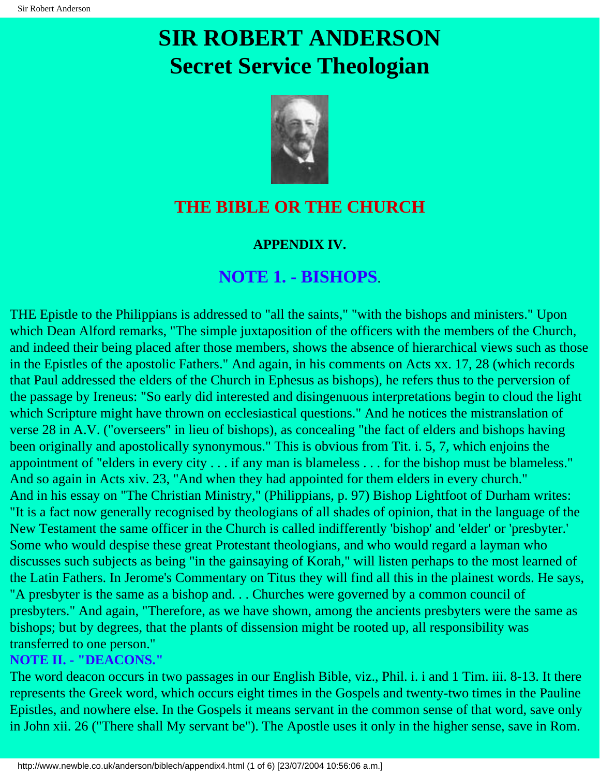# <span id="page-92-0"></span>**SIR ROBERT ANDERSON Secret Service Theologian**



## **THE BIBLE OR THE CHURCH**

### **APPENDIX IV.**

## **NOTE 1. - BISHOPS**.

THE Epistle to the Philippians is addressed to "all the saints," "with the bishops and ministers." Upon which Dean Alford remarks, "The simple juxtaposition of the officers with the members of the Church, and indeed their being placed after those members, shows the absence of hierarchical views such as those in the Epistles of the apostolic Fathers." And again, in his comments on Acts xx. 17, 28 (which records that Paul addressed the elders of the Church in Ephesus as bishops), he refers thus to the perversion of the passage by Ireneus: "So early did interested and disingenuous interpretations begin to cloud the light which Scripture might have thrown on ecclesiastical questions." And he notices the mistranslation of verse 28 in A.V. ("overseers" in lieu of bishops), as concealing "the fact of elders and bishops having been originally and apostolically synonymous." This is obvious from Tit. i. 5, 7, which enjoins the appointment of "elders in every city . . . if any man is blameless . . . for the bishop must be blameless." And so again in Acts xiv. 23, "And when they had appointed for them elders in every church." And in his essay on "The Christian Ministry," (Philippians, p. 97) Bishop Lightfoot of Durham writes: "It is a fact now generally recognised by theologians of all shades of opinion, that in the language of the New Testament the same officer in the Church is called indifferently 'bishop' and 'elder' or 'presbyter.' Some who would despise these great Protestant theologians, and who would regard a layman who discusses such subjects as being "in the gainsaying of Korah," will listen perhaps to the most learned of the Latin Fathers. In Jerome's Commentary on Titus they will find all this in the plainest words. He says, "A presbyter is the same as a bishop and. . . Churches were governed by a common council of presbyters." And again, "Therefore, as we have shown, among the ancients presbyters were the same as bishops; but by degrees, that the plants of dissension might be rooted up, all responsibility was transferred to one person."

#### **NOTE II. - "DEACONS."**

The word deacon occurs in two passages in our English Bible, viz., Phil. i. i and 1 Tim. iii. 8-13. It there represents the Greek word, which occurs eight times in the Gospels and twenty-two times in the Pauline Epistles, and nowhere else. In the Gospels it means servant in the common sense of that word, save only in John xii. 26 ("There shall My servant be"). The Apostle uses it only in the higher sense, save in Rom.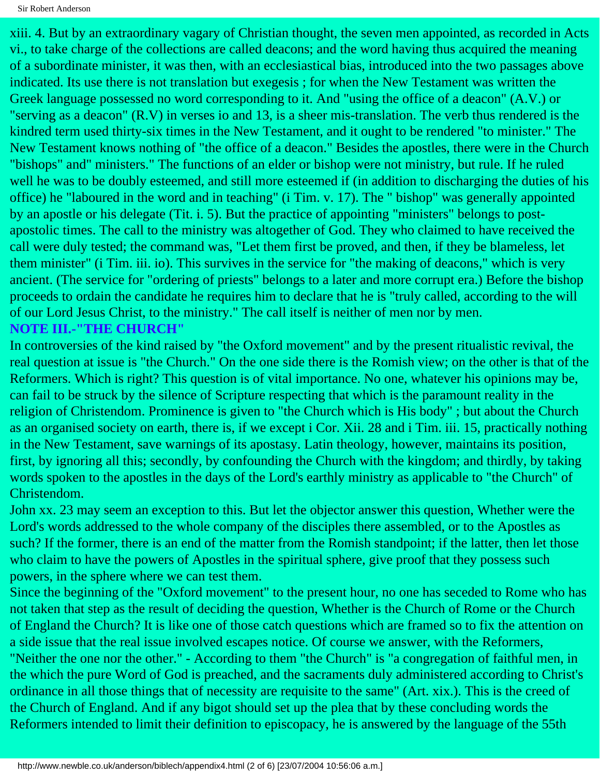xiii. 4. But by an extraordinary vagary of Christian thought, the seven men appointed, as recorded in Acts vi., to take charge of the collections are called deacons; and the word having thus acquired the meaning of a subordinate minister, it was then, with an ecclesiastical bias, introduced into the two passages above indicated. Its use there is not translation but exegesis ; for when the New Testament was written the Greek language possessed no word corresponding to it. And "using the office of a deacon" (A.V.) or "serving as a deacon" (R.V) in verses io and 13, is a sheer mis-translation. The verb thus rendered is the kindred term used thirty-six times in the New Testament, and it ought to be rendered "to minister." The New Testament knows nothing of "the office of a deacon." Besides the apostles, there were in the Church "bishops" and" ministers." The functions of an elder or bishop were not ministry, but rule. If he ruled well he was to be doubly esteemed, and still more esteemed if (in addition to discharging the duties of his office) he "laboured in the word and in teaching" (i Tim. v. 17). The " bishop" was generally appointed by an apostle or his delegate (Tit. i. 5). But the practice of appointing "ministers" belongs to postapostolic times. The call to the ministry was altogether of God. They who claimed to have received the call were duly tested; the command was, "Let them first be proved, and then, if they be blameless, let them minister" (i Tim. iii. io). This survives in the service for "the making of deacons," which is very ancient. (The service for "ordering of priests" belongs to a later and more corrupt era.) Before the bishop proceeds to ordain the candidate he requires him to declare that he is "truly called, according to the will of our Lord Jesus Christ, to the ministry." The call itself is neither of men nor by men. **NOTE III.-"THE CHURCH"**

In controversies of the kind raised by "the Oxford movement" and by the present ritualistic revival, the real question at issue is "the Church." On the one side there is the Romish view; on the other is that of the Reformers. Which is right? This question is of vital importance. No one, whatever his opinions may be, can fail to be struck by the silence of Scripture respecting that which is the paramount reality in the religion of Christendom. Prominence is given to "the Church which is His body" ; but about the Church as an organised society on earth, there is, if we except i Cor. Xii. 28 and i Tim. iii. 15, practically nothing in the New Testament, save warnings of its apostasy. Latin theology, however, maintains its position, first, by ignoring all this; secondly, by confounding the Church with the kingdom; and thirdly, by taking words spoken to the apostles in the days of the Lord's earthly ministry as applicable to "the Church" of Christendom.

John xx. 23 may seem an exception to this. But let the objector answer this question, Whether were the Lord's words addressed to the whole company of the disciples there assembled, or to the Apostles as such? If the former, there is an end of the matter from the Romish standpoint; if the latter, then let those who claim to have the powers of Apostles in the spiritual sphere, give proof that they possess such powers, in the sphere where we can test them.

Since the beginning of the "Oxford movement" to the present hour, no one has seceded to Rome who has not taken that step as the result of deciding the question, Whether is the Church of Rome or the Church of England the Church? It is like one of those catch questions which are framed so to fix the attention on a side issue that the real issue involved escapes notice. Of course we answer, with the Reformers, "Neither the one nor the other." - According to them "the Church" is "a congregation of faithful men, in the which the pure Word of God is preached, and the sacraments duly administered according to Christ's ordinance in all those things that of necessity are requisite to the same" (Art. xix.). This is the creed of the Church of England. And if any bigot should set up the plea that by these concluding words the Reformers intended to limit their definition to episcopacy, he is answered by the language of the 55th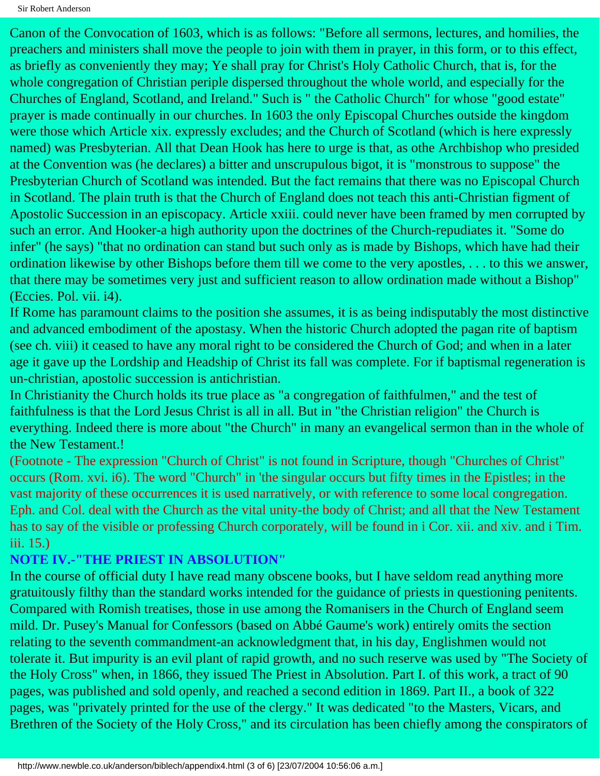Canon of the Convocation of 1603, which is as follows: "Before all sermons, lectures, and homilies, the preachers and ministers shall move the people to join with them in prayer, in this form, or to this effect, as briefly as conveniently they may; Ye shall pray for Christ's Holy Catholic Church, that is, for the whole congregation of Christian periple dispersed throughout the whole world, and especially for the Churches of England, Scotland, and Ireland." Such is " the Catholic Church" for whose "good estate" prayer is made continually in our churches. In 1603 the only Episcopal Churches outside the kingdom were those which Article xix. expressly excludes; and the Church of Scotland (which is here expressly named) was Presbyterian. All that Dean Hook has here to urge is that, as othe Archbishop who presided at the Convention was (he declares) a bitter and unscrupulous bigot, it is "monstrous to suppose" the Presbyterian Church of Scotland was intended. But the fact remains that there was no Episcopal Church in Scotland. The plain truth is that the Church of England does not teach this anti-Christian figment of Apostolic Succession in an episcopacy. Article xxiii. could never have been framed by men corrupted by such an error. And Hooker-a high authority upon the doctrines of the Church-repudiates it. "Some do infer" (he says) "that no ordination can stand but such only as is made by Bishops, which have had their ordination likewise by other Bishops before them till we come to the very apostles, . . . to this we answer, that there may be sometimes very just and sufficient reason to allow ordination made without a Bishop" (Eccies. Pol. vii. i4).

If Rome has paramount claims to the position she assumes, it is as being indisputably the most distinctive and advanced embodiment of the apostasy. When the historic Church adopted the pagan rite of baptism (see ch. viii) it ceased to have any moral right to be considered the Church of God; and when in a later age it gave up the Lordship and Headship of Christ its fall was complete. For if baptismal regeneration is un-christian, apostolic succession is antichristian.

In Christianity the Church holds its true place as "a congregation of faithfulmen," and the test of faithfulness is that the Lord Jesus Christ is all in all. But in "the Christian religion" the Church is everything. Indeed there is more about "the Church" in many an evangelical sermon than in the whole of the New Testament.!

(Footnote - The expression "Church of Christ" is not found in Scripture, though "Churches of Christ" occurs (Rom. xvi. i6). The word "Church" in 'the singular occurs but fifty times in the Epistles; in the vast majority of these occurrences it is used narratively, or with reference to some local congregation. Eph. and Col. deal with the Church as the vital unity-the body of Christ; and all that the New Testament has to say of the visible or professing Church corporately, will be found in i Cor. xii. and xiv. and i Tim. iii. 15.)

### **NOTE IV.-"THE PRIEST IN ABSOLUTION"**

In the course of official duty I have read many obscene books, but I have seldom read anything more gratuitously filthy than the standard works intended for the guidance of priests in questioning penitents. Compared with Romish treatises, those in use among the Romanisers in the Church of England seem mild. Dr. Pusey's Manual for Confessors (based on Abbé Gaume's work) entirely omits the section relating to the seventh commandment-an acknowledgment that, in his day, Englishmen would not tolerate it. But impurity is an evil plant of rapid growth, and no such reserve was used by "The Society of the Holy Cross" when, in 1866, they issued The Priest in Absolution. Part I. of this work, a tract of 90 pages, was published and sold openly, and reached a second edition in 1869. Part II., a book of 322 pages, was "privately printed for the use of the clergy." It was dedicated "to the Masters, Vicars, and Brethren of the Society of the Holy Cross," and its circulation has been chiefly among the conspirators of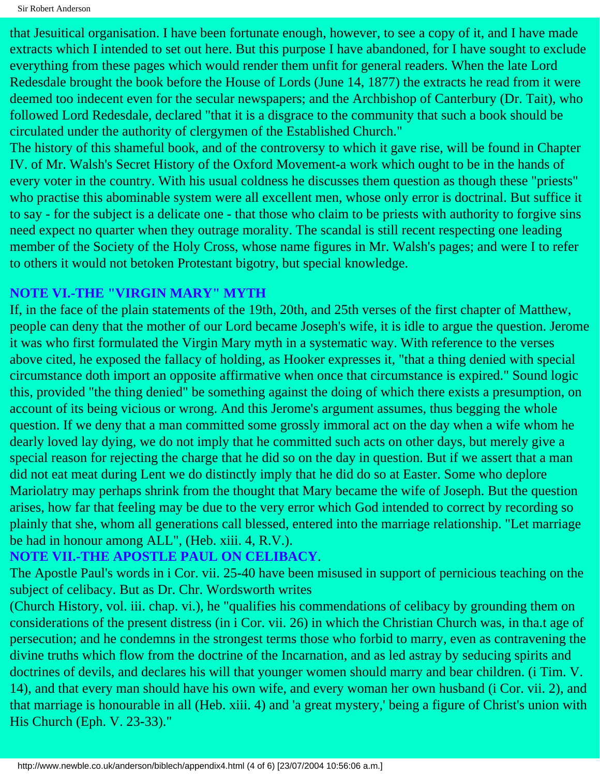Sir Robert Anderson

that Jesuitical organisation. I have been fortunate enough, however, to see a copy of it, and I have made extracts which I intended to set out here. But this purpose I have abandoned, for I have sought to exclude everything from these pages which would render them unfit for general readers. When the late Lord Redesdale brought the book before the House of Lords (June 14, 1877) the extracts he read from it were deemed too indecent even for the secular newspapers; and the Archbishop of Canterbury (Dr. Tait), who followed Lord Redesdale, declared "that it is a disgrace to the community that such a book should be circulated under the authority of clergymen of the Established Church."

The history of this shameful book, and of the controversy to which it gave rise, will be found in Chapter IV. of Mr. Walsh's Secret History of the Oxford Movement-a work which ought to be in the hands of every voter in the country. With his usual coldness he discusses them question as though these "priests" who practise this abominable system were all excellent men, whose only error is doctrinal. But suffice it to say - for the subject is a delicate one - that those who claim to be priests with authority to forgive sins need expect no quarter when they outrage morality. The scandal is still recent respecting one leading member of the Society of the Holy Cross, whose name figures in Mr. Walsh's pages; and were I to refer to others it would not betoken Protestant bigotry, but special knowledge.

### **NOTE VI.-THE "VIRGIN MARY" MYTH**

If, in the face of the plain statements of the 19th, 20th, and 25th verses of the first chapter of Matthew, people can deny that the mother of our Lord became Joseph's wife, it is idle to argue the question. Jerome it was who first formulated the Virgin Mary myth in a systematic way. With reference to the verses above cited, he exposed the fallacy of holding, as Hooker expresses it, "that a thing denied with special circumstance doth import an opposite affirmative when once that circumstance is expired." Sound logic this, provided "the thing denied" be something against the doing of which there exists a presumption, on account of its being vicious or wrong. And this Jerome's argument assumes, thus begging the whole question. If we deny that a man committed some grossly immoral act on the day when a wife whom he dearly loved lay dying, we do not imply that he committed such acts on other days, but merely give a special reason for rejecting the charge that he did so on the day in question. But if we assert that a man did not eat meat during Lent we do distinctly imply that he did do so at Easter. Some who deplore Mariolatry may perhaps shrink from the thought that Mary became the wife of Joseph. But the question arises, how far that feeling may be due to the very error which God intended to correct by recording so plainly that she, whom all generations call blessed, entered into the marriage relationship. "Let marriage be had in honour among ALL", (Heb. xiii. 4, R.V.).

#### **NOTE VII.-THE APOSTLE PAUL ON CELIBACY**.

The Apostle Paul's words in i Cor. vii. 25-40 have been misused in support of pernicious teaching on the subject of celibacy. But as Dr. Chr. Wordsworth writes

(Church History, vol. iii. chap. vi.), he "qualifies his commendations of celibacy by grounding them on considerations of the present distress (in i Cor. vii. 26) in which the Christian Church was, in tha.t age of persecution; and he condemns in the strongest terms those who forbid to marry, even as contravening the divine truths which flow from the doctrine of the Incarnation, and as led astray by seducing spirits and doctrines of devils, and declares his will that younger women should marry and bear children. (i Tim. V. 14), and that every man should have his own wife, and every woman her own husband (i Cor. vii. 2), and that marriage is honourable in all (Heb. xiii. 4) and 'a great mystery,' being a figure of Christ's union with His Church (Eph. V. 23-33)."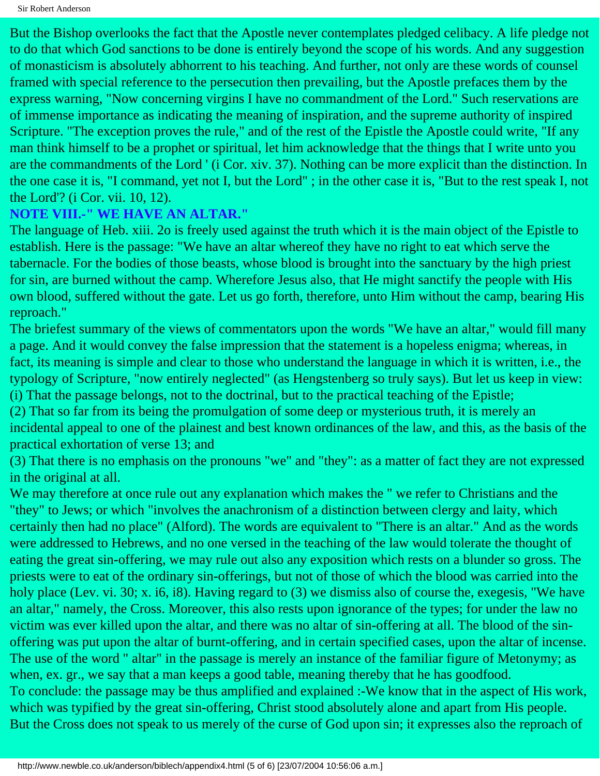But the Bishop overlooks the fact that the Apostle never contemplates pledged celibacy. A life pledge not to do that which God sanctions to be done is entirely beyond the scope of his words. And any suggestion of monasticism is absolutely abhorrent to his teaching. And further, not only are these words of counsel framed with special reference to the persecution then prevailing, but the Apostle prefaces them by the express warning, "Now concerning virgins I have no commandment of the Lord." Such reservations are of immense importance as indicating the meaning of inspiration, and the supreme authority of inspired Scripture. "The exception proves the rule," and of the rest of the Epistle the Apostle could write, "If any man think himself to be a prophet or spiritual, let him acknowledge that the things that I write unto you are the commandments of the Lord ' (i Cor. xiv. 37). Nothing can be more explicit than the distinction. In the one case it is, "I command, yet not I, but the Lord" ; in the other case it is, "But to the rest speak I, not the Lord'? (i Cor. vii. 10, 12).

#### **NOTE VIII.-" WE HAVE AN ALTAR."**

The language of Heb. xiii. 2o is freely used against the truth which it is the main object of the Epistle to establish. Here is the passage: "We have an altar whereof they have no right to eat which serve the tabernacle. For the bodies of those beasts, whose blood is brought into the sanctuary by the high priest for sin, are burned without the camp. Wherefore Jesus also, that He might sanctify the people with His own blood, suffered without the gate. Let us go forth, therefore, unto Him without the camp, bearing His reproach."

The briefest summary of the views of commentators upon the words "We have an altar," would fill many a page. And it would convey the false impression that the statement is a hopeless enigma; whereas, in fact, its meaning is simple and clear to those who understand the language in which it is written, i.e., the typology of Scripture, "now entirely neglected" (as Hengstenberg so truly says). But let us keep in view: (i) That the passage belongs, not to the doctrinal, but to the practical teaching of the Epistle;

(2) That so far from its being the promulgation of some deep or mysterious truth, it is merely an incidental appeal to one of the plainest and best known ordinances of the law, and this, as the basis of the practical exhortation of verse 13; and

(3) That there is no emphasis on the pronouns "we" and "they": as a matter of fact they are not expressed in the original at all.

We may therefore at once rule out any explanation which makes the " we refer to Christians and the "they" to Jews; or which "involves the anachronism of a distinction between clergy and laity, which certainly then had no place" (Alford). The words are equivalent to "There is an altar." And as the words were addressed to Hebrews, and no one versed in the teaching of the law would tolerate the thought of eating the great sin-offering, we may rule out also any exposition which rests on a blunder so gross. The priests were to eat of the ordinary sin-offerings, but not of those of which the blood was carried into the holy place (Lev. vi. 30; x. i6, i8). Having regard to (3) we dismiss also of course the, exegesis, "We have an altar," namely, the Cross. Moreover, this also rests upon ignorance of the types; for under the law no victim was ever killed upon the altar, and there was no altar of sin-offering at all. The blood of the sinoffering was put upon the altar of burnt-offering, and in certain specified cases, upon the altar of incense. The use of the word " altar" in the passage is merely an instance of the familiar figure of Metonymy; as when, ex. gr., we say that a man keeps a good table, meaning thereby that he has goodfood. To conclude: the passage may be thus amplified and explained :-We know that in the aspect of His work, which was typified by the great sin-offering, Christ stood absolutely alone and apart from His people. But the Cross does not speak to us merely of the curse of God upon sin; it expresses also the reproach of